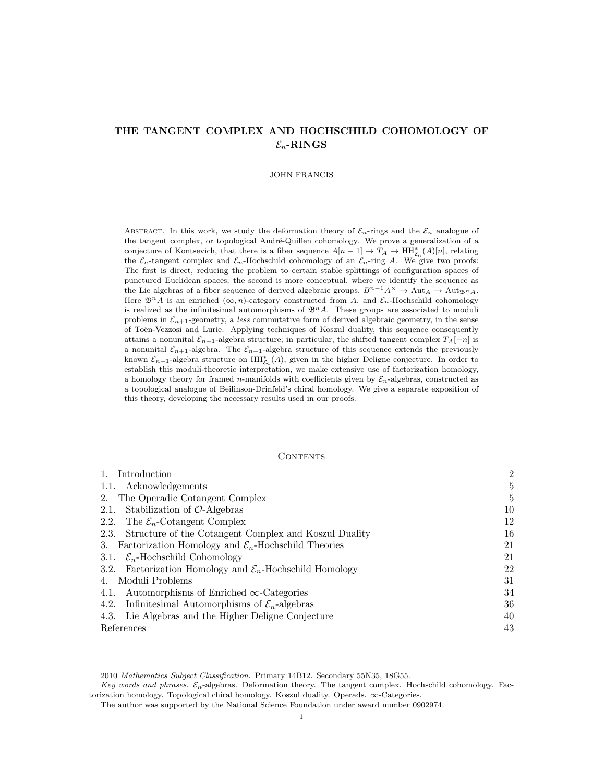# THE TANGENT COMPLEX AND HOCHSCHILD COHOMOLOGY OF  $\mathcal{E}_n$ -RINGS

#### JOHN FRANCIS

ABSTRACT. In this work, we study the deformation theory of  $\mathcal{E}_n$ -rings and the  $\mathcal{E}_n$  analogue of the tangent complex, or topological André-Quillen cohomology. We prove a generalization of a conjecture of Kontsevich, that there is a fiber sequence  $A[n-1] \to T_A \to \text{HH}_{\mathcal{E}_n}^*(A)[n]$ , relating the  $\mathcal{E}_n$ -tangent complex and  $\mathcal{E}_n$ -Hochschild cohomology of an  $\mathcal{E}_n$ -ring A. We give two proofs: The first is direct, reducing the problem to certain stable splittings of configuration spaces of punctured Euclidean spaces; the second is more conceptual, where we identify the sequence as the Lie algebras of a fiber sequence of derived algebraic groups,  $B^{n-1}A^{\times} \to \text{Aut}_{A} \to \text{Aut}_{\mathfrak{B}^n A}$ . Here  $\mathfrak{B}^nA$  is an enriched  $(\infty, n)$ -category constructed from A, and  $\mathcal{E}_n$ -Hochschild cohomology is realized as the infinitesimal automorphisms of  $\mathfrak{B}^n A$ . These groups are associated to moduli problems in  $\mathcal{E}_{n+1}$ -geometry, a less commutative form of derived algebraic geometry, in the sense of Toën-Vezzosi and Lurie. Applying techniques of Koszul duality, this sequence consequently attains a nonunital  $\mathcal{E}_{n+1}$ -algebra structure; in particular, the shifted tangent complex  $T_A[-n]$  is a nonunital  $\mathcal{E}_{n+1}$ -algebra. The  $\mathcal{E}_{n+1}$ -algebra structure of this sequence extends the previously known  $\mathcal{E}_{n+1}$ -algebra structure on  $\mathrm{HH}_{\mathcal{E}_n}^*(A)$ , given in the higher Deligne conjecture. In order to establish this moduli-theoretic interpretation, we make extensive use of factorization homology, a homology theory for framed n-manifolds with coefficients given by  $\mathcal{E}_n$ -algebras, constructed as a topological analogue of Beilinson-Drinfeld's chiral homology. We give a separate exposition of this theory, developing the necessary results used in our proofs.

## CONTENTS

| Introduction                                                          | $\overline{2}$ |
|-----------------------------------------------------------------------|----------------|
| 1.1. Acknowledgements                                                 | 5              |
| The Operadic Cotangent Complex<br>2.                                  | 5              |
| Stabilization of $O$ -Algebras<br>2.1.                                | 10             |
| The $\mathcal{E}_n$ -Cotangent Complex<br>2.2.                        | 12             |
| Structure of the Cotangent Complex and Koszul Duality<br>2.3.         | 16             |
| Factorization Homology and $\mathcal{E}_n$ -Hochschild Theories<br>3. | 21             |
| 3.1. $\mathcal{E}_n$ -Hochschild Cohomology                           | 21             |
| 3.2. Factorization Homology and $\mathcal{E}_n$ -Hochschild Homology  | 22             |
| Moduli Problems                                                       | 31             |
| Automorphisms of Enriched $\infty$ -Categories<br>4.1.                | 34             |
| 4.2. Infinitesimal Automorphisms of $\mathcal{E}_n$ -algebras         | 36             |
| Lie Algebras and the Higher Deligne Conjecture<br>4.3.                | 40             |
| References                                                            | 43             |

<sup>2010</sup> Mathematics Subject Classification. Primary 14B12. Secondary 55N35, 18G55.

Key words and phrases.  $\mathcal{E}_n$ -algebras. Deformation theory. The tangent complex. Hochschild cohomology. Factorization homology. Topological chiral homology. Koszul duality. Operads. ∞-Categories.

The author was supported by the National Science Foundation under award number 0902974.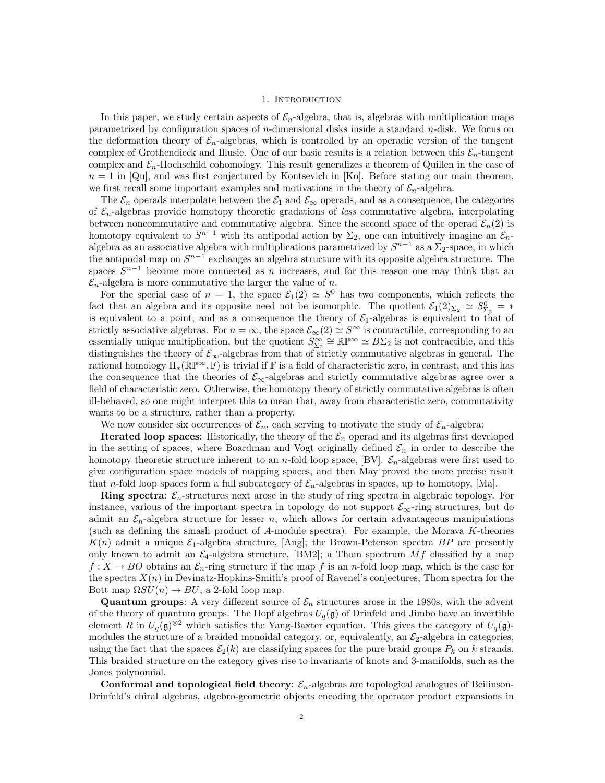## 1. INTRODUCTION

In this paper, we study certain aspects of  $\mathcal{E}_n$ -algebra, that is, algebras with multiplication maps parametrized by configuration spaces of  $n$ -dimensional disks inside a standard  $n$ -disk. We focus on the deformation theory of  $\mathcal{E}_n$ -algebras, which is controlled by an operadic version of the tangent complex of Grothendieck and Illusie. One of our basic results is a relation between this  $\mathcal{E}_n$ -tangent complex and  $\mathcal{E}_n$ -Hochschild cohomology. This result generalizes a theorem of Quillen in the case of  $n = 1$  in [Qu], and was first conjectured by Kontsevich in [Ko]. Before stating our main theorem, we first recall some important examples and motivations in the theory of  $\mathcal{E}_n$ -algebra.

The  $\mathcal{E}_n$  operads interpolate between the  $\mathcal{E}_1$  and  $\mathcal{E}_{\infty}$  operads, and as a consequence, the categories of  $\mathcal{E}_n$ -algebras provide homotopy theoretic gradations of less commutative algebra, interpolating between noncommutative and commutative algebra. Since the second space of the operad  $\mathcal{E}_n(2)$  is homotopy equivalent to  $S^{n-1}$  with its antipodal action by  $\Sigma_2$ , one can intuitively imagine an  $\mathcal{E}_n$ algebra as an associative algebra with multiplications parametrized by  $S^{n-1}$  as a  $\Sigma_2$ -space, in which the antipodal map on  $S^{n-1}$  exchanges an algebra structure with its opposite algebra structure. The spaces  $S^{n-1}$  become more connected as n increases, and for this reason one may think that an  $\mathcal{E}_n$ -algebra is more commutative the larger the value of n.

For the special case of  $n = 1$ , the space  $\mathcal{E}_1(2) \simeq S^0$  has two components, which reflects the fact that an algebra and its opposite need not be isomorphic. The quotient  $\mathcal{E}_1(2)_{\Sigma_2} \simeq S^0_{\Sigma_2} = *$ is equivalent to a point, and as a consequence the theory of  $\mathcal{E}_1$ -algebras is equivalent to that of strictly associative algebras. For  $n = \infty$ , the space  $\mathcal{E}_{\infty}(2) \simeq S^{\infty}$  is contractible, corresponding to an essentially unique multiplication, but the quotient  $S_{\Sigma_2}^{\infty} \cong \mathbb{RP}^{\infty} \simeq B\Sigma_2$  is not contractible, and this distinguishes the theory of  $\mathcal{E}_{\infty}$ -algebras from that of strictly commutative algebras in general. The rational homology  $H_*(\mathbb{R}\mathbb{P}^\infty,\mathbb{F})$  is trivial if  $\mathbb F$  is a field of characteristic zero, in contrast, and this has the consequence that the theories of  $\mathcal{E}_{\infty}$ -algebras and strictly commutative algebras agree over a field of characteristic zero. Otherwise, the homotopy theory of strictly commutative algebras is often ill-behaved, so one might interpret this to mean that, away from characteristic zero, commutativity wants to be a structure, rather than a property.

We now consider six occurrences of  $\mathcal{E}_n$ , each serving to motivate the study of  $\mathcal{E}_n$ -algebra:

**Iterated loop spaces:** Historically, the theory of the  $\mathcal{E}_n$  operad and its algebras first developed in the setting of spaces, where Boardman and Vogt originally defined  $\mathcal{E}_n$  in order to describe the homotopy theoretic structure inherent to an *n*-fold loop space, [BV].  $\mathcal{E}_n$ -algebras were first used to give configuration space models of mapping spaces, and then May proved the more precise result that n-fold loop spaces form a full subcategory of  $\mathcal{E}_n$ -algebras in spaces, up to homotopy, [Ma].

**Ring spectra:**  $\mathcal{E}_n$ -structures next arose in the study of ring spectra in algebraic topology. For instance, various of the important spectra in topology do not support  $\mathcal{E}_{\infty}$ -ring structures, but do admit an  $\mathcal{E}_n$ -algebra structure for lesser n, which allows for certain advantageous manipulations (such as defining the smash product of A-module spectra). For example, the Morava K-theories  $K(n)$  admit a unique  $\mathcal{E}_1$ -algebra structure, [Ang]; the Brown-Peterson spectra BP are presently only known to admit an  $\mathcal{E}_4$ -algebra structure, [BM2]; a Thom spectrum  $Mf$  classified by a map  $f: X \to BO$  obtains an  $\mathcal{E}_n$ -ring structure if the map f is an n-fold loop map, which is the case for the spectra  $X(n)$  in Devinatz-Hopkins-Smith's proof of Ravenel's conjectures, Thom spectra for the Bott map  $\Omega SU(n) \to BU$ , a 2-fold loop map.

**Quantum groups:** A very different source of  $\mathcal{E}_n$  structures arose in the 1980s, with the advent of the theory of quantum groups. The Hopf algebras  $U_q(\mathfrak{g})$  of Drinfeld and Jimbo have an invertible element R in  $U_q(\mathfrak{g})^{\otimes 2}$  which satisfies the Yang-Baxter equation. This gives the category of  $U_q(\mathfrak{g})$ modules the structure of a braided monoidal category, or, equivalently, an  $\mathcal{E}_2$ -algebra in categories, using the fact that the spaces  $\mathcal{E}_2(k)$  are classifying spaces for the pure braid groups  $P_k$  on k strands. This braided structure on the category gives rise to invariants of knots and 3-manifolds, such as the Jones polynomial.

Conformal and topological field theory:  $\mathcal{E}_n$ -algebras are topological analogues of Beilinson-Drinfeld's chiral algebras, algebro-geometric objects encoding the operator product expansions in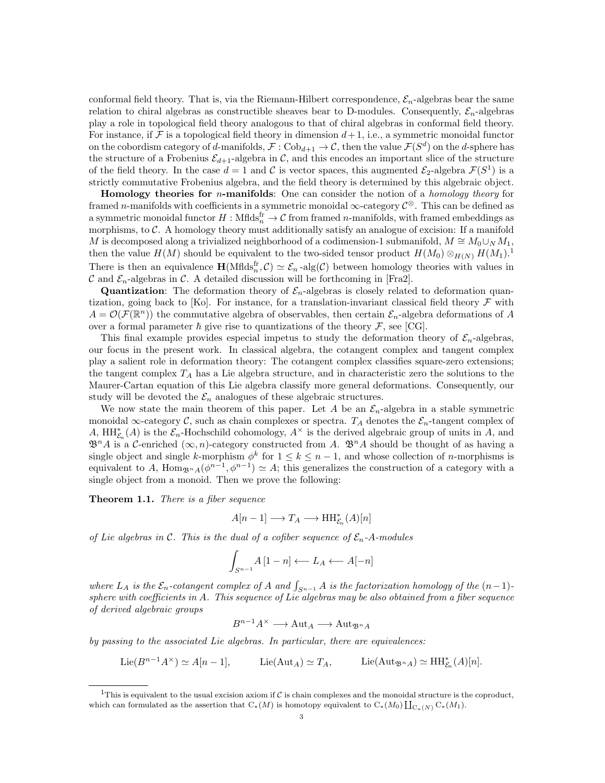conformal field theory. That is, via the Riemann-Hilbert correspondence,  $\mathcal{E}_n$ -algebras bear the same relation to chiral algebras as constructible sheaves bear to D-modules. Consequently,  $\mathcal{E}_n$ -algebras play a role in topological field theory analogous to that of chiral algebras in conformal field theory. For instance, if  $\mathcal F$  is a topological field theory in dimension  $d+1$ , i.e., a symmetric monoidal functor on the cobordism category of d-manifolds,  $\mathcal{F}: \mathrm{Cob}_{d+1} \to \mathcal{C}$ , then the value  $\mathcal{F}(S^d)$  on the d-sphere has the structure of a Frobenius  $\mathcal{E}_{d+1}$ -algebra in C, and this encodes an important slice of the structure of the field theory. In the case  $d=1$  and C is vector spaces, this augmented  $\mathcal{E}_2$ -algebra  $\mathcal{F}(S^1)$  is a strictly commutative Frobenius algebra, and the field theory is determined by this algebraic object.

**Homology theories for** *n***-manifolds**: One can consider the notion of a *homology theory* for framed n-manifolds with coefficients in a symmetric monoidal  $\infty$ -category  $\mathcal{C}^{\otimes}$ . This can be defined as a symmetric monoidal functor  $H : \text{Mflds}_n^{\text{fr}} \to \mathcal{C}$  from framed *n*-manifolds, with framed embeddings as morphisms, to  $\mathcal{C}$ . A homology theory must additionally satisfy an analogue of excision: If a manifold M is decomposed along a trivialized neighborhood of a codimension-1 submanifold,  $M \cong M_0 \cup_N M_1$ , then the value  $H(M)$  should be equivalent to the two-sided tensor product  $H(M_0) \otimes_{H(N)} H(M_1).$ <sup>1</sup> There is then an equivalence  $\mathbf{H}(Mflds_n^{\text{fr}}, \mathcal{C}) \simeq \mathcal{E}_n$ -alg $(\mathcal{C})$  between homology theories with values in C and  $\mathcal{E}_n$ -algebras in C. A detailed discussion will be forthcoming in [Fra2].

**Quantization:** The deformation theory of  $\mathcal{E}_n$ -algebras is closely related to deformation quantization, going back to [Ko]. For instance, for a translation-invariant classical field theory  $\mathcal F$  with  $A = \mathcal{O}(\mathcal{F}(\mathbb{R}^n))$  the commutative algebra of observables, then certain  $\mathcal{E}_n$ -algebra deformations of A over a formal parameter  $\hbar$  give rise to quantizations of the theory  $\mathcal{F}$ , see [CG].

This final example provides especial impetus to study the deformation theory of  $\mathcal{E}_n$ -algebras, our focus in the present work. In classical algebra, the cotangent complex and tangent complex play a salient role in deformation theory: The cotangent complex classifies square-zero extensions; the tangent complex  $T_A$  has a Lie algebra structure, and in characteristic zero the solutions to the Maurer-Cartan equation of this Lie algebra classify more general deformations. Consequently, our study will be devoted the  $\mathcal{E}_n$  analogues of these algebraic structures.

We now state the main theorem of this paper. Let A be an  $\mathcal{E}_n$ -algebra in a stable symmetric monoidal  $\infty$ -category C, such as chain complexes or spectra.  $T_A$  denotes the  $\mathcal{E}_n$ -tangent complex of A,  $HH_{\mathcal{E}_n}^*(A)$  is the  $\mathcal{E}_n$ -Hochschild cohomology,  $A^{\times}$  is the derived algebraic group of units in A, and  $\mathfrak{B}^n A$  is a C-enriched  $(\infty, n)$ -category constructed from A.  $\mathfrak{B}^n A$  should be thought of as having a single object and single k-morphism  $\phi^k$  for  $1 \leq k \leq n-1$ , and whose collection of n-morphisms is equivalent to A,  $\text{Hom}_{\mathfrak{B}^n A}(\phi^{n-1}, \phi^{n-1}) \simeq A$ ; this generalizes the construction of a category with a single object from a monoid. Then we prove the following:

Theorem 1.1. There is a fiber sequence

$$
A[n-1] \longrightarrow T_A \longrightarrow \mathop{\mathrm{HH}}\nolimits_{\mathcal{E}_n}^*(A)[n]
$$

of Lie algebras in C. This is the dual of a cofiber sequence of  $\mathcal{E}_n$ -A-modules

$$
\int_{S^{n-1}} A \left[ 1 - n \right] \longleftarrow L_A \longleftarrow A[-n]
$$

where  $L_A$  is the  $\mathcal{E}_n$ -cotangent complex of A and  $\int_{S^{n-1}} A$  is the factorization homology of the  $(n-1)$ sphere with coefficients in A. This sequence of Lie algebras may be also obtained from a fiber sequence of derived algebraic groups

$$
B^{n-1}A^{\times} \longrightarrow \text{Aut}_A \longrightarrow \text{Aut}_{\mathfrak{B}^n A}
$$

by passing to the associated Lie algebras. In particular, there are equivalences:

$$
\text{Lie}(B^{n-1}A^\times) \simeq A[n-1], \quad \text{Lie}(\text{Aut}_A) \simeq T_A, \quad \text{Lie}(\text{Aut}_{\mathfrak{B}^n A}) \simeq \text{HH}_{\mathcal{E}_n}^*(A)[n].
$$

<sup>&</sup>lt;sup>1</sup>This is equivalent to the usual excision axiom if C is chain complexes and the monoidal structure is the coproduct, which can formulated as the assertion that  $C_*(M)$  is homotopy equivalent to  $C_*(M_0) \coprod_{C_*(N)} C_*(M_1)$ .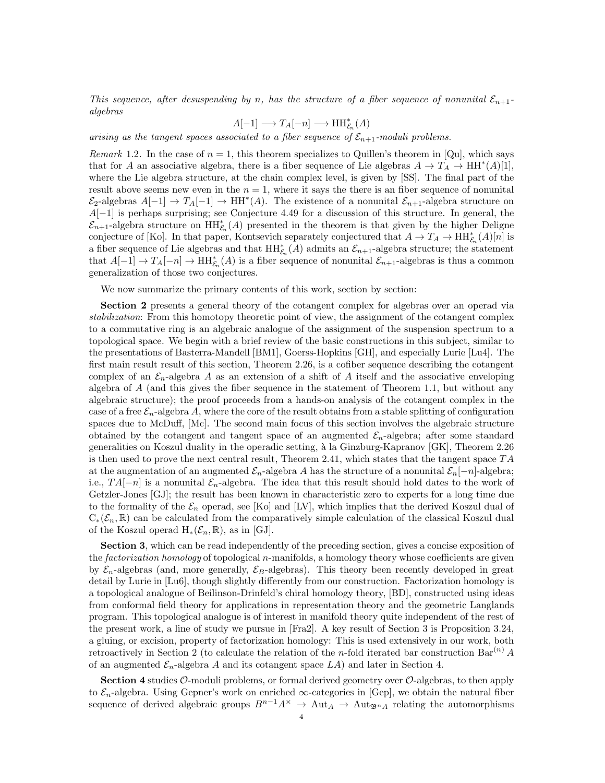This sequence, after desuspending by n, has the structure of a fiber sequence of nonunital  $\mathcal{E}_{n+1}$ . algebras

$$
A[-1] \longrightarrow T_A[-n] \longrightarrow \operatorname{HH}\nolimits_{\mathcal{E}_n}^*(A)
$$

arising as the tangent spaces associated to a fiber sequence of  $\mathcal{E}_{n+1}$ -moduli problems.

Remark 1.2. In the case of  $n = 1$ , this theorem specializes to Quillen's theorem in [Qu], which says that for A an associative algebra, there is a fiber sequence of Lie algebras  $A \to T_A \to HH^*(A)[1],$ where the Lie algebra structure, at the chain complex level, is given by [SS]. The final part of the result above seems new even in the  $n = 1$ , where it says the there is an fiber sequence of nonunital  $\mathcal{E}_2$ -algebras  $A[-1] \to T_A[-1] \to HH^*(A)$ . The existence of a nonunital  $\mathcal{E}_{n+1}$ -algebra structure on A[−1] is perhaps surprising; see Conjecture 4.49 for a discussion of this structure. In general, the  $\mathcal{E}_{n+1}$ -algebra structure on  $\mathrm{HH}_{\mathcal{E}_n}^*(A)$  presented in the theorem is that given by the higher Deligne conjecture of [Ko]. In that paper, Kontsevich separately conjectured that  $A \to T_A \to HH^*_{\mathcal{E}_n}(A)[n]$  is a fiber sequence of Lie algebras and that  $\mathrm{HH}_{\mathcal{E}_n}^*(A)$  admits an  $\mathcal{E}_{n+1}$ -algebra structure; the statement that  $A[-1] \to T_A[-n] \to HH_{\mathcal{E}_n}^*(A)$  is a fiber sequence of nonunital  $\mathcal{E}_{n+1}$ -algebras is thus a common generalization of those two conjectures.

We now summarize the primary contents of this work, section by section:

Section 2 presents a general theory of the cotangent complex for algebras over an operad via stabilization: From this homotopy theoretic point of view, the assignment of the cotangent complex to a commutative ring is an algebraic analogue of the assignment of the suspension spectrum to a topological space. We begin with a brief review of the basic constructions in this subject, similar to the presentations of Basterra-Mandell [BM1], Goerss-Hopkins [GH], and especially Lurie [Lu4]. The first main result result of this section, Theorem 2.26, is a cofiber sequence describing the cotangent complex of an  $\mathcal{E}_n$ -algebra A as an extension of a shift of A itself and the associative enveloping algebra of  $A$  (and this gives the fiber sequence in the statement of Theorem 1.1, but without any algebraic structure); the proof proceeds from a hands-on analysis of the cotangent complex in the case of a free  $\mathcal{E}_n$ -algebra A, where the core of the result obtains from a stable splitting of configuration spaces due to McDuff, [Mc]. The second main focus of this section involves the algebraic structure obtained by the cotangent and tangent space of an augmented  $\mathcal{E}_n$ -algebra; after some standard generalities on Koszul duality in the operadic setting, à la Ginzburg-Kapranov  $[GK]$ , Theorem 2.26 is then used to prove the next central result, Theorem 2.41, which states that the tangent space  $TA$ at the augmentation of an augmented  $\mathcal{E}_n$ -algebra A has the structure of a nonunital  $\mathcal{E}_n[-n]$ -algebra; i.e.,  $TA[-n]$  is a nonunital  $\mathcal{E}_n$ -algebra. The idea that this result should hold dates to the work of Getzler-Jones [GJ]; the result has been known in characteristic zero to experts for a long time due to the formality of the  $\mathcal{E}_n$  operad, see [Ko] and [LV], which implies that the derived Koszul dual of  $C_*(\mathcal{E}_n,\mathbb{R})$  can be calculated from the comparatively simple calculation of the classical Koszul dual of the Koszul operad  $H_*(\mathcal{E}_n,\mathbb{R})$ , as in [GJ].

Section 3, which can be read independently of the preceding section, gives a concise exposition of the *factorization homology* of topological n-manifolds, a homology theory whose coefficients are given by  $\mathcal{E}_n$ -algebras (and, more generally,  $\mathcal{E}_B$ -algebras). This theory been recently developed in great detail by Lurie in [Lu6], though slightly differently from our construction. Factorization homology is a topological analogue of Beilinson-Drinfeld's chiral homology theory, [BD], constructed using ideas from conformal field theory for applications in representation theory and the geometric Langlands program. This topological analogue is of interest in manifold theory quite independent of the rest of the present work, a line of study we pursue in [Fra2]. A key result of Section 3 is Proposition 3.24, a gluing, or excision, property of factorization homology: This is used extensively in our work, both retroactively in Section 2 (to calculate the relation of the *n*-fold iterated bar construction Bar<sup>(n)</sup> A of an augmented  $\mathcal{E}_n$ -algebra A and its cotangent space  $LA$ ) and later in Section 4.

**Section 4** studies  $\mathcal{O}$ -moduli problems, or formal derived geometry over  $\mathcal{O}$ -algebras, to then apply to  $\mathcal{E}_n$ -algebra. Using Gepner's work on enriched  $\infty$ -categories in [Gep], we obtain the natural fiber sequence of derived algebraic groups  $B^{n-1}A^{\times} \to \text{Aut}_A \to \text{Aut}_{\mathfrak{B}^nA}$  relating the automorphisms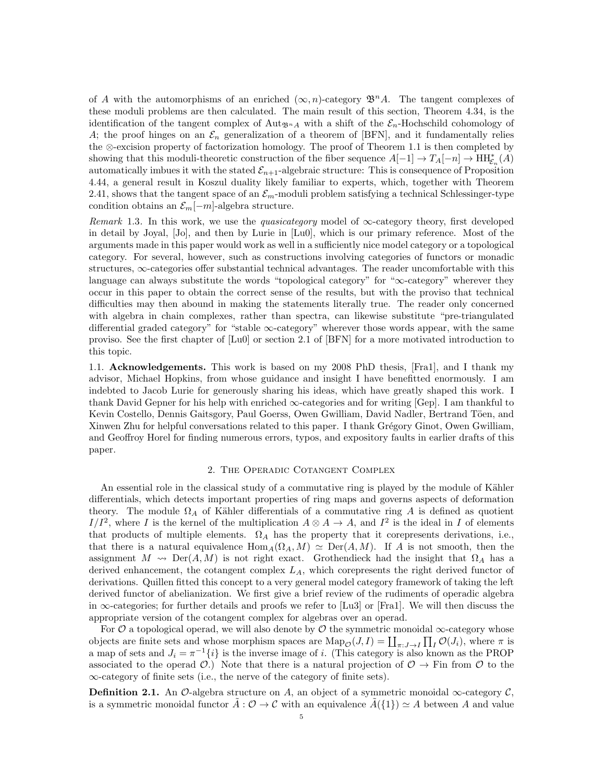of A with the automorphisms of an enriched  $(\infty, n)$ -category  $\mathfrak{B}^n A$ . The tangent complexes of these moduli problems are then calculated. The main result of this section, Theorem 4.34, is the identification of the tangent complex of Aut<sub> $\mathfrak{B}_{n\Lambda}$ </sub> with a shift of the  $\mathcal{E}_n$ -Hochschild cohomology of A; the proof hinges on an  $\mathcal{E}_n$  generalization of a theorem of [BFN], and it fundamentally relies the ⊗-excision property of factorization homology. The proof of Theorem 1.1 is then completed by showing that this moduli-theoretic construction of the fiber sequence  $A[-1] \to T_A[-n] \to HH^*_{\mathcal{E}_n}(A)$ automatically imbues it with the stated  $\mathcal{E}_{n+1}$ -algebraic structure: This is consequence of Proposition 4.44, a general result in Koszul duality likely familiar to experts, which, together with Theorem 2.41, shows that the tangent space of an  $\mathcal{E}_m$ -moduli problem satisfying a technical Schlessinger-type condition obtains an  $\mathcal{E}_m[-m]$ -algebra structure.

Remark 1.3. In this work, we use the *quasicategory* model of  $\infty$ -category theory, first developed in detail by Joyal, [Jo], and then by Lurie in [Lu0], which is our primary reference. Most of the arguments made in this paper would work as well in a sufficiently nice model category or a topological category. For several, however, such as constructions involving categories of functors or monadic structures, ∞-categories offer substantial technical advantages. The reader uncomfortable with this language can always substitute the words "topological category" for "∞-category" wherever they occur in this paper to obtain the correct sense of the results, but with the proviso that technical difficulties may then abound in making the statements literally true. The reader only concerned with algebra in chain complexes, rather than spectra, can likewise substitute "pre-triangulated differential graded category" for "stable  $\infty$ -category" wherever those words appear, with the same proviso. See the first chapter of [Lu0] or section 2.1 of [BFN] for a more motivated introduction to this topic.

1.1. Acknowledgements. This work is based on my 2008 PhD thesis, [Fra1], and I thank my advisor, Michael Hopkins, from whose guidance and insight I have benefitted enormously. I am indebted to Jacob Lurie for generously sharing his ideas, which have greatly shaped this work. I thank David Gepner for his help with enriched ∞-categories and for writing [Gep]. I am thankful to Kevin Costello, Dennis Gaitsgory, Paul Goerss, Owen Gwilliam, David Nadler, Bertrand Töen, and Xinwen Zhu for helpful conversations related to this paper. I thank Grégory Ginot, Owen Gwilliam, and Geoffroy Horel for finding numerous errors, typos, and expository faults in earlier drafts of this paper.

### 2. The Operadic Cotangent Complex

An essential role in the classical study of a commutative ring is played by the module of Kähler differentials, which detects important properties of ring maps and governs aspects of deformation theory. The module  $\Omega_A$  of Kähler differentials of a commutative ring A is defined as quotient  $I/I<sup>2</sup>$ , where I is the kernel of the multiplication  $A \otimes A \to A$ , and  $I<sup>2</sup>$  is the ideal in I of elements that products of multiple elements.  $\Omega_A$  has the property that it corepresents derivations, i.e., that there is a natural equivalence  $\text{Hom}_A(\Omega_A, M) \simeq \text{Der}(A, M)$ . If A is not smooth, then the assignment  $M \rightsquigarrow \text{Der}(A, M)$  is not right exact. Grothendieck had the insight that  $\Omega_A$  has a derived enhancement, the cotangent complex  $L_A$ , which corepresents the right derived functor of derivations. Quillen fitted this concept to a very general model category framework of taking the left derived functor of abelianization. We first give a brief review of the rudiments of operadic algebra in ∞-categories; for further details and proofs we refer to [Lu3] or [Fra1]. We will then discuss the appropriate version of the cotangent complex for algebras over an operad.

For  $\mathcal O$  a topological operad, we will also denote by  $\mathcal O$  the symmetric monoidal  $\infty$ -category whose objects are finite sets and whose morphism spaces are  $\text{Map}_{\mathcal{O}}(J,I) = \coprod_{\pi:J\to I} \prod_{I} \mathcal{O}(J_i)$ , where  $\pi$  is a map of sets and  $J_i = \pi^{-1}{i}$  is the inverse image of i. (This category is also known as the PROP associated to the operad  $\mathcal{O}$ .) Note that there is a natural projection of  $\mathcal{O} \to \text{Fin}$  from  $\mathcal{O}$  to the ∞-category of finite sets (i.e., the nerve of the category of finite sets).

**Definition 2.1.** An  $\mathcal{O}$ -algebra structure on A, an object of a symmetric monoidal  $\infty$ -category  $\mathcal{C}$ , is a symmetric monoidal functor  $\hat{A}$  :  $\mathcal{O} \to \mathcal{C}$  with an equivalence  $\hat{A}(\{1\}) \simeq A$  between A and value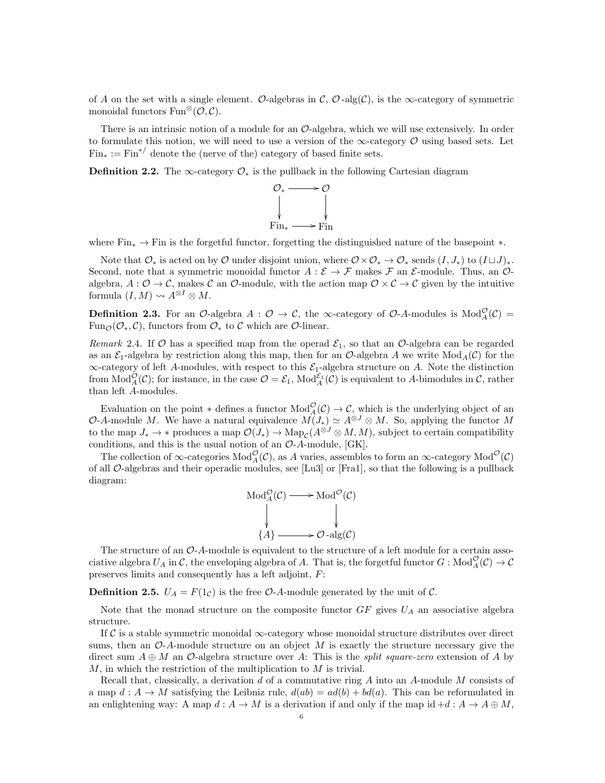of A on the set with a single element. O-algebras in  $\mathcal{C}, \mathcal{O}$ -alg $(\mathcal{C})$ , is the  $\infty$ -category of symmetric monoidal functors  $\text{Fun}^{\otimes}(\mathcal{O}, \mathcal{C}).$ 

There is an intrinsic notion of a module for an  $\mathcal{O}-$ dgebra, which we will use extensively. In order to formulate this notion, we will need to use a version of the  $\infty$ -category  $\mathcal O$  using based sets. Let  $\text{Fin}_{*} := \text{Fin}^{*/}$  denote the (nerve of the) category of based finite sets.

**Definition 2.2.** The  $\infty$ -category  $\mathcal{O}_*$  is the pullback in the following Cartesian diagram



where  $\text{Fin}_{*} \to \text{Fin}$  is the forgetful functor, forgetting the distinguished nature of the basepoint  $*$ .

Note that  $\mathcal{O}_*$  is acted on by  $\mathcal O$  under disjoint union, where  $\mathcal{O} \times \mathcal{O}_* \to \mathcal{O}_*$  sends  $(I, J_*)$  to  $(I \sqcup J)_*.$ Second, note that a symmetric monoidal functor  $A : \mathcal{E} \to \mathcal{F}$  makes  $\mathcal{F}$  an  $\mathcal{E}$ -module. Thus, an  $\mathcal{O}$ algebra,  $A: \mathcal{O} \to \mathcal{C}$ , makes  $\mathcal{C}$  an  $\mathcal{O}$ -module, with the action map  $\mathcal{O} \times \mathcal{C} \to \mathcal{C}$  given by the intuitive formula  $(I, M) \rightsquigarrow A^{\otimes I} \otimes M$ .

**Definition 2.3.** For an  $\mathcal{O}$ -algebra  $A: \mathcal{O} \to \mathcal{C}$ , the  $\infty$ -category of  $\mathcal{O}$ -A-modules is  $Mod_A^{\mathcal{O}}(\mathcal{C})$  = Fun<sub> $\mathcal{O}(\mathcal{O}_*, \mathcal{C})$ , functors from  $\mathcal{O}_*$  to  $\mathcal C$  which are  $\mathcal O$ -linear.</sub>

Remark 2.4. If  $\mathcal O$  has a specified map from the operad  $\mathcal E_1$ , so that an  $\mathcal O$ -algebra can be regarded as an  $\mathcal{E}_1$ -algebra by restriction along this map, then for an O-algebra A we write  $Mod_A(\mathcal{C})$  for the  $\infty$ -category of left A-modules, with respect to this  $\mathcal{E}_1$ -algebra structure on A. Note the distinction from  $Mod_A^{\mathcal{O}}(\mathcal{C})$ ; for instance, in the case  $\mathcal{O} = \mathcal{E}_1$ ,  $Mod_A^{\mathcal{E}_1}(\mathcal{C})$  is equivalent to A-bimodules in  $\mathcal{C}$ , rather than left A-modules.

Evaluation on the point  $*$  defines a functor  $Mod_A^{\mathcal{O}}(\mathcal{C}) \to \mathcal{C}$ , which is the underlying object of an O-A-module M. We have a natural equivalence  $M(J_*) \simeq A^{\otimes J} \otimes M$ . So, applying the functor M to the map  $J_* \to *$  produces a map  $\mathcal{O}(J_*) \to \text{Map}_{\mathcal{C}}(A^{\otimes J} \otimes M, M)$ , subject to certain compatibility conditions, and this is the usual notion of an  $O-A$ -module, [GK].

The collection of  $\infty$ -categories  $Mod_A^{\mathcal{O}}(\mathcal{C})$ , as A varies, assembles to form an  $\infty$ -category  $Mod^{\mathcal{O}}(\mathcal{C})$ of all O-algebras and their operadic modules, see [Lu3] or [Fra1], so that the following is a pullback diagram:

$$
Mod_A^{\mathcal{O}}(\mathcal{C}) \longrightarrow Mod^{\mathcal{O}}(\mathcal{C})
$$
  
\n
$$
\downarrow \qquad \qquad \downarrow
$$
  
\n
$$
\{A\} \longrightarrow \mathcal{O} - alg(\mathcal{C})
$$

The structure of an  $\mathcal{O}\text{-}A$ -module is equivalent to the structure of a left module for a certain associative algebra  $U_A$  in  $C$ , the enveloping algebra of A. That is, the forgetful functor  $G : Mod_A^{\mathcal{O}}(\mathcal{C}) \to \mathcal{C}$ preserves limits and consequently has a left adjoint, F:

**Definition 2.5.**  $U_A = F(1_C)$  is the free  $O$ -A-module generated by the unit of C.

Note that the monad structure on the composite functor  $GF$  gives  $U_A$  an associative algebra structure.

If C is a stable symmetric monoidal  $\infty$ -category whose monoidal structure distributes over direct sums, then an  $\mathcal{O}\text{-}A$ -module structure on an object M is exactly the structure necessary give the direct sum  $A \oplus M$  an  $\mathcal{O}$ -algebra structure over A: This is the *split square-zero* extension of A by  $M$ , in which the restriction of the multiplication to  $M$  is trivial.

Recall that, classically, a derivation  $d$  of a commutative ring  $A$  into an  $A$ -module  $M$  consists of a map  $d: A \to M$  satisfying the Leibniz rule,  $d(ab) = ad(b) + bd(a)$ . This can be reformulated in an enlightening way: A map  $d: A \to M$  is a derivation if and only if the map id  $+d: A \to A \oplus M$ ,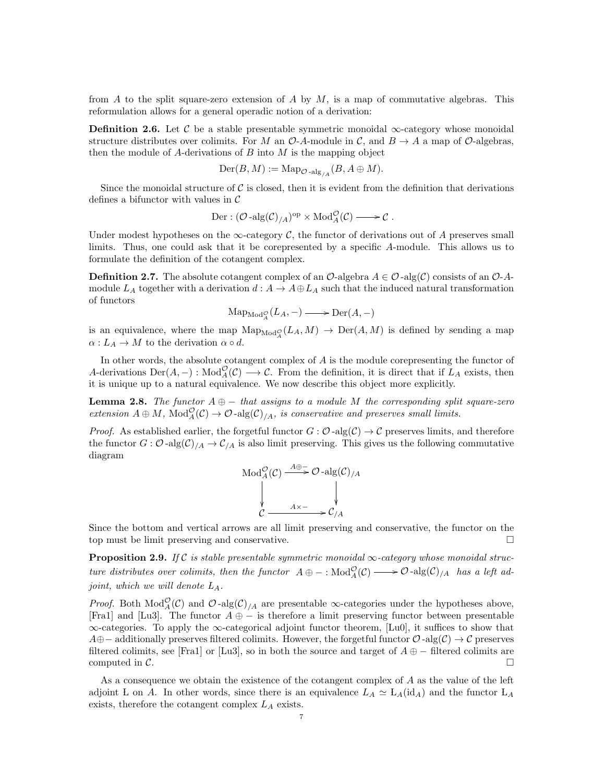from A to the split square-zero extension of A by  $M$ , is a map of commutative algebras. This reformulation allows for a general operadic notion of a derivation:

**Definition 2.6.** Let C be a stable presentable symmetric monoidal  $\infty$ -category whose monoidal structure distributes over colimits. For M an  $\mathcal{O}\text{-}A\text{-module}$  in C, and  $B \to A$  a map of  $\mathcal{O}\text{-}algebras$ , then the module of A-derivations of  $B$  into  $M$  is the mapping object

$$
\mathrm{Der}(B,M):=\mathrm{Map}_{\mathcal{O} -\mathrm{alg}_{/A}}(B,A\oplus M).
$$

Since the monoidal structure of  $\mathcal C$  is closed, then it is evident from the definition that derivations defines a bifunctor with values in  $\mathcal C$ 

Der: 
$$
(\mathcal{O}\text{-alg}(\mathcal{C})_{/A})^{\text{op}} \times \text{Mod}_A^{\mathcal{O}}(\mathcal{C}) \longrightarrow \mathcal{C}
$$
.

Under modest hypotheses on the  $\infty$ -category C, the functor of derivations out of A preserves small limits. Thus, one could ask that it be corepresented by a specific A-module. This allows us to formulate the definition of the cotangent complex.

**Definition 2.7.** The absolute cotangent complex of an  $\mathcal{O}$ -algebra  $A \in \mathcal{O}$ -alg $(\mathcal{C})$  consists of an  $\mathcal{O}$ -Amodule  $L_A$  together with a derivation  $d: A \to A \oplus L_A$  such that the induced natural transformation of functors

$$
\mathrm{Map}_{\mathrm{Mod}_A^{\mathcal{O}}}(L_A, -) \longrightarrow \mathrm{Der}(A, -)
$$

is an equivalence, where the map  $\text{Map}_{\text{Mod}_A^{\mathcal{O}}}(L_A, M) \to \text{Der}(A, M)$  is defined by sending a map  $\alpha: L_A \to M$  to the derivation  $\alpha \circ d$ .

In other words, the absolute cotangent complex of  $A$  is the module corepresenting the functor of A-derivations  $Der(A, -): Mod_A^{\mathcal{O}}(\mathcal{C}) \longrightarrow \mathcal{C}$ . From the definition, it is direct that if  $L_A$  exists, then it is unique up to a natural equivalence. We now describe this object more explicitly.

**Lemma 2.8.** The functor  $A \oplus -$  that assigns to a module M the corresponding split square-zero extension  $A \oplus M$ ,  $Mod_A^{\mathcal{O}}(\mathcal{C}) \to \mathcal{O}$ -alg $(\mathcal{C})_{/A}$ , is conservative and preserves small limits.

*Proof.* As established earlier, the forgetful functor  $G: \mathcal{O}$ -alg $(\mathcal{C}) \to \mathcal{C}$  preserves limits, and therefore the functor  $G: \mathcal{O}$ -alg $(\mathcal{C})/A \to \mathcal{C}/A$  is also limit preserving. This gives us the following commutative diagram

Mod<sub>A</sub><sup>O</sup>(C) 
$$
\xrightarrow{A \oplus -}
$$
 O-alg(C)<sub>/A</sub>  
 $\downarrow$   
 $\downarrow$   
 $\downarrow$   
 $\downarrow$   
 $\downarrow$   
 $\downarrow$   
 $\downarrow$   
 $\downarrow$   
 $\downarrow$   
 $\downarrow$   
 $\downarrow$   
 $\downarrow$   
 $\downarrow$   
 $\downarrow$   
 $\downarrow$   
 $\downarrow$   
 $\downarrow$   
 $\downarrow$   
 $\downarrow$   
 $\downarrow$   
 $\downarrow$   
 $\downarrow$   
 $\downarrow$   
 $\downarrow$   
 $\downarrow$   
 $\downarrow$   
 $\downarrow$   
 $\downarrow$   
 $\downarrow$   
 $\downarrow$   
 $\downarrow$   
 $\downarrow$   
 $\downarrow$   
 $\downarrow$   
 $\downarrow$   
 $\downarrow$   
 $\downarrow$   
 $\downarrow$   
 $\downarrow$   
 $\downarrow$   
 $\downarrow$   
 $\downarrow$   
 $\downarrow$   
 $\downarrow$   
 $\downarrow$   
 $\downarrow$   
 $\downarrow$   
 $\downarrow$   
 $\downarrow$   
 $\downarrow$   
 $\downarrow$   
 $\downarrow$   
 $\downarrow$   
 $\downarrow$   
 $\downarrow$   
 $\downarrow$   
 $\downarrow$   
 $\downarrow$   
 $\downarrow$   
 $\downarrow$   
 $\downarrow$   
 $\downarrow$   
 $\downarrow$   
 $\downarrow$   
 $\downarrow$   
 $\downarrow$   
 $\downarrow$   
 $\downarrow$   
 $\downarrow$   
 $\downarrow$   
 $\downarrow$   
 $\downarrow$   
 $\downarrow$   
 $\downarrow$   
 $\downarrow$   
 $\downarrow$   
 $\downarrow$   
 $\downarrow$   
 $\downarrow$   
 $\downarrow$   
 $\downarrow$ 

Since the bottom and vertical arrows are all limit preserving and conservative, the functor on the top must be limit preserving and conservative.

**Proposition 2.9.** If C is stable presentable symmetric monoidal  $\infty$ -category whose monoidal structure distributes over colimits, then the functor  $A \oplus -$ :  $Mod_A^{\mathcal{O}}(\mathcal{C}) \longrightarrow \mathcal{O}$ -alg $(\mathcal{C})_{/A}$  has a left adjoint, which we will denote  $L_A$ .

*Proof.* Both Mod<sub>A</sub> $(C)$  and  $\mathcal{O}$ -alg $(C)_{/A}$  are presentable  $\infty$ -categories under the hypotheses above, [Fra1] and [Lu3]. The functor  $A \oplus -$  is therefore a limit preserving functor between presentable ∞-categories. To apply the ∞-categorical adjoint functor theorem, [Lu0], it suffices to show that  $A\oplus$  – additionally preserves filtered colimits. However, the forgetful functor  $\mathcal{O}$ -alg( $\mathcal{C}$ ) →  $\mathcal{C}$  preserves filtered colimits, see [Fra1] or [Lu3], so in both the source and target of  $A \oplus -$  filtered colimits are computed in  $\mathcal{C}$ .

As a consequence we obtain the existence of the cotangent complex of A as the value of the left adjoint L on A. In other words, since there is an equivalence  $L_A \simeq L_A(\text{id}_A)$  and the functor  $L_A$ exists, therefore the cotangent complex  $L_A$  exists.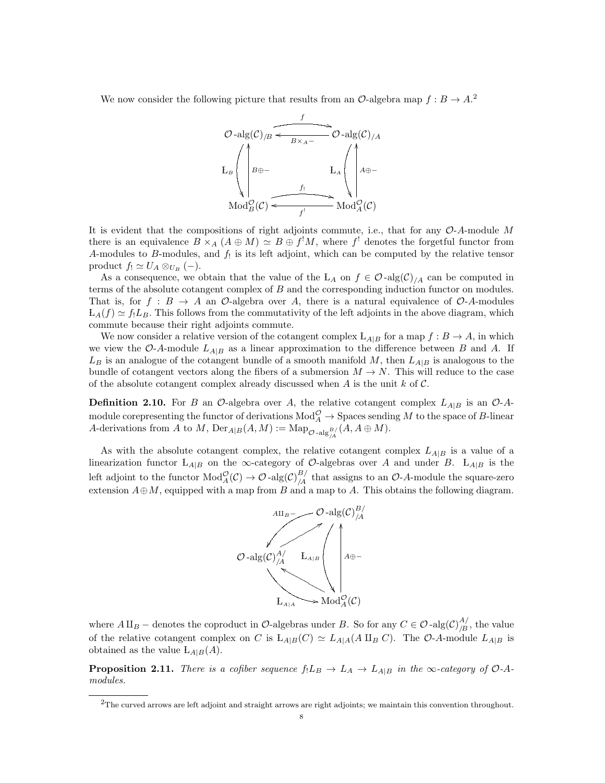We now consider the following picture that results from an  $\mathcal{O}$ -algebra map  $f : B \to A$ <sup>2</sup>



It is evident that the compositions of right adjoints commute, i.e., that for any  $\mathcal{O}\text{-}A\text{-module }M$ there is an equivalence  $B \times_A (A \oplus M) \simeq B \oplus f^!M$ , where  $f^!$  denotes the forgetful functor from A-modules to B-modules, and  $f_!$  is its left adjoint, which can be computed by the relative tensor product  $f_! \simeq U_A \otimes_{U_B} (-).$ 

As a consequence, we obtain that the value of the L<sub>A</sub> on  $f \in \mathcal{O}$ -alg $(\mathcal{C})/A$  can be computed in terms of the absolute cotangent complex of B and the corresponding induction functor on modules. That is, for  $f : B \to A$  an  $\mathcal{O}$ -algebra over A, there is a natural equivalence of  $\mathcal{O}$ -A-modules  $L_A(f) \simeq f_1L_B$ . This follows from the commutativity of the left adjoints in the above diagram, which commute because their right adjoints commute.

We now consider a relative version of the cotangent complex  $L_{A|B}$  for a map  $f : B \to A$ , in which we view the O-A-module  $L_{A|B}$  as a linear approximation to the difference between B and A. If  $L_B$  is an analogue of the cotangent bundle of a smooth manifold M, then  $L_{A|B}$  is analogous to the bundle of cotangent vectors along the fibers of a submersion  $M \to N$ . This will reduce to the case of the absolute cotangent complex already discussed when A is the unit  $k$  of  $\mathcal{C}$ .

**Definition 2.10.** For B an  $\mathcal{O}$ -algebra over A, the relative cotangent complex  $L_{A|B}$  is an  $\mathcal{O}$ -Amodule corepresenting the functor of derivations  $Mod_A^{\mathcal{O}} \to$  Spaces sending M to the space of B-linear A-derivations from A to M,  $\mathrm{Der}_{A|B}(A,M) := \mathrm{Map}_{\mathcal{O} - \mathrm{alg}_{\mathcal{A}}^{B}}(A, A \oplus M).$ 

As with the absolute cotangent complex, the relative cotangent complex  $L_{A|B}$  is a value of a linearization functor  $L_{A|B}$  on the  $\infty$ -category of  $\mathcal{O}$ -algebras over A and under B.  $L_{A|B}$  is the left adjoint to the functor  $Mod_A^{\mathcal{O}}(\mathcal{C}) \to \mathcal{O}$ -alg $(\mathcal{C})_{/A}^{B}$  that assigns to an  $\mathcal{O}\text{-}A$ -module the square-zero extension  $A \oplus M$ , equipped with a map from B and a map to A. This obtains the following diagram.



where  $A \amalg_B$  – denotes the coproduct in  $\mathcal{O}\text{-algebras}$  under B. So for any  $C \in \mathcal{O}\text{-alg}(\mathcal{C})_{B}^{A'}$ , the value of the relative cotangent complex on C is  $L_{A|B}(C) \simeq L_{A|A}(A \amalg_B C)$ . The O-A-module  $L_{A|B}$  is obtained as the value  $L_{A|B}(A)$ .

**Proposition 2.11.** There is a cofiber sequence  $f_1L_B \to L_A \to L_{A|B}$  in the  $\infty$ -category of  $\mathcal{O}\text{-}A$ modules.

 ${}^{2}$ The curved arrows are left adjoint and straight arrows are right adjoints; we maintain this convention throughout.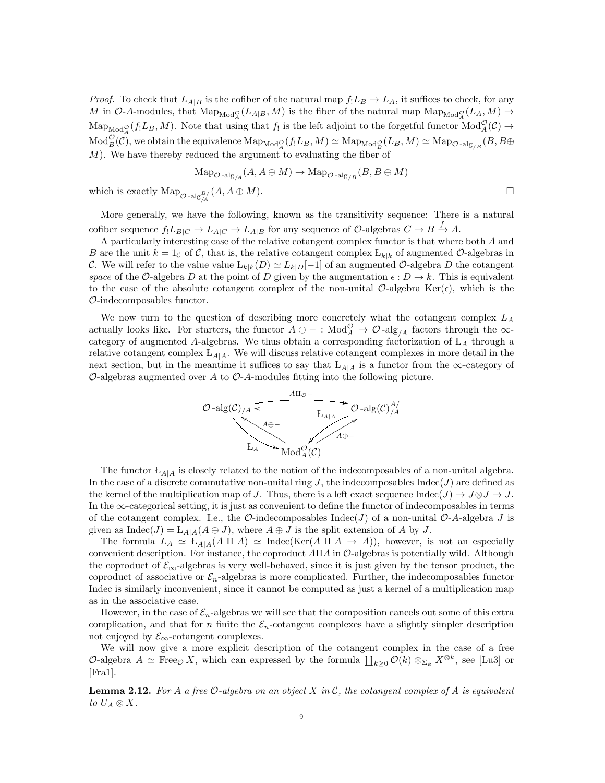*Proof.* To check that  $L_{A|B}$  is the cofiber of the natural map  $f_L B \to L_A$ , it suffices to check, for any M in O-A-modules, that  $\text{Map}_{\text{Mod}_A^{\mathcal{O}}}(L_{A|B}, M)$  is the fiber of the natural map  $\text{Map}_{\text{Mod}_A^{\mathcal{O}}}(L_A, M) \to$  $\text{Map}_{\text{Mod}_A^{\mathcal{O}}}(f_!L_B,M)$ . Note that using that  $f_!$  is the left adjoint to the forgetful functor  $\text{Mod}_A^{\mathcal{O}}(\mathcal{C}) \to$  $\mathrm{Mod}^{\mathcal{O}}_B(\mathcal{C}),$  we obtain the equivalence  $\mathrm{Map}_{\mathrm{Mod}^{\mathcal{O}}_A}(f_!L_B,M)\simeq \mathrm{Map}_{\mathrm{Mod}^{\mathcal{O}}_B}(L_B,M)\simeq \mathrm{Map}_{\mathcal{O}\text{-alg}_{/B}}(B,B\oplus B)$  $M$ ). We have thereby reduced the argument to evaluating the fiber of

$$
\text{Map}_{\mathcal{O}\text{-alg}_{/A}}(A, A \oplus M) \to \text{Map}_{\mathcal{O}\text{-alg}_{/B}}(B, B \oplus M)
$$

which is exactly  $\text{Map}_{\mathcal{O} - \text{alg}_{\mathcal{A}}^{B}}(A, A \oplus M)$ .

More generally, we have the following, known as the transitivity sequence: There is a natural cofiber sequence  $f_!L_{B|C} \to L_{A|C} \to L_{A|B}$  for any sequence of  $\mathcal{O}$ -algebras  $C \to B \xrightarrow{f} A$ .

A particularly interesting case of the relative cotangent complex functor is that where both A and B are the unit  $k = 1<sub>C</sub>$  of C, that is, the relative cotangent complex  $L_{k|k}$  of augmented O-algebras in C. We will refer to the value value  $L_{k|k}(D) \simeq L_{k|D}[-1]$  of an augmented  $\mathcal{O}$ -algebra D the cotangent space of the O-algebra D at the point of D given by the augmentation  $\epsilon : D \to k$ . This is equivalent to the case of the absolute cotangent complex of the non-unital  $\mathcal{O}\text{-algebra } \text{Ker}(\epsilon)$ , which is the O-indecomposables functor.

We now turn to the question of describing more concretely what the cotangent complex  $L_A$ actually looks like. For starters, the functor  $A \oplus -$ :  $Mod_A^{\mathcal{O}} \to \mathcal{O}$ -alg<sub>/A</sub> factors through the  $\infty$ category of augmented A-algebras. We thus obtain a corresponding factorization of  $L_A$  through a relative cotangent complex  $L_{A|A}$ . We will discuss relative cotangent complexes in more detail in the next section, but in the meantime it suffices to say that  $L_{A|A}$  is a functor from the  $\infty$ -category of  $\mathcal{O}$ -algebras augmented over A to  $\mathcal{O}$ -A-modules fitting into the following picture.



The functor  $L_{A|A}$  is closely related to the notion of the indecomposables of a non-unital algebra. In the case of a discrete commutative non-unital ring  $J$ , the indecomposables  $Indec(J)$  are defined as the kernel of the multiplication map of J. Thus, there is a left exact sequence Indec(J)  $\rightarrow J \otimes J \rightarrow J$ . In the ∞-categorical setting, it is just as convenient to define the functor of indecomposables in terms of the cotangent complex. I.e., the  $\mathcal{O}\text{-}$  indecomposables Indec(J) of a non-unital  $\mathcal{O}\text{-}A$ -algebra J is given as  $\text{Indec}(J) = L_{A|A}(A \oplus J)$ , where  $A \oplus J$  is the split extension of A by J.

The formula  $L_A \simeq L_{A|A}(A \amalg A) \simeq \text{Index}(\text{Ker}(A \amalg A \rightarrow A))$ , however, is not an especially convenient description. For instance, the coproduct  $A\amalg A$  in  $\mathcal O$ -algebras is potentially wild. Although the coproduct of  $\mathcal{E}_{\infty}$ -algebras is very well-behaved, since it is just given by the tensor product, the coproduct of associative or  $\mathcal{E}_n$ -algebras is more complicated. Further, the indecomposables functor Indec is similarly inconvenient, since it cannot be computed as just a kernel of a multiplication map as in the associative case.

However, in the case of  $\mathcal{E}_n$ -algebras we will see that the composition cancels out some of this extra complication, and that for n finite the  $\mathcal{E}_n$ -cotangent complexes have a slightly simpler description not enjoyed by  $\mathcal{E}_{\infty}$ -cotangent complexes.

We will now give a more explicit description of the cotangent complex in the case of a free O-algebra  $A \simeq \text{Free}_{\mathcal{O}} X$ , which can expressed by the formula  $\coprod_{k\geq 0} \mathcal{O}(k) \otimes_{\Sigma_k} X^{\otimes k}$ , see [Lu3] or [Fra1].

**Lemma 2.12.** For A a free O-algebra on an object X in C, the cotangent complex of A is equivalent to  $U_A \otimes X$ .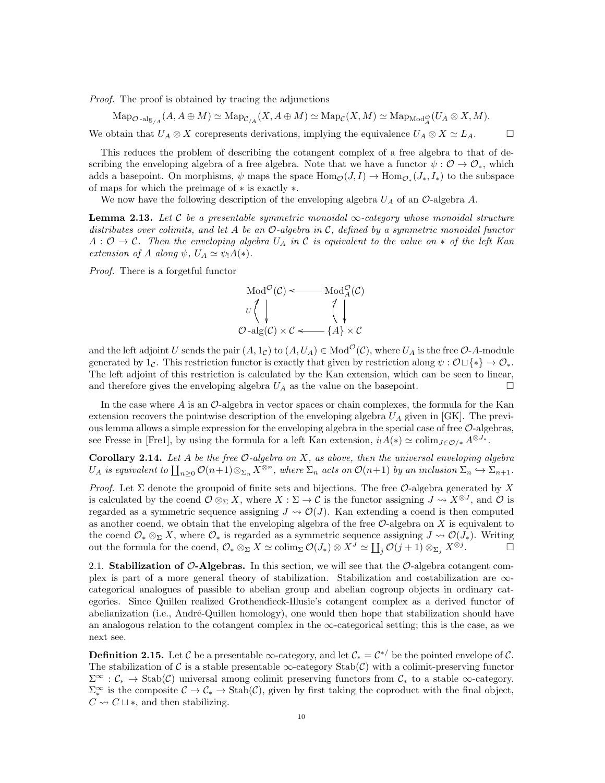Proof. The proof is obtained by tracing the adjunctions

 $\mathrm{Map}_{\mathcal{O} \text{-alg}_{/A}}(A, A \oplus M) \simeq \mathrm{Map}_{\mathcal{C}/A}(X, A \oplus M) \simeq \mathrm{Map}_{\mathcal{C}}(X, M) \simeq \mathrm{Map}_{\mathrm{Mod}_A^{\mathcal{O}}}(U_A \otimes X, M).$ We obtain that  $U_A \otimes X$  corepresents derivations, implying the equivalence  $U_A \otimes X \simeq L_A$ .

This reduces the problem of describing the cotangent complex of a free algebra to that of describing the enveloping algebra of a free algebra. Note that we have a functor  $\psi : \mathcal{O} \to \mathcal{O}_*$ , which adds a basepoint. On morphisms,  $\psi$  maps the space  $\text{Hom}_{\mathcal{O}}(J, I) \to \text{Hom}_{\mathcal{O}_*}(J_*, I_*)$  to the subspace of maps for which the preimage of ∗ is exactly ∗.

We now have the following description of the enveloping algebra  $U_A$  of an  $\mathcal{O}$ -algebra A.

**Lemma 2.13.** Let C be a presentable symmetric monoidal  $\infty$ -category whose monoidal structure distributes over colimits, and let A be an  $\mathcal{O}$ -algebra in C, defined by a symmetric monoidal functor  $A: \mathcal{O} \to \mathcal{C}$ . Then the enveloping algebra  $U_A$  in C is equivalent to the value on  $*$  of the left Kan extension of A along  $\psi$ ,  $U_A \simeq \psi_1 A(*)$ .

Proof. There is a forgetful functor

$$
\text{Mod}^{\mathcal{O}}(\mathcal{C}) \longleftarrow \text{Mod}^{\mathcal{O}}_{A}(\mathcal{C})
$$

$$
U \begin{pmatrix} \downarrow & \downarrow \\ \downarrow & \downarrow \\ \mathcal{O} - \text{alg}(\mathcal{C}) \times \mathcal{C} \longleftarrow \{A\} \times \mathcal{C} \end{pmatrix}
$$

and the left adjoint U sends the pair  $(A, 1_C)$  to  $(A, U_A) \in Mod^{\mathcal{O}}(\mathcal{C})$ , where  $U_A$  is the free  $\mathcal{O}\text{-}A\text{-module}$ generated by 1c. This restriction functor is exactly that given by restriction along  $\psi : \mathcal{O} \sqcup \{*\} \to \mathcal{O}_*$ . The left adjoint of this restriction is calculated by the Kan extension, which can be seen to linear, and therefore gives the enveloping algebra  $U_A$  as the value on the basepoint.

In the case where A is an  $\mathcal{O}$ -algebra in vector spaces or chain complexes, the formula for the Kan extension recovers the pointwise description of the enveloping algebra  $U_A$  given in [GK]. The previous lemma allows a simple expression for the enveloping algebra in the special case of free  $\mathcal{O}$ -algebras, see Fresse in [Fre1], by using the formula for a left Kan extension,  $i_1A(*) \simeq \mathrm{colim}_{J\in\mathcal{O}/*} A^{\otimes J_*}$ .

**Corollary 2.14.** Let A be the free  $\mathcal{O}$ -algebra on X, as above, then the universal enveloping algebra  $U_A$  is equivalent to  $\prod_{n\geq 0} \mathcal{O}(n+1)\otimes_{\Sigma_n} X^{\otimes n}$ , where  $\Sigma_n$  acts on  $\mathcal{O}(n+1)$  by an inclusion  $\Sigma_n \hookrightarrow \Sigma_{n+1}$ .

Proof. Let  $\Sigma$  denote the groupoid of finite sets and bijections. The free  $\mathcal O$ -algebra generated by X is calculated by the coend  $\mathcal{O}\otimes_{\Sigma} X$ , where  $X:\Sigma\to\mathcal{C}$  is the functor assigning  $J\rightsquigarrow X^{\otimes J}$ , and  $\mathcal{O}$  is regarded as a symmetric sequence assigning  $J \leadsto \mathcal{O}(J)$ . Kan extending a coend is then computed as another coend, we obtain that the enveloping algebra of the free  $\mathcal{O}$ -algebra on X is equivalent to the coend  $\mathcal{O}_* \otimes_{\Sigma} X$ , where  $\mathcal{O}_*$  is regarded as a symmetric sequence assigning  $J \leadsto \mathcal{O}(J_*)$ . Writing out the formula for the coend,  $\mathcal{O}_* \otimes_{\Sigma} X \simeq \operatorname{colim}_{\Sigma} \mathcal{O}(J_*) \otimes X^J \simeq \coprod_j \mathcal{O}(j+1) \otimes_{\Sigma_j} X^{\otimes j}$ . — О

2.1. Stabilization of  $\mathcal{O}-$ Algebras. In this section, we will see that the  $\mathcal{O}-$ algebra cotangent complex is part of a more general theory of stabilization. Stabilization and costabilization are ∞categorical analogues of passible to abelian group and abelian cogroup objects in ordinary categories. Since Quillen realized Grothendieck-Illusie's cotangent complex as a derived functor of abelianization (i.e., André-Quillen homology), one would then hope that stabilization should have an analogous relation to the cotangent complex in the  $\infty$ -categorical setting; this is the case, as we next see.

**Definition 2.15.** Let C be a presentable  $\infty$ -category, and let  $C_* = C^{*/}$  be the pointed envelope of C. The stabilization of C is a stable presentable  $\infty$ -category Stab $(C)$  with a colimit-preserving functor  $\Sigma^{\infty}$ :  $\mathcal{C}_{*} \to \text{Stab}(\mathcal{C})$  universal among colimit preserving functors from  $\mathcal{C}_{*}$  to a stable  $\infty$ -category.  $\Sigma_*^{\infty}$  is the composite  $C \to C_* \to \text{Stab}(\mathcal{C})$ , given by first taking the coproduct with the final object,  $C \rightsquigarrow C \sqcup *$ , and then stabilizing.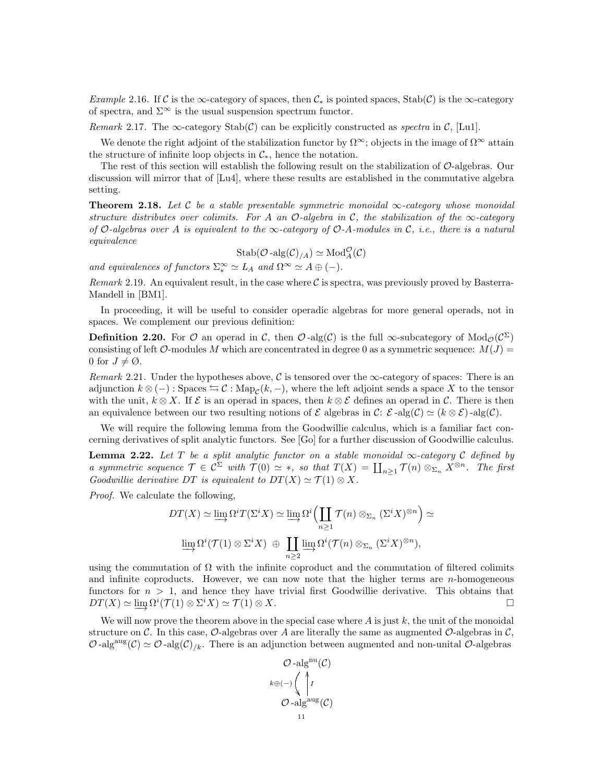Example 2.16. If C is the ∞-category of spaces, then  $C_*$  is pointed spaces, Stab(C) is the ∞-category of spectra, and  $\Sigma^{\infty}$  is the usual suspension spectrum functor.

Remark 2.17. The  $\infty$ -category  $\text{Stab}(\mathcal{C})$  can be explicitly constructed as spectra in  $\mathcal{C}$ , [Lu1].

We denote the right adjoint of the stabilization functor by  $\Omega^{\infty}$ ; objects in the image of  $\Omega^{\infty}$  attain the structure of infinite loop objects in  $\mathcal{C}_{*}$ , hence the notation.

The rest of this section will establish the following result on the stabilization of O-algebras. Our discussion will mirror that of [Lu4], where these results are established in the commutative algebra setting.

**Theorem 2.18.** Let C be a stable presentable symmetric monoidal  $\infty$ -category whose monoidal structure distributes over colimits. For A an  $\mathcal{O}$ -algebra in C, the stabilization of the  $\infty$ -category of O-algebras over A is equivalent to the  $\infty$ -category of O-A-modules in C, i.e., there is a natural equivalence

$$
\mathrm{Stab}(\mathcal{O}\text{-}\mathrm{alg}(\mathcal{C})_{/A})\simeq \mathrm{Mod}_A^\mathcal{O}(\mathcal{C})
$$

and equivalences of functors  $\Sigma^{\infty}_* \simeq L_A$  and  $\Omega^{\infty} \simeq A \oplus (-)$ .

Remark 2.19. An equivalent result, in the case where  $\mathcal C$  is spectra, was previously proved by Basterra-Mandell in [BM1].

In proceeding, it will be useful to consider operadic algebras for more general operads, not in spaces. We complement our previous definition:

**Definition 2.20.** For  $\mathcal O$  an operad in  $\mathcal C$ , then  $\mathcal O$ -alg( $\mathcal C$ ) is the full  $\infty$ -subcategory of  $\text{Mod}_{\mathcal O}(\mathcal C^{\Sigma})$ consisting of left O-modules M which are concentrated in degree 0 as a symmetric sequence:  $M(J)$  = 0 for  $J \neq \emptyset$ .

Remark 2.21. Under the hypotheses above, C is tensored over the  $\infty$ -category of spaces: There is an adjunction  $k \otimes (-)$ : Spaces  $\hookrightarrow \mathcal{C}$ : Map<sub>C</sub> $(k, -)$ , where the left adjoint sends a space X to the tensor with the unit,  $k \otimes X$ . If  $\mathcal{E}$  is an operad in spaces, then  $k \otimes \mathcal{E}$  defines an operad in C. There is then an equivalence between our two resulting notions of  $\mathcal E$  algebras in  $\mathcal C: \mathcal E$ -alg $(\mathcal C) \simeq (k \otimes \mathcal E)$ -alg $(\mathcal C)$ .

We will require the following lemma from the Goodwillie calculus, which is a familiar fact concerning derivatives of split analytic functors. See [Go] for a further discussion of Goodwillie calculus.

**Lemma 2.22.** Let T be a split analytic functor on a stable monoidal  $\infty$ -category C defined by a symmetric sequence  $\mathcal{T} \in \mathcal{C}^{\Sigma}$  with  $\mathcal{T}(0) \simeq *$ , so that  $T(X) = \coprod_{n \geq 1} \mathcal{T}(n) \otimes_{\Sigma_n} X^{\otimes n}$ . The first Goodwillie derivative DT is equivalent to  $DT(X) \simeq \mathcal{T}(1) \otimes X$ .

Proof. We calculate the following,

$$
DT(X) \simeq \varinjlim \Omega^{i} T(\Sigma^{i} X) \simeq \varinjlim \Omega^{i} \Big( \coprod_{n \geq 1} \mathcal{T}(n) \otimes_{\Sigma_{n}} (\Sigma^{i} X)^{\otimes n} \Big) \simeq
$$

$$
\varinjlim \Omega^{i} (\mathcal{T}(1) \otimes \Sigma^{i} X) \oplus \coprod_{n \geq 2} \varinjlim \Omega^{i} (\mathcal{T}(n) \otimes_{\Sigma_{n}} (\Sigma^{i} X)^{\otimes n}),
$$

using the commutation of  $\Omega$  with the infinite coproduct and the commutation of filtered colimits and infinite coproducts. However, we can now note that the higher terms are  $n$ -homogeneous functors for  $n > 1$ , and hence they have trivial first Goodwillie derivative. This obtains that  $DT(X) \simeq \varinjlim \Omega^{i}(\mathcal{T}(1) \otimes \Sigma^{i} X) \simeq \mathcal{T}(1) \otimes X.$ 

We will now prove the theorem above in the special case where  $A$  is just  $k$ , the unit of the monoidal structure on C. In this case, O-algebras over A are literally the same as augmented O-algebras in  $\mathcal{C}$ ,  $\mathcal{O}$ -alg<sup>aug</sup> $(\mathcal{C}) \simeq \mathcal{O}$ -alg $(\mathcal{C})_{k}$ . There is an adjunction between augmented and non-unital  $\mathcal{O}$ -algebras

$$
\mathcal{O}\text{-}\mathrm{alg}^{\mathrm{nu}}(\mathcal{C})
$$

$$
k \oplus (-)\left(\bigwedge_{i=1}^{k} I_i\right)
$$

$$
\mathcal{O}\text{-}\mathrm{alg}^{\mathrm{aug}}(\mathcal{C})
$$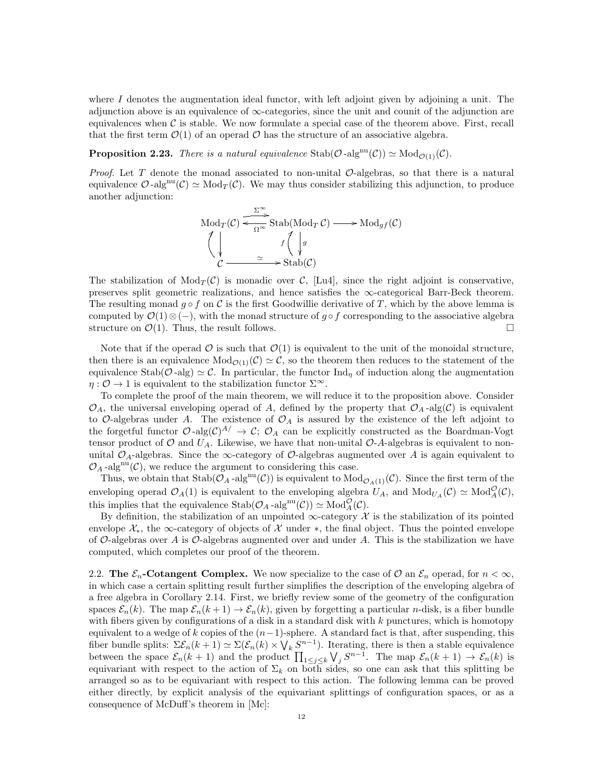where  $I$  denotes the augmentation ideal functor, with left adjoint given by adjoining a unit. The adjunction above is an equivalence of  $\infty$ -categories, since the unit and counit of the adjunction are equivalences when  $\mathcal C$  is stable. We now formulate a special case of the theorem above. First, recall that the first term  $\mathcal{O}(1)$  of an operad  $\mathcal O$  has the structure of an associative algebra.

**Proposition 2.23.** There is a natural equivalence  $\text{Stab}(\mathcal{O}\text{-alg}^{\text{nu}}(\mathcal{C})) \simeq \text{Mod}_{\mathcal{O}(1)}(\mathcal{C}).$ 

*Proof.* Let T denote the monad associated to non-unital  $\mathcal{O}$ -algebras, so that there is a natural equivalence  $\mathcal{O}$ -alg<sup>nu</sup>( $\mathcal{C}$ )  $\simeq$  Mod<sub>T</sub>( $\mathcal{C}$ ). We may thus consider stabilizing this adjunction, to produce another adjunction:

Mod<sub>T</sub>(
$$
C
$$
)  $\xrightarrow{\Sigma^{\infty}}$ Stab(Mod<sub>T</sub> $C$ )  $\longrightarrow$  Mod<sub>gf</sub>( $C$ )  
 $\left\langle \downarrow \qquad \qquad f \left\langle \downarrow g \right\rangle$   
 $C \xrightarrow{\simeq} \text{Stab}(C)$ 

The stabilization of  $Mod_T(\mathcal{C})$  is monadic over  $\mathcal{C}$ , [Lu4], since the right adjoint is conservative, preserves split geometric realizations, and hence satisfies the  $\infty$ -categorical Barr-Beck theorem. The resulting monad  $g \circ f$  on C is the first Goodwillie derivative of T, which by the above lemma is computed by  $\mathcal{O}(1)\otimes(-)$ , with the monad structure of g ∘ f corresponding to the associative algebra structure on  $\mathcal{O}(1)$ . Thus, the result follows.

Note that if the operad  $\mathcal O$  is such that  $\mathcal O(1)$  is equivalent to the unit of the monoidal structure, then there is an equivalence  $Mod_{\mathcal{O}(1)}(\mathcal{C}) \simeq \mathcal{C}$ , so the theorem then reduces to the statement of the equivalence Stab $(\mathcal{O}$ -alg)  $\simeq \mathcal{C}$ . In particular, the functor Ind<sub>n</sub> of induction along the augmentation  $\eta: \mathcal{O} \to 1$  is equivalent to the stabilization functor  $\Sigma^{\infty}$ .

To complete the proof of the main theorem, we will reduce it to the proposition above. Consider  $\mathcal{O}_A$ , the universal enveloping operad of A, defined by the property that  $\mathcal{O}_A$ -alg(C) is equivalent to  $\mathcal{O}_{\text{-algebras}}$  under A. The existence of  $\mathcal{O}_A$  is assured by the existence of the left adjoint to the forgetful functor  $\mathcal{O}$ -alg $(\mathcal{C})^{A}$   $\rightarrow$   $\mathcal{C}$ ;  $\mathcal{O}_A$  can be explicitly constructed as the Boardman-Vogt tensor product of O and  $U_A$ . Likewise, we have that non-unital O-A-algebras is equivalent to nonunital  $\mathcal{O}_A$ -algebras. Since the  $\infty$ -category of  $\mathcal{O}$ -algebras augmented over A is again equivalent to  $\mathcal{O}_A$ -alg<sup>nu</sup>(C), we reduce the argument to considering this case.

Thus, we obtain that  $\text{Stab}(\mathcal{O}_A - \text{alg}^{\text{nu}}(\mathcal{C}))$  is equivalent to  $\text{Mod}_{\mathcal{O}_A(1)}(\mathcal{C})$ . Since the first term of the enveloping operad  $\mathcal{O}_A(1)$  is equivalent to the enveloping algebra  $U_A$ , and  $Mod_{U_A}(C) \simeq Mod_A^{\mathcal{O}}(\mathcal{C}),$ this implies that the equivalence  $\text{Stab}(\mathcal{O}_A\text{-alg}^{\text{nu}}(\mathcal{C})) \simeq \text{Mod}_A^{\mathcal{O}}(\mathcal{C}).$ 

By definition, the stabilization of an unpointed  $\infty$ -category X is the stabilization of its pointed envelope  $\mathcal{X}_*$ , the ∞-category of objects of X under  $*$ , the final object. Thus the pointed envelope of  $\mathcal{O}$ -algebras over A is  $\mathcal{O}$ -algebras augmented over and under A. This is the stabilization we have computed, which completes our proof of the theorem.

2.2. The  $\mathcal{E}_n$ -Cotangent Complex. We now specialize to the case of  $\mathcal{O}$  an  $\mathcal{E}_n$  operad, for  $n < \infty$ , in which case a certain splitting result further simplifies the description of the enveloping algebra of a free algebra in Corollary 2.14. First, we briefly review some of the geometry of the configuration spaces  $\mathcal{E}_n(k)$ . The map  $\mathcal{E}_n(k+1) \to \mathcal{E}_n(k)$ , given by forgetting a particular *n*-disk, is a fiber bundle with fibers given by configurations of a disk in a standard disk with  $k$  punctures, which is homotopy equivalent to a wedge of k copies of the  $(n-1)$ -sphere. A standard fact is that, after suspending, this fiber bundle splits:  $\Sigma \mathcal{E}_n(k+1) \simeq \Sigma (\mathcal{E}_n(k) \times \bigvee_k S^{n-1})$ . Iterating, there is then a stable equivalence between the space  $\mathcal{E}_n(k+1)$  and the product  $\prod_{1\leq j\leq k}\bigvee_j S^{n-1}$ . The map  $\mathcal{E}_n(k+1)\to \mathcal{E}_n(k)$  is equivariant with respect to the action of  $\Sigma_k$  on both sides, so one can ask that this splitting be arranged so as to be equivariant with respect to this action. The following lemma can be proved either directly, by explicit analysis of the equivariant splittings of configuration spaces, or as a consequence of McDuff's theorem in [Mc]: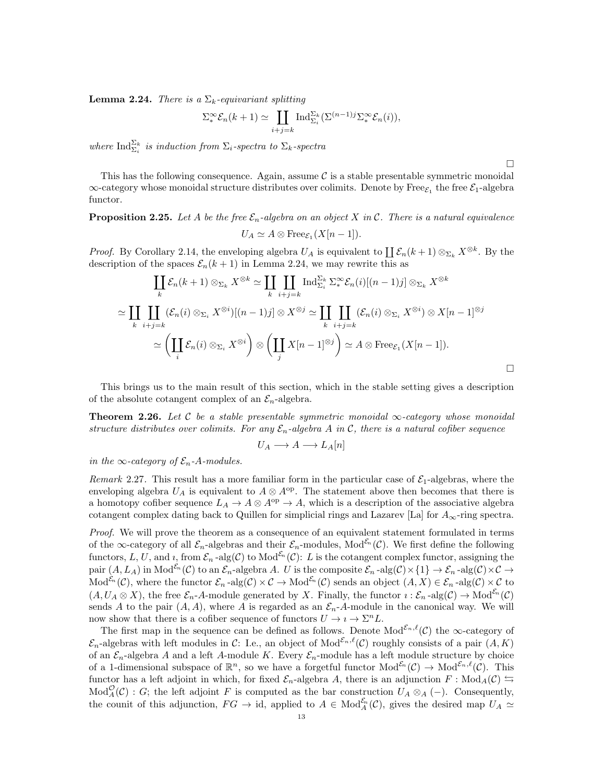**Lemma 2.24.** There is a  $\Sigma_k$ -equivariant splitting

$$
\sum_{\alpha}^{\infty} \mathcal{E}_n(k+1) \simeq \coprod_{i+j=k} \mathrm{Ind}_{\Sigma_i}^{\Sigma_k} (\Sigma^{(n-1)j} \Sigma_{\alpha}^{\infty} \mathcal{E}_n(i)),
$$

where  $\text{Ind}_{\Sigma_i}^{\Sigma_k}$  is induction from  $\Sigma_i$ -spectra to  $\Sigma_k$ -spectra

□

This has the following consequence. Again, assume  $\mathcal C$  is a stable presentable symmetric monoidal  $\infty$ -category whose monoidal structure distributes over colimits. Denote by Free $\varepsilon_1$  the free  $\mathcal{E}_1$ -algebra functor.

**Proposition 2.25.** Let A be the free  $\mathcal{E}_n$ -algebra on an object X in C. There is a natural equivalence  $U_A \simeq A \otimes \text{Free}_{\mathcal{E}_1}(X[n-1]).$ 

*Proof.* By Corollary 2.14, the enveloping algebra  $U_A$  is equivalent to  $\prod \mathcal{E}_n(k+1) \otimes_{\Sigma_k} X^{\otimes k}$ . By the description of the spaces  $\mathcal{E}_n(k+1)$  in Lemma 2.24, we may rewrite this as

$$
\coprod_{k} \mathcal{E}_{n}(k+1) \otimes_{\Sigma_{k}} X^{\otimes k} \simeq \coprod_{k} \coprod_{i+j=k} \operatorname{Ind}_{\Sigma_{i}}^{\Sigma_{k}} \Sigma_{*}^{\infty} \mathcal{E}_{n}(i)[(n-1)j] \otimes_{\Sigma_{k}} X^{\otimes k}
$$

$$
\simeq \coprod_{k} \coprod_{i+j=k} (\mathcal{E}_{n}(i) \otimes_{\Sigma_{i}} X^{\otimes i})[(n-1)j] \otimes X^{\otimes j} \simeq \coprod_{k} \coprod_{i+j=k} (\mathcal{E}_{n}(i) \otimes_{\Sigma_{i}} X^{\otimes i}) \otimes X[n-1]^{\otimes j}
$$

$$
\simeq \left(\coprod_{i} \mathcal{E}_{n}(i) \otimes_{\Sigma_{i}} X^{\otimes i}\right) \otimes \left(\coprod_{j} X[n-1]^{\otimes j}\right) \simeq A \otimes \operatorname{Free}_{\mathcal{E}_{1}} (X[n-1]).
$$

This brings us to the main result of this section, which in the stable setting gives a description of the absolute cotangent complex of an  $\mathcal{E}_n$ -algebra.

Theorem 2.26. Let C be a stable presentable symmetric monoidal  $\infty$ -category whose monoidal structure distributes over colimits. For any  $\mathcal{E}_n$ -algebra A in C, there is a natural cofiber sequence

$$
U_A \longrightarrow A \longrightarrow L_A[n]
$$

in the  $\infty$ -category of  $\mathcal{E}_n$ -A-modules.

Remark 2.27. This result has a more familiar form in the particular case of  $\mathcal{E}_1$ -algebras, where the enveloping algebra  $U_A$  is equivalent to  $A \otimes A^{op}$ . The statement above then becomes that there is a homotopy cofiber sequence  $L_A \to A \otimes A^{\rm op} \to A$ , which is a description of the associative algebra cotangent complex dating back to Quillen for simplicial rings and Lazarev [La] for  $A_{\infty}$ -ring spectra.

Proof. We will prove the theorem as a consequence of an equivalent statement formulated in terms of the  $\infty$ -category of all  $\mathcal{E}_n$ -algebras and their  $\mathcal{E}_n$ -modules, Mod<sup> $\mathcal{E}_n(\mathcal{C})$ . We first define the following</sup> functors, L, U, and i, from  $\mathcal{E}_n$ -alg $(\mathcal{C})$  to Mod<sup> $\mathcal{E}_n(\mathcal{C})$ : L is the cotangent complex functor, assigning the</sup> pair  $(A, L_A)$  in Mod<sup> $\mathcal{E}_n$ </sup> (C) to an  $\mathcal{E}_n$ -algebra A. U is the composite  $\mathcal{E}_n$ -alg $(\mathcal{C}) \times \{1\} \to \mathcal{E}_n$ -alg $(\mathcal{C}) \times \mathcal{C} \to$  $\text{Mod}^{\mathcal{E}_n}(\mathcal{C})$ , where the functor  $\mathcal{E}_n$ -alg $(\mathcal{C}) \times \mathcal{C} \to \text{Mod}^{\mathcal{E}_n}(\mathcal{C})$  sends an object  $(A, X) \in \mathcal{E}_n$ -alg $(\mathcal{C}) \times \mathcal{C}$  to  $(A, U_A \otimes X)$ , the free  $\mathcal{E}_n$ -A-module generated by X. Finally, the functor  $i : \mathcal{E}_n$ -alg $(\mathcal{C}) \to \text{Mod}^{\mathcal{E}_n}(\mathcal{C})$ sends A to the pair  $(A, A)$ , where A is regarded as an  $\mathcal{E}_n$ -A-module in the canonical way. We will now show that there is a cofiber sequence of functors  $U \to i \to \Sigma^n L$ .

The first map in the sequence can be defined as follows. Denote  $\text{Mod}^{\mathcal{E}_n,\ell}(\mathcal{C})$  the  $\infty$ -category of  $\mathcal{E}_n$ -algebras with left modules in C: I.e., an object of Mod<sup> $\mathcal{E}_n,\ell(\mathcal{C})$ </sup> roughly consists of a pair  $(A, K)$ of an  $\mathcal{E}_n$ -algebra A and a left A-module K. Every  $\mathcal{E}_n$ -module has a left module structure by choice of a 1-dimensional subspace of  $\mathbb{R}^n$ , so we have a forgetful functor  $Mod^{\mathcal{E}_n}(\mathcal{C}) \to Mod^{\mathcal{E}_n,\ell}(\mathcal{C})$ . This functor has a left adjoint in which, for fixed  $\mathcal{E}_n$ -algebra A, there is an adjunction  $F : Mod_A(\mathcal{C}) \hookrightarrow$  $Mod_A^{\mathcal{O}}(\mathcal{C})$ : G; the left adjoint F is computed as the bar construction  $U_A \otimes_A (-)$ . Consequently, the counit of this adjunction,  $FG \to id$ , applied to  $A \in Mod_A^{\mathcal{E}_n}(\mathcal{C})$ , gives the desired map  $U_A \simeq$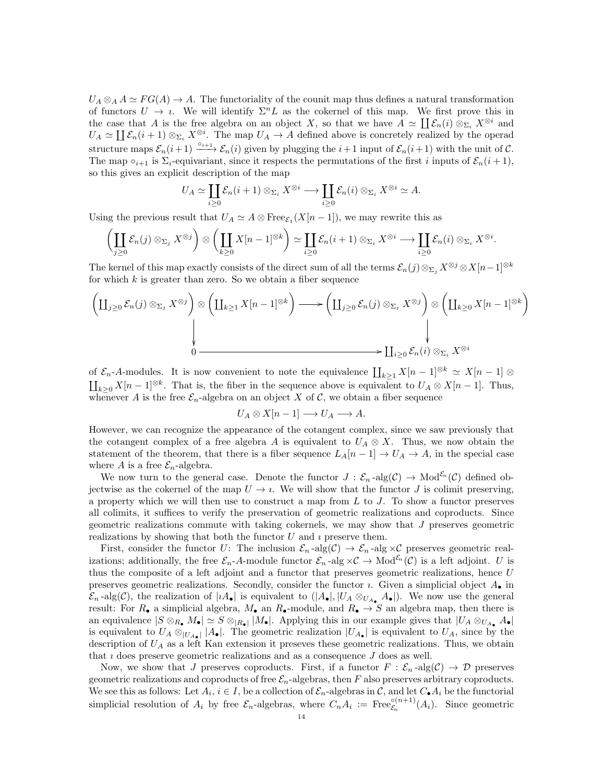$U_A \otimes_A A \simeq FG(A) \to A$ . The functoriality of the counit map thus defines a natural transformation of functors  $U \to i$ . We will identify  $\Sigma^n L$  as the cokernel of this map. We first prove this in the case that A is the free algebra on an object X, so that we have  $A \simeq \coprod \mathcal{E}_n(i) \otimes_{\Sigma_i} X^{\otimes i}$  and  $U_A \simeq \coprod \mathcal{E}_n(i+1) \otimes_{\Sigma_i} X^{\otimes i}$ . The map  $U_A \to A$  defined above is concretely realized by the operad structure maps  $\mathcal{E}_n(i+1) \xrightarrow{\circ_{i+1}} \mathcal{E}_n(i)$  given by plugging the  $i+1$  input of  $\mathcal{E}_n(i+1)$  with the unit of  $\mathcal{C}$ . The map  $\circ_{i+1}$  is  $\Sigma_i$ -equivariant, since it respects the permutations of the first i inputs of  $\mathcal{E}_n(i+1)$ , so this gives an explicit description of the map

$$
U_A \simeq \coprod_{i \geq 0} \mathcal{E}_n(i+1) \otimes_{\Sigma_i} X^{\otimes i} \longrightarrow \coprod_{i \geq 0} \mathcal{E}_n(i) \otimes_{\Sigma_i} X^{\otimes i} \simeq A.
$$

Using the previous result that  $U_A \simeq A \otimes \text{Free}_{\mathcal{E}_1}(X[n-1])$ , we may rewrite this as

$$
\left(\coprod_{j\geq 0} \mathcal{E}_n(j)\otimes_{\Sigma_j} X^{\otimes j}\right)\otimes \left(\coprod_{k\geq 0} X[n-1]^{\otimes k}\right) \simeq \coprod_{i\geq 0} \mathcal{E}_n(i+1)\otimes_{\Sigma_i} X^{\otimes i} \longrightarrow \coprod_{i\geq 0} \mathcal{E}_n(i)\otimes_{\Sigma_i} X^{\otimes i}.
$$

The kernel of this map exactly consists of the direct sum of all the terms  $\mathcal{E}_n(j) \otimes_{\Sigma_i} X^{\otimes j} \otimes X[n-1]^{\otimes k}$ for which  $k$  is greater than zero. So we obtain a fiber sequence

$$
\left(\coprod_{j\geq 0} \mathcal{E}_n(j)\otimes_{\Sigma_j} X^{\otimes j}\right)\otimes \left(\coprod_{k\geq 1} X[n-1]^{\otimes k}\right) \longrightarrow \left(\coprod_{j\geq 0} \mathcal{E}_n(j)\otimes_{\Sigma_j} X^{\otimes j}\right)\otimes \left(\coprod_{k\geq 0} X[n-1]^{\otimes k}\right)
$$
\n
$$
\downarrow
$$
\n
$$
\downarrow
$$
\n
$$
\downarrow
$$
\n
$$
\downarrow
$$
\n
$$
\downarrow
$$
\n
$$
\downarrow
$$
\n
$$
\downarrow
$$
\n
$$
\downarrow
$$
\n
$$
\downarrow
$$
\n
$$
\downarrow
$$
\n
$$
\downarrow
$$
\n
$$
\downarrow
$$
\n
$$
\downarrow
$$
\n
$$
\downarrow
$$
\n
$$
\downarrow
$$
\n
$$
\downarrow
$$
\n
$$
\downarrow
$$
\n
$$
\downarrow
$$
\n
$$
\downarrow
$$
\n
$$
\downarrow
$$
\n
$$
\downarrow
$$
\n
$$
\downarrow
$$
\n
$$
\downarrow
$$
\n
$$
\downarrow
$$
\n
$$
\downarrow
$$
\n
$$
\downarrow
$$
\n
$$
\downarrow
$$
\n
$$
\downarrow
$$
\n
$$
\downarrow
$$
\n
$$
\downarrow
$$
\n
$$
\downarrow
$$
\n
$$
\downarrow
$$
\n
$$
\downarrow
$$
\n
$$
\downarrow
$$
\n
$$
\downarrow
$$
\n
$$
\downarrow
$$
\n
$$
\downarrow
$$
\n
$$
\downarrow
$$
\n
$$
\downarrow
$$
\n
$$
\downarrow
$$
\n
$$
\downarrow
$$
\n
$$
\downarrow
$$
\n
$$
\downarrow
$$
\n
$$
\downarrow
$$
\n
$$
\downarrow
$$
\n
$$
\downarrow
$$
\n
$$
\downarrow
$$
\n
$$
\downarrow
$$
\n
$$
\downarrow
$$
\n
$$
\downarrow
$$
\n
$$
\downarrow
$$
\n
$$
\downarrow
$$
\n<

of  $\mathcal{E}_n$ -A-modules. It is now convenient to note the equivalence  $\prod_{k\geq 1} X[n-1]^{\otimes k} \simeq X[n-1] \otimes$  $\prod_{k\geq 0} X[n-1]^{\otimes k}$ . That is, the fiber in the sequence above is equivalent to  $U_A \otimes X[n-1]$ . Thus, whenever A is the free  $\mathcal{E}_n$ -algebra on an object X of C, we obtain a fiber sequence

$$
U_A \otimes X[n-1] \longrightarrow U_A \longrightarrow A.
$$

However, we can recognize the appearance of the cotangent complex, since we saw previously that the cotangent complex of a free algebra A is equivalent to  $U_A \otimes X$ . Thus, we now obtain the statement of the theorem, that there is a fiber sequence  $L_A[n-1] \to U_A \to A$ , in the special case where A is a free  $\mathcal{E}_n$ -algebra.

We now turn to the general case. Denote the functor  $J : \mathcal{E}_n$ -alg $(\mathcal{C}) \to \text{Mod}^{\mathcal{E}_n}(\mathcal{C})$  defined objectwise as the cokernel of the map  $U \to i$ . We will show that the functor J is colimit preserving, a property which we will then use to construct a map from  $L$  to  $J$ . To show a functor preserves all colimits, it suffices to verify the preservation of geometric realizations and coproducts. Since geometric realizations commute with taking cokernels, we may show that J preserves geometric realizations by showing that both the functor  $U$  and  $i$  preserve them.

First, consider the functor U: The inclusion  $\mathcal{E}_n$ -alg $(\mathcal{C}) \to \mathcal{E}_n$ -alg  $\times \mathcal{C}$  preserves geometric realizations; additionally, the free  $\mathcal{E}_n$ -A-module functor  $\mathcal{E}_n$ -alg  $\times \mathcal{C} \to \text{Mod}^{\mathcal{E}_n}(\mathcal{C})$  is a left adjoint. U is thus the composite of a left adjoint and a functor that preserves geometric realizations, hence U preserves geometric realizations. Secondly, consider the functor  $\imath$ . Given a simplicial object  $A_{\bullet}$  in  $\mathcal{E}_n$ -alg(C), the realization of  $|iA_{\bullet}|$  is equivalent to  $(|A_{\bullet}|, |U_A \otimes_{U_{A_{\bullet}}} A_{\bullet}|)$ . We now use the general result: For  $R_{\bullet}$  a simplicial algebra,  $M_{\bullet}$  an  $R_{\bullet}$ -module, and  $R_{\bullet} \to S$  an algebra map, then there is an equivalence  $|S \otimes_{R_{\bullet}} M_{\bullet}| \simeq S \otimes_{|R_{\bullet}|} |M_{\bullet}|$ . Applying this in our example gives that  $|U_A \otimes_{U_{A_{\bullet}}} A_{\bullet}|$ is equivalent to  $U_A \otimes_{|U_{A_{\bullet}}|} |A_{\bullet}|$ . The geometric realization  $|U_{A_{\bullet}}|$  is equivalent to  $U_A$ , since by the description of  $U_A$  as a left Kan extension it preseves these geometric realizations. Thus, we obtain that  $\iota$  does preserve geometric realizations and as a consequence  $J$  does as well.

Now, we show that J preserves coproducts. First, if a functor  $F : \mathcal{E}_n$ -alg $(\mathcal{C}) \to \mathcal{D}$  preserves geometric realizations and coproducts of free  $\mathcal{E}_n$ -algebras, then F also preserves arbitrary coproducts. We see this as follows: Let  $A_i$ ,  $i \in I$ , be a collection of  $\mathcal{E}_n$ -algebras in C, and let  $C_{\bullet}A_i$  be the functorial simplicial resolution of  $A_i$  by free  $\mathcal{E}_n$ -algebras, where  $C_n A_i := \text{Free}_{\mathcal{E}_n}^{\circ(n+1)}(A_i)$ . Since geometric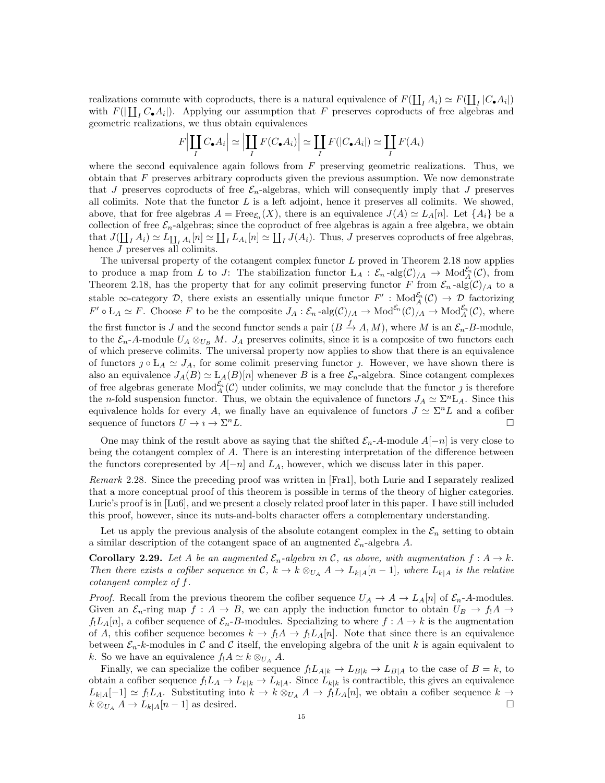realizations commute with coproducts, there is a natural equivalence of  $F(\prod_I A_i) \simeq F(\prod_I |C_{\bullet} A_i|)$ with  $F(|\prod_{I} C_{\bullet} A_{i}|)$ . Applying our assumption that F preserves coproducts of free algebras and geometric realizations, we thus obtain equivalences

$$
F\Big|\coprod_{I} C_{\bullet} A_i \Big| \simeq \Big|\coprod_{I} F(C_{\bullet} A_i) \Big| \simeq \coprod_{I} F(|C_{\bullet} A_i|) \simeq \coprod_{I} F(A_i)
$$

where the second equivalence again follows from  $F$  preserving geometric realizations. Thus, we obtain that  $F$  preserves arbitrary coproducts given the previous assumption. We now demonstrate that J preserves coproducts of free  $\mathcal{E}_n$ -algebras, which will consequently imply that J preserves all colimits. Note that the functor  $L$  is a left adjoint, hence it preserves all colimits. We showed, above, that for free algebras  $A = \text{Free}_{\mathcal{E}_n}(X)$ , there is an equivalence  $J(A) \simeq L_A[n]$ . Let  $\{A_i\}$  be a collection of free  $\mathcal{E}_n$ -algebras; since the coproduct of free algebras is again a free algebra, we obtain that  $J(\coprod_{I} A_i) \simeq L_{\coprod_{I} A_i}[n] \simeq \coprod_{I} L_{A_i}[n] \simeq \coprod_{I} J(A_i)$ . Thus, J preserves coproducts of free algebras, hence *J* preserves all colimits.

The universal property of the cotangent complex functor  $L$  proved in Theorem 2.18 now applies to produce a map from L to J: The stabilization functor  $L_A : \mathcal{E}_n$ -alg $(\mathcal{C})/A \to Mod_A^{\mathcal{E}_n}(\mathcal{C})$ , from Theorem 2.18, has the property that for any colimit preserving functor F from  $\mathcal{E}_n$ -alg $(\mathcal{C})/A$  to a stable  $\infty$ -category D, there exists an essentially unique functor  $F' : Mod_A^{\mathcal{E}_n}(\mathcal{C}) \to \mathcal{D}$  factorizing  $F' \circ L_A \simeq F$ . Choose F to be the composite  $J_A : \mathcal{E}_n$ -alg $(\mathcal{C})_{/A} \to \text{Mod}_{\mathcal{A}}^{\mathcal{E}_n}(\mathcal{C})_{/A} \to \text{Mod}_{A}^{\mathcal{E}_n}(\mathcal{C})$ , where the first functor is J and the second functor sends a pair  $(B \xrightarrow{f} A, M)$ , where M is an  $\mathcal{E}_n$ -B-module, to the  $\mathcal{E}_n$ -A-module  $U_A \otimes_{U_B} M$ .  $J_A$  preserves colimits, since it is a composite of two functors each of which preserve colimits. The universal property now applies to show that there is an equivalence of functors  $\jmath \circ L_A \simeq J_A$ , for some colimit preserving functor  $\jmath$ . However, we have shown there is also an equivalence  $J_A(B) \simeq L_A(B)[n]$  whenever B is a free  $\mathcal{E}_n$ -algebra. Since cotangent complexes of free algebras generate  $Mod_{A}^{\varepsilon_n}(C)$  under colimits, we may conclude that the functor j is therefore the *n*-fold suspension functor. Thus, we obtain the equivalence of functors  $J_A \simeq \Sigma^{n} L_A$ . Since this equivalence holds for every A, we finally have an equivalence of functors  $J \simeq \Sigma^n L$  and a cofiber sequence of functors  $U \to i \to \Sigma^n L$ .  $L$ .

One may think of the result above as saying that the shifted  $\mathcal{E}_n$ -A-module  $A[-n]$  is very close to being the cotangent complex of A. There is an interesting interpretation of the difference between the functors corepresented by  $A[-n]$  and  $L_A$ , however, which we discuss later in this paper.

Remark 2.28. Since the preceding proof was written in [Fra1], both Lurie and I separately realized that a more conceptual proof of this theorem is possible in terms of the theory of higher categories. Lurie's proof is in [Lu6], and we present a closely related proof later in this paper. I have still included this proof, however, since its nuts-and-bolts character offers a complementary understanding.

Let us apply the previous analysis of the absolute cotangent complex in the  $\mathcal{E}_n$  setting to obtain a similar description of the cotangent space of an augmented  $\mathcal{E}_n$ -algebra A.

**Corollary 2.29.** Let A be an augmented  $\mathcal{E}_n$ -algebra in C, as above, with augmentation  $f: A \to k$ . Then there exists a cofiber sequence in C,  $k \to k \otimes_{U_A} A \to L_{k|A}[n-1]$ , where  $L_{k|A}$  is the relative cotangent complex of f.

*Proof.* Recall from the previous theorem the cofiber sequence  $U_A \rightarrow A \rightarrow L_A[n]$  of  $\mathcal{E}_n$ -A-modules. Given an  $\mathcal{E}_n$ -ring map  $f : A \to B$ , we can apply the induction functor to obtain  $U_B \to f_1 A \to$  $f_1L_A[n]$ , a cofiber sequence of  $\mathcal{E}_n$ -B-modules. Specializing to where  $f: A \to k$  is the augmentation of A, this cofiber sequence becomes  $k \to f_1 A \to f_1 L_A[n]$ . Note that since there is an equivalence between  $\mathcal{E}_n$ -k-modules in C and C itself, the enveloping algebra of the unit k is again equivalent to k. So we have an equivalence  $f_!A \simeq k \otimes_{U_A} A$ .

Finally, we can specialize the cofiber sequence  $f_!L_{A|k} \to L_{B|k} \to L_{B|A}$  to the case of  $B = k$ , to obtain a cofiber sequence  $f_!L_A \to L_{k|k} \to L_{k|A}$ . Since  $L_{k|k}$  is contractible, this gives an equivalence  $L_{k|A}[-1] \simeq f_{!}L_{A}$ . Substituting into  $k \to k \otimes_{U_A} A \to f_{!}L_{A}[n]$ , we obtain a cofiber sequence  $k \to k \otimes_{U_A} A \to k \otimes_{U_A} A$  $k \otimes_{U_A} A \to L_{k|A}[n-1]$  as desired.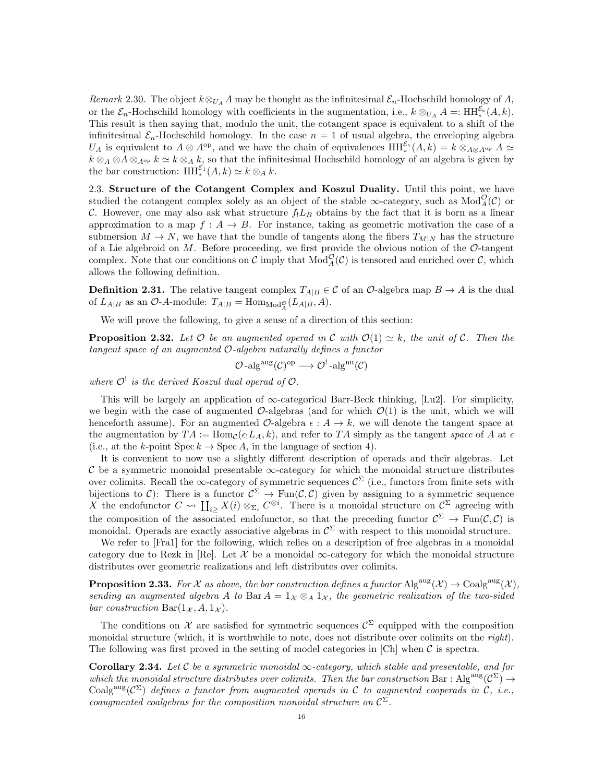Remark 2.30. The object  $k \otimes_{U_A} A$  may be thought as the infinitesimal  $\mathcal{E}_n$ -Hochschild homology of A, or the  $\mathcal{E}_n$ -Hochschild homology with coefficients in the augmentation, i.e.,  $k \otimes_{U_A} A =: \text{HH}_{*}^{\mathcal{E}_n}(A, k)$ . This result is then saying that, modulo the unit, the cotangent space is equivalent to a shift of the infinitesimal  $\mathcal{E}_n$ -Hochschild homology. In the case  $n = 1$  of usual algebra, the enveloping algebra U<sub>A</sub> is equivalent to  $A \otimes A^{\text{op}}$ , and we have the chain of equivalences  $HH_*^{\mathcal{E}_1}(A,k) = k \otimes_{A \otimes A^{\text{op}}} A \simeq$  $k \otimes_A \otimes A \otimes_{A^{op}} k \simeq k \otimes_A k$ , so that the infinitesimal Hochschild homology of an algebra is given by the bar construction:  $HH_{*}^{\mathcal{E}_{1}}(A, k) \simeq k \otimes_{A} k$ .

2.3. Structure of the Cotangent Complex and Koszul Duality. Until this point, we have studied the cotangent complex solely as an object of the stable  $\infty$ -category, such as  $Mod_A^{\mathcal{O}}(\mathcal{C})$  or C. However, one may also ask what structure  $f_1L_B$  obtains by the fact that it is born as a linear approximation to a map  $f : A \to B$ . For instance, taking as geometric motivation the case of a submersion  $M \to N$ , we have that the bundle of tangents along the fibers  $T_{M|N}$  has the structure of a Lie algebroid on  $M$ . Before proceeding, we first provide the obvious notion of the  $\mathcal{O}\text{-tangent}$ complex. Note that our conditions on  $\mathcal C$  imply that  $Mod_{A}^{\mathcal O}(\mathcal C)$  is tensored and enriched over  $\mathcal C$ , which allows the following definition.

**Definition 2.31.** The relative tangent complex  $T_{A|B} \in \mathcal{C}$  of an  $\mathcal{O}$ -algebra map  $B \to A$  is the dual of  $L_{A|B}$  as an  $\mathcal{O}\text{-}A\text{-module: }T_{A|B}=\text{Hom}_{\text{Mod}_A^{\mathcal{O}}}(L_{A|B},A).$ 

We will prove the following, to give a sense of a direction of this section:

**Proposition 2.32.** Let  $\mathcal O$  be an augmented operad in  $\mathcal C$  with  $\mathcal O(1) \simeq k$ , the unit of  $\mathcal C$ . Then the tangent space of an augmented O-algebra naturally defines a functor

$$
\mathcal{O} \text{-alg}^{\text{aug}}(\mathcal{C})^{\text{op}} \longrightarrow \mathcal{O}^! \text{-alg}^{\text{nu}}(\mathcal{C})
$$

where  $\mathcal{O}^!$  is the derived Koszul dual operad of  $\mathcal{O}$ .

This will be largely an application of  $\infty$ -categorical Barr-Beck thinking, [Lu2]. For simplicity, we begin with the case of augmented  $\mathcal{O}$ -algebras (and for which  $\mathcal{O}(1)$  is the unit, which we will henceforth assume). For an augmented  $\mathcal{O}$ -algebra  $\epsilon : A \to k$ , we will denote the tangent space at the augmentation by  $TA := \text{Hom}_{\mathcal{C}}(\epsilon_1 L_A, k)$ , and refer to  $TA$  simply as the tangent space of A at  $\epsilon$ (i.e., at the k-point  $\text{Spec } k \to \text{Spec } A$ , in the language of section 4).

It is convenient to now use a slightly different description of operads and their algebras. Let C be a symmetric monoidal presentable  $\infty$ -category for which the monoidal structure distributes over colimits. Recall the  $\infty$ -category of symmetric sequences  $\mathcal{C}^{\Sigma}$  (i.e., functors from finite sets with bijections to C): There is a functor  $\mathcal{C}^{\Sigma} \to \text{Fun}(\mathcal{C}, \mathcal{C})$  given by assigning to a symmetric sequence X the endofunctor  $C \leadsto \coprod_{i \geq} X(i) \otimes_{\Sigma_i} C^{\otimes i}$ . There is a monoidal structure on  $C^{\Sigma}$  agreeing with the composition of the associated endofunctor, so that the preceding functor  $\mathcal{C}^{\Sigma} \to \text{Fun}(\mathcal{C}, \mathcal{C})$  is monoidal. Operads are exactly associative algebras in  $\mathcal{C}^{\Sigma}$  with respect to this monoidal structure.

We refer to [Fra1] for the following, which relies on a description of free algebras in a monoidal category due to Rezk in [Re]. Let  $\mathcal X$  be a monoidal  $\infty$ -category for which the monoidal structure distributes over geometric realizations and left distributes over colimits.

**Proposition 2.33.** For X as above, the bar construction defines a functor  $\text{Alg}^{\text{aug}}(\mathcal{X}) \to \text{Coalg}^{\text{aug}}(\mathcal{X}),$ sending an augmented algebra A to Bar  $A = 1_{\mathcal{X}} \otimes_A 1_{\mathcal{X}}$ , the geometric realization of the two-sided bar construction  $Bar(1_{\mathcal{X}}, A, 1_{\mathcal{X}})$ .

The conditions on X are satisfied for symmetric sequences  $\mathcal{C}^{\Sigma}$  equipped with the composition monoidal structure (which, it is worthwhile to note, does not distribute over colimits on the right). The following was first proved in the setting of model categories in  $[Ch]$  when  $\mathcal C$  is spectra.

Corollary 2.34. Let C be a symmetric monoidal  $\infty$ -category, which stable and presentable, and for which the monoidal structure distributes over colimits. Then the bar construction Bar:  $\text{Alg}^{\text{aug}}(\mathcal{C}^{\Sigma}) \rightarrow$ Coalg<sup>aug</sup>( $\mathcal{C}^{\Sigma}$ ) defines a functor from augmented operads in C to augmented cooperads in C, i.e., coaugmented coalgebras for the composition monoidal structure on  $\mathcal{C}^{\Sigma}$ .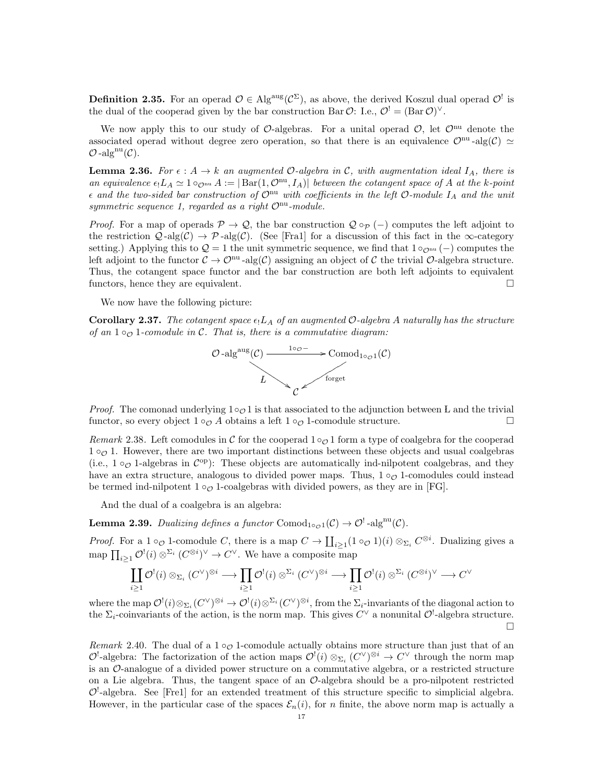**Definition 2.35.** For an operad  $\mathcal{O} \in Alg^{aug}(\mathcal{C}^{\Sigma})$ , as above, the derived Koszul dual operad  $\mathcal{O}^!$  is the dual of the cooperad given by the bar construction Bar  $\mathcal{O}$ : I.e.,  $\mathcal{O}^! = (Bar \mathcal{O})^{\vee}$ .

We now apply this to our study of  $\mathcal{O}$ -algebras. For a unital operad  $\mathcal{O}$ , let  $\mathcal{O}^{\text{nu}}$  denote the associated operad without degree zero operation, so that there is an equivalence  $\mathcal{O}^{nu}$ -alg( $\mathcal{C}$ )  $\simeq$  $\mathcal{O}$ -alg<sup>nu</sup> $(\mathcal{C})$ .

**Lemma 2.36.** For  $\epsilon : A \to k$  an augmented  $\mathcal{O}$ -algebra in  $\mathcal{C}$ , with augmentation ideal  $I_A$ , there is an equivalence  $\epsilon_! L_A \simeq 1$   $\circ_{\mathcal{O}^{nu}} A := |\text{Bar}(1, \mathcal{O}^{nu}, I_A)|$  between the cotangent space of A at the k-point  $\epsilon$  and the two-sided bar construction of  $\mathcal{O}^{nu}$  with coefficients in the left  $\mathcal{O}\text{-}module$   $I_A$  and the unit symmetric sequence 1, regarded as a right  $\mathcal{O}^{nu}$ -module.

*Proof.* For a map of operads  $\mathcal{P} \to \mathcal{Q}$ , the bar construction  $\mathcal{Q} \circ_{\mathcal{P}} (-)$  computes the left adjoint to the restriction  $\mathcal{Q}$ -alg(C)  $\rightarrow \mathcal{P}$ -alg(C). (See [Fra1] for a discussion of this fact in the  $\infty$ -category setting.) Applying this to  $\mathcal{Q} = 1$  the unit symmetric sequence, we find that  $1 \circ_{\mathcal{O}^{\text{nu}}} (-)$  computes the left adjoint to the functor  $C \to \mathcal{O}^{nu}$ -alg $(\mathcal{C})$  assigning an object of  $\mathcal C$  the trivial  $\mathcal O$ -algebra structure. Thus, the cotangent space functor and the bar construction are both left adjoints to equivalent functors, hence they are equivalent.

We now have the following picture:

**Corollary 2.37.** The cotangent space  $\epsilon_1 L_A$  of an augmented O-algebra A naturally has the structure of an  $1 \circ_{\mathcal{O}} 1$ -comodule in C. That is, there is a commutative diagram:



*Proof.* The comonad underlying  $1\circ_{\mathcal{O}} 1$  is that associated to the adjunction between L and the trivial functor, so every object  $1 \circ_{\mathcal{O}} A$  obtains a left  $1 \circ_{\mathcal{O}} 1$ -comodule structure.

Remark 2.38. Left comodules in C for the cooperad  $1 \circ \mathcal{O}$  1 form a type of coalgebra for the cooperad  $1 \circ \mathcal{O}$  1. However, there are two important distinctions between these objects and usual coalgebras (i.e.,  $1 \circ \mathcal{O}$  1-algebras in  $\mathcal{C}^{\text{op}}$ ): These objects are automatically ind-nilpotent coalgebras, and they have an extra structure, analogous to divided power maps. Thus,  $1 \circ \sigma$  1-comodules could instead be termed ind-nilpotent  $1 \circ \sigma$  1-coalgebras with divided powers, as they are in [FG].

And the dual of a coalgebra is an algebra:

**Lemma 2.39.** Dualizing defines a functor  $Comod_{1 \circ \mathcal{O} 1}(\mathcal{C}) \to \mathcal{O}^!$ -alg<sup>nu</sup> $(\mathcal{C})$ .

*Proof.* For a 1  $\circ_{\mathcal{O}}$  1-comodule C, there is a map  $C \to \coprod_{i \geq 1} (1 \circ_{\mathcal{O}} 1)(i) \otimes_{\Sigma_i} C^{\otimes i}$ . Dualizing gives a map  $\prod_{i\geq 1} \mathcal{O}^!(i) \otimes^{\Sigma_i} (C^{\otimes i})^{\vee} \to C^{\vee}$ . We have a composite map

$$
\coprod_{i\geq 1} \mathcal{O}^!(i)\otimes_{\Sigma_i} (C^\vee)^{\otimes i}\longrightarrow \prod_{i\geq 1} \mathcal{O}^!(i)\otimes^{\Sigma_i} (C^\vee)^{\otimes i}\longrightarrow \prod_{i\geq 1} \mathcal{O}^!(i)\otimes^{\Sigma_i} (C^{\otimes i})^\vee\longrightarrow C^\vee
$$

where the map  $\mathcal{O}^!(i)\otimes_{\Sigma_i}(C^\vee)^{\otimes i}\to \mathcal{O}^!(i)\otimes^{\Sigma_i}(C^\vee)^{\otimes i}$ , from the  $\Sigma_i$ -invariants of the diagonal action to the  $\Sigma_i$ -coinvariants of the action, is the norm map. This gives  $C^{\vee}$  a nonunital  $\mathcal{O}^!$ -algebra structure.  $\Box$ 

Remark 2.40. The dual of a  $1 \circ \circ \circ$  1-comodule actually obtains more structure than just that of an  $\mathcal{O}^{\perp}$ -algebra: The factorization of the action maps  $\mathcal{O}^{\perp}(i) \otimes_{\Sigma_i} (C^{\vee})^{\otimes i} \to C^{\vee}$  through the norm map is an O-analogue of a divided power structure on a commutative algebra, or a restricted structure on a Lie algebra. Thus, the tangent space of an  $\mathcal{O}$ -algebra should be a pro-nilpotent restricted  $\mathcal{O}^!$ -algebra. See [Fre1] for an extended treatment of this structure specific to simplicial algebra. However, in the particular case of the spaces  $\mathcal{E}_n(i)$ , for n finite, the above norm map is actually a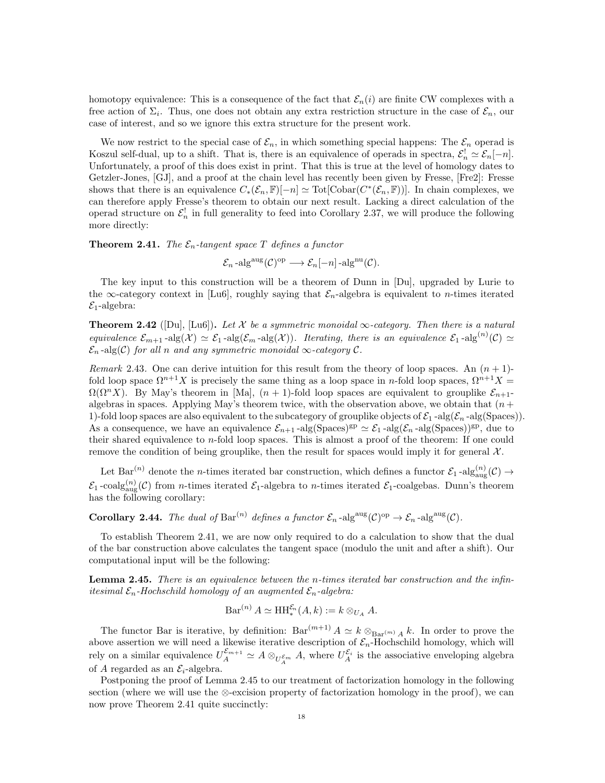homotopy equivalence: This is a consequence of the fact that  $\mathcal{E}_n(i)$  are finite CW complexes with a free action of  $\Sigma_i$ . Thus, one does not obtain any extra restriction structure in the case of  $\mathcal{E}_n$ , our case of interest, and so we ignore this extra structure for the present work.

We now restrict to the special case of  $\mathcal{E}_n$ , in which something special happens: The  $\mathcal{E}_n$  operad is Koszul self-dual, up to a shift. That is, there is an equivalence of operads in spectra,  $\mathcal{E}_n^! \simeq \mathcal{E}_n[-n]$ . Unfortunately, a proof of this does exist in print. That this is true at the level of homology dates to Getzler-Jones, [GJ], and a proof at the chain level has recently been given by Fresse, [Fre2]: Fresse shows that there is an equivalence  $C_*(\mathcal{E}_n, \mathbb{F})[-n] \simeq \text{Tot}[\text{Cobar}(C^*(\mathcal{E}_n, \mathbb{F}))]$ . In chain complexes, we can therefore apply Fresse's theorem to obtain our next result. Lacking a direct calculation of the operad structure on  $\mathcal{E}_n^!$  in full generality to feed into Corollary 2.37, we will produce the following more directly:

**Theorem 2.41.** The  $\mathcal{E}_n$ -tangent space T defines a functor

 $\mathcal{E}_n$ -alg<sup>aug</sup> $(\mathcal{C})^{\text{op}} \longrightarrow \mathcal{E}_n[-n]$ -alg<sup>nu</sup> $(\mathcal{C})$ .

The key input to this construction will be a theorem of Dunn in [Du], upgraded by Lurie to the  $\infty$ -category context in [Lu6], roughly saying that  $\mathcal{E}_n$ -algebra is equivalent to *n*-times iterated  $\mathcal{E}_1$ -algebra:

**Theorem 2.42** ([Du], [Lu6]). Let X be a symmetric monoidal  $\infty$ -category. Then there is a natural equivalence  $\mathcal{E}_{m+1}$ -alg $(\mathcal{X}) \simeq \mathcal{E}_1$ -alg $(\mathcal{E}_m$ -alg $(\mathcal{X})$ ). Iterating, there is an equivalence  $\mathcal{E}_1$ -alg $^{(n)}(\mathcal{C}) \simeq$  $\mathcal{E}_n$ -alg(C) for all n and any symmetric monoidal  $\infty$ -category C.

Remark 2.43. One can derive intuition for this result from the theory of loop spaces. An  $(n + 1)$ fold loop space  $\Omega^{n+1}X$  is precisely the same thing as a loop space in n-fold loop spaces,  $\Omega^{n+1}X =$  $\Omega(\Omega^n X)$ . By May's theorem in [Ma],  $(n + 1)$ -fold loop spaces are equivalent to grouplike  $\mathcal{E}_{n+1}$ algebras in spaces. Applying May's theorem twice, with the observation above, we obtain that  $(n +$ 1)-fold loop spaces are also equivalent to the subcategory of grouplike objects of  $\mathcal{E}_1$ -alg( $\mathcal{E}_n$ -alg(Spaces)). As a consequence, we have an equivalence  $\mathcal{E}_{n+1}$ -alg(Spaces)<sup>gp</sup>  $\simeq \mathcal{E}_1$ -alg( $\mathcal{E}_n$ -alg(Spaces))<sup>gp</sup>, due to their shared equivalence to n-fold loop spaces. This is almost a proof of the theorem: If one could remove the condition of being grouplike, then the result for spaces would imply it for general  $\mathcal{X}$ .

Let Bar<sup>(n)</sup> denote the *n*-times iterated bar construction, which defines a functor  $\mathcal{E}_1$ -alg ${}_{\text{aug}}^{(n)}(\mathcal{C}) \rightarrow$  $\mathcal{E}_1$ -coalg $\text{diag}^{(n)}(\mathcal{C})$  from *n*-times iterated  $\mathcal{E}_1$ -algebra to *n*-times iterated  $\mathcal{E}_1$ -coalgebas. Dunn's theorem has the following corollary:

**Corollary 2.44.** The dual of Bar<sup>(n)</sup> defines a functor  $\mathcal{E}_n$ -alg<sup>aug</sup>(C)<sup>op</sup>  $\rightarrow \mathcal{E}_n$ -alg<sup>aug</sup>(C).

To establish Theorem 2.41, we are now only required to do a calculation to show that the dual of the bar construction above calculates the tangent space (modulo the unit and after a shift). Our computational input will be the following:

**Lemma 2.45.** There is an equivalence between the *n*-times iterated bar construction and the infinitesimal  $\mathcal{E}_n$ -Hochschild homology of an augmented  $\mathcal{E}_n$ -algebra:

$$
\operatorname{Bar}^{(n)} A \simeq \operatorname{HH}_*^{\mathcal{E}_n}(A,k) := k \otimes_{U_A} A.
$$

The functor Bar is iterative, by definition:  $Bar^{(m+1)} A \simeq k \otimes_{Bar^{(m)} A} k$ . In order to prove the above assertion we will need a likewise iterative description of  $\mathcal{E}_n$ -Hochschild homology, which will rely on a similar equivalence  $U_A^{\mathcal{E}_{m+1}} \simeq A \otimes_{U_A^{\mathcal{E}_m}} A$ , where  $U_A^{\mathcal{E}_i}$  is the associative enveloping algebra of A regarded as an  $\mathcal{E}_i$ -algebra.

Postponing the proof of Lemma 2.45 to our treatment of factorization homology in the following section (where we will use the ⊗-excision property of factorization homology in the proof), we can now prove Theorem 2.41 quite succinctly: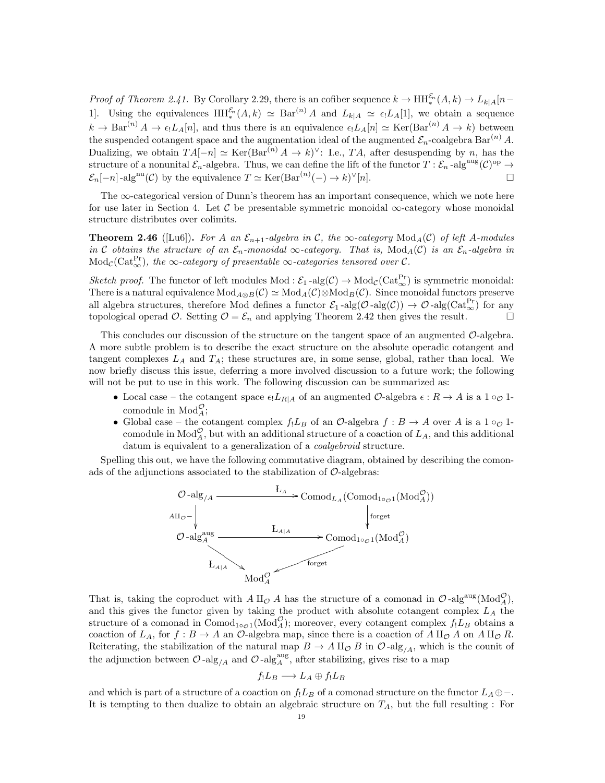*Proof of Theorem 2.41.* By Corollary 2.29, there is an cofiber sequence  $k \to HH_*^{\mathcal{E}_n}(A,k) \to L_{k|A}[n-\mathcal{E}_k]$ 1]. Using the equivalences  $HH_*^{\mathcal{E}_n}(A,k) \simeq \text{Bar}^{(n)} A$  and  $L_{k|A} \simeq \epsilon_! L_A[1]$ , we obtain a sequence  $k \to \text{Bar}^{(n)} A \to \epsilon_1 L_A[n],$  and thus there is an equivalence  $\epsilon_1 L_A[n] \simeq \text{Ker}(\text{Bar}^{(n)} A \to k)$  between the suspended cotangent space and the augmentation ideal of the augmented  $\mathcal{E}_n$ -coalgebra Bar<sup>(n)</sup> A. Dualizing, we obtain  $TA[-n] \simeq \text{Ker}(\text{Bar}^{(n)} A \to k)^{\vee}$ : I.e., TA, after desuspending by n, has the structure of a nonunital  $\mathcal{E}_n$ -algebra. Thus, we can define the lift of the functor  $T: \mathcal{E}_n$ -alg $^{aug}(\mathcal{C})^{op} \to$  $\mathcal{E}_n[-n]$ -alg<sup>nu</sup>(C) by the equivalence  $T \simeq \text{Ker}(\text{Bar}^{(n)}(-) \to k)^{\vee}[n]$ .

The  $\infty$ -categorical version of Dunn's theorem has an important consequence, which we note here for use later in Section 4. Let C be presentable symmetric monoidal  $\infty$ -category whose monoidal structure distributes over colimits.

**Theorem 2.46** ([Lu6]). For A an  $\mathcal{E}_{n+1}$ -algebra in C, the  $\infty$ -category  $\text{Mod}_A(\mathcal{C})$  of left A-modules in C obtains the structure of an  $\mathcal{E}_n$ -monoidal  $\infty$ -category. That is,  $\text{Mod}_A(\mathcal{C})$  is an  $\mathcal{E}_n$ -algebra in  $\rm Mod_{\mathcal C}(Cat_{\infty}^{Pr}),$  the  $\infty$ -category of presentable  $\infty$ -categories tensored over  $\mathcal C$ .

Sketch proof. The functor of left modules Mod :  $\mathcal{E}_1$ -alg $(\mathcal{C}) \to \text{Mod}_{\mathcal{C}}(\text{Cat}_{\infty}^{\text{Pr}})$  is symmetric monoidal: There is a natural equivalence  $Mod_{A\otimes B}(\mathcal{C}) \simeq Mod_{A}(\mathcal{C}) \otimes Mod_{B}(\mathcal{C})$ . Since monoidal functors preserve all algebra structures, therefore Mod defines a functor  $\mathcal{E}_1$ -alg $(\mathcal{O}$ -alg $(\mathcal{O}) \to \mathcal{O}$ -alg $(\text{Cat}_{\infty}^{\text{Pr}})$  for any topological operad O. Setting  $\mathcal{O} = \mathcal{E}_n$  and applying Theorem 2.42 then gives the result.

This concludes our discussion of the structure on the tangent space of an augmented  $\mathcal{O}$ -algebra. A more subtle problem is to describe the exact structure on the absolute operadic cotangent and tangent complexes  $L_A$  and  $T_A$ ; these structures are, in some sense, global, rather than local. We now briefly discuss this issue, deferring a more involved discussion to a future work; the following will not be put to use in this work. The following discussion can be summarized as:

- Local case the cotangent space  $\epsilon_1 L_{R|A}$  of an augmented  $\mathcal{O}$ -algebra  $\epsilon: R \to A$  is a  $1 \circ_{\mathcal{O}} 1$ comodule in  $\text{Mod}_{A}^{\mathcal{O}}$ ;
- Global case the cotangent complex  $f_!L_B$  of an  $\mathcal{O}\text{-algebra } f : B \to A$  over A is a  $1 \circ_{\mathcal{O}} 1$ comodule in  $\text{Mod}_{A}^{\mathcal{O}}$ , but with an additional structure of a coaction of  $L_A$ , and this additional datum is equivalent to a generalization of a coalgebroid structure.

Spelling this out, we have the following commutative diagram, obtained by describing the comonads of the adjunctions associated to the stabilization of  $\mathcal{O}\text{-algebras:}$ 



That is, taking the coproduct with  $A \amalg_{\mathcal{O}} A$  has the structure of a comonad in  $\mathcal{O}$ -alg<sup>aug</sup>(Mod<sub>A</sub><sup> $\mathcal{O}$ </sup>), and this gives the functor given by taking the product with absolute cotangent complex  $L_A$  the structure of a comonad in Comod<sub>1</sub>∘<sub> $\mathcal{O}(1)$ </sub> (Mod<sub>A</sub><sup> $\mathcal{O}$ </sup>); moreover, every cotangent complex  $f_!L_B$  obtains a coaction of  $L_A$ , for  $f : B \to A$  an  $\mathcal{O}$ -algebra map, since there is a coaction of  $A \amalg_{\mathcal{O}} A$  on  $A \amalg_{\mathcal{O}} R$ . Reiterating, the stabilization of the natural map  $B \to A \amalg_{\mathcal{O}} B$  in  $\mathcal{O}$ -alg<sub>/A</sub>, which is the counit of the adjunction between  $\mathcal{O}$ -alg<sub>/A</sub> and  $\mathcal{O}$ -alg<sub>A</sub><sup>aug</sup>, after stabilizing, gives rise to a map

$$
f_!L_B\longrightarrow L_A\oplus f_!L_B
$$

and which is part of a structure of a coaction on  $f_!L_B$  of a comonad structure on the functor  $L_A \oplus -$ . It is tempting to then dualize to obtain an algebraic structure on  $T_A$ , but the full resulting : For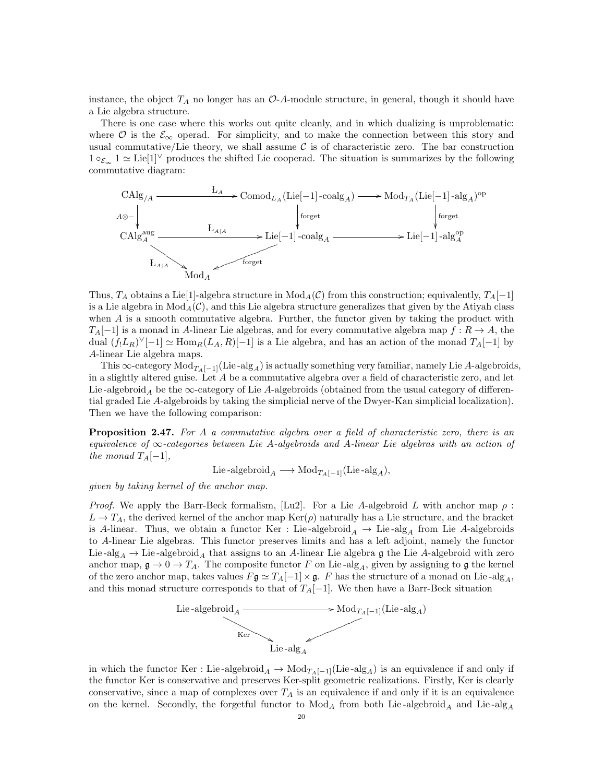instance, the object  $T_A$  no longer has an  $\mathcal{O}\text{-}A$ -module structure, in general, though it should have a Lie algebra structure.

There is one case where this works out quite cleanly, and in which dualizing is unproblematic: where  $\mathcal O$  is the  $\mathcal E_{\infty}$  operad. For simplicity, and to make the connection between this story and usual commutative/Lie theory, we shall assume  $\mathcal C$  is of characteristic zero. The bar construction  $1 \circ \varepsilon_{\infty} 1 \simeq \text{Lie}[1]^{\vee}$  produces the shifted Lie cooperad. The situation is summarizes by the following commutative diagram:



Thus,  $T_A$  obtains a Lie<sup>[1]</sup>-algebra structure in  $Mod_A(\mathcal{C})$  from this construction; equivalently,  $T_A[-1]$ is a Lie algebra in  $Mod_A(\mathcal{C})$ , and this Lie algebra structure generalizes that given by the Atiyah class when A is a smooth commutative algebra. Further, the functor given by taking the product with  $T_A[-1]$  is a monad in A-linear Lie algebras, and for every commutative algebra map  $f: R \to A$ , the dual  $(f_!L_R)^\vee[-1] \simeq \text{Hom}_R(L_A, R)[-1]$  is a Lie algebra, and has an action of the monad  $T_A[-1]$  by A-linear Lie algebra maps.

This  $\infty$ -category  $Mod_{T_A[-1]}(Lie-alg_A)$  is actually something very familiar, namely Lie A-algebroids, in a slightly altered guise. Let A be a commutative algebra over a field of characteristic zero, and let Lie -algebroid<sub>A</sub> be the  $\infty$ -category of Lie A-algebroids (obtained from the usual category of differential graded Lie A-algebroids by taking the simplicial nerve of the Dwyer-Kan simplicial localization). Then we have the following comparison:

**Proposition 2.47.** For A a commutative algebra over a field of characteristic zero, there is an equivalence of  $\infty$ -categories between Lie A-algebroids and A-linear Lie algebras with an action of the monad  $T_A[-1],$ 

Lie -algebroid<sub>A</sub>  $\longrightarrow \text{Mod}_{T_A[-1]}(\text{Lie-alg}_A),$ 

given by taking kernel of the anchor map.

*Proof.* We apply the Barr-Beck formalism, [Lu2]. For a Lie A-algebroid L with anchor map  $\rho$ :  $L \to T_A$ , the derived kernel of the anchor map  $\text{Ker}(\rho)$  naturally has a Lie structure, and the bracket is A-linear. Thus, we obtain a functor Ker : Lie-algebroid  $_A \rightarrow$  Lie-alg<sub>A</sub> from Lie A-algebroids to A-linear Lie algebras. This functor preserves limits and has a left adjoint, namely the functor Lie -alg<sub>A</sub>  $\rightarrow$  Lie -algebroid<sub>A</sub> that assigns to an A-linear Lie algebra g the Lie A-algebroid with zero anchor map,  $\mathfrak{g} \to 0 \to T_A$ . The composite functor F on Lie-alg<sub>A</sub>, given by assigning to g the kernel of the zero anchor map, takes values  $F\mathfrak{g} \simeq T_A[-1] \times \mathfrak{g}$ . F has the structure of a monad on Lie-alg<sub>A</sub>, and this monad structure corresponds to that of  $T_A[-1]$ . We then have a Barr-Beck situation



in which the functor Ker : Lie-algebroid<sub>A</sub>  $\rightarrow$  Mod<sub>T<sub>A</sub>[−1](Lie-alg<sub>A</sub>) is an equivalence if and only if</sub> the functor Ker is conservative and preserves Ker-split geometric realizations. Firstly, Ker is clearly conservative, since a map of complexes over  $T_A$  is an equivalence if and only if it is an equivalence on the kernel. Secondly, the forgetful functor to  $Mod_A$  from both Lie-algebroid<sub>A</sub> and Lie-alg<sub>A</sub>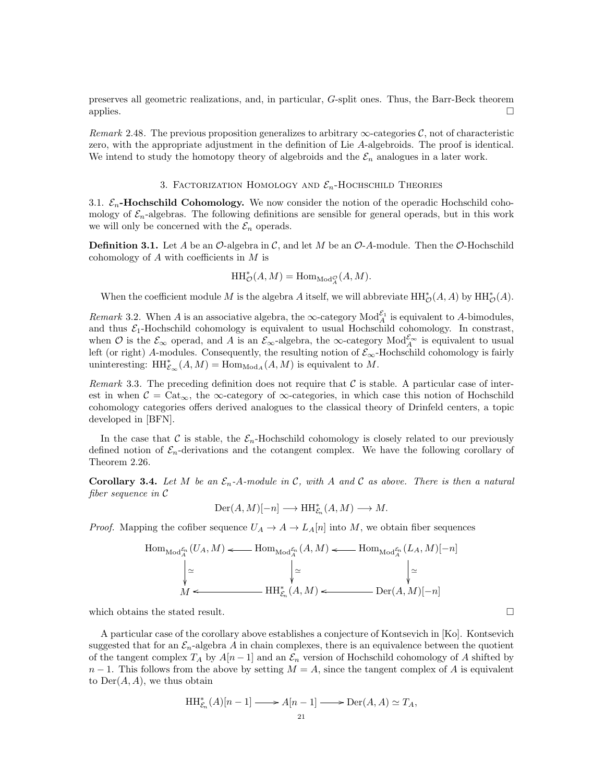preserves all geometric realizations, and, in particular, G-split ones. Thus, the Barr-Beck theorem applies.  $\Box$ 

Remark 2.48. The previous proposition generalizes to arbitrary  $\infty$ -categories C, not of characteristic zero, with the appropriate adjustment in the definition of Lie A-algebroids. The proof is identical. We intend to study the homotopy theory of algebroids and the  $\mathcal{E}_n$  analogues in a later work.

## 3. FACTORIZATION HOMOLOGY AND  $\mathcal{E}_n$ -HOCHSCHILD THEORIES

3.1.  $\mathcal{E}_n$ -Hochschild Cohomology. We now consider the notion of the operadic Hochschild cohomology of  $\mathcal{E}_n$ -algebras. The following definitions are sensible for general operads, but in this work we will only be concerned with the  $\mathcal{E}_n$  operads.

**Definition 3.1.** Let A be an  $\mathcal{O}$ -algebra in  $\mathcal{C}$ , and let M be an  $\mathcal{O}$ -A-module. Then the  $\mathcal{O}$ -Hochschild cohomology of  $A$  with coefficients in  $M$  is

$$
\mathop{\mathrm{HH}}\nolimits_{\mathcal{O}}^*(A, M) = \mathop{\mathrm{Hom}}\nolimits_{\mathop{\mathrm{Mod}}\nolimits_A^{\mathcal{O}}}(A, M).
$$

When the coefficient module M is the algebra A itself, we will abbreviate  $HH^*_{\mathcal{O}}(A, A)$  by  $HH^*_{\mathcal{O}}(A)$ .

Remark 3.2. When A is an associative algebra, the  $\infty$ -category  $\text{Mod}_{A}^{\mathcal{E}_1}$  is equivalent to A-bimodules, and thus  $\mathcal{E}_1$ -Hochschild cohomology is equivalent to usual Hochschild cohomology. In constrast, when  $\mathcal O$  is the  $\mathcal E_{\infty}$  operad, and A is an  $\mathcal E_{\infty}$ -algebra, the  $\infty$ -category  $\text{Mod}_{A}^{\mathcal E_{\infty}}$  is equivalent to usual left (or right) A-modules. Consequently, the resulting notion of  $\mathcal{E}_{\infty}$ -Hochschild cohomology is fairly uninteresting:  $\mathrm{HH}_{\mathcal{E}_{\infty}}^*(A, M) = \mathrm{Hom}_{\mathrm{Mod}_A}(A, M)$  is equivalent to M.

Remark 3.3. The preceding definition does not require that  $\mathcal C$  is stable. A particular case of interest in when  $\mathcal{C} = \text{Cat}_{\infty}$ , the  $\infty$ -category of  $\infty$ -categories, in which case this notion of Hochschild cohomology categories offers derived analogues to the classical theory of Drinfeld centers, a topic developed in [BFN].

In the case that C is stable, the  $\mathcal{E}_n$ -Hochschild cohomology is closely related to our previously defined notion of  $\mathcal{E}_n$ -derivations and the cotangent complex. We have the following corollary of Theorem 2.26.

**Corollary 3.4.** Let M be an  $\mathcal{E}_n$ -A-module in C, with A and C as above. There is then a natural fiber sequence in C

$$
Der(A, M)[-n] \longrightarrow HH^*_{\mathcal{E}_n}(A, M) \longrightarrow M.
$$

*Proof.* Mapping the cofiber sequence  $U_A \rightarrow A \rightarrow L_A[n]$  into M, we obtain fiber sequences

$$
\operatorname{Hom}_{\operatorname{Mod}^{\mathcal{E}_n}_{A}}(U_A, M) \longleftarrow \operatorname{Hom}_{\operatorname{Mod}^{\mathcal{E}_n}_{A}}(A, M) \longleftarrow \operatorname{Hom}_{\operatorname{Mod}^{\mathcal{E}_n}_{A}}(L_A, M)[-n]
$$
\n
$$
\downarrow \simeq \qquad \qquad \downarrow \simeq \qquad \qquad \downarrow \simeq
$$
\n
$$
M \longleftarrow \operatorname{HH}_{\mathcal{E}_n}^*(A, M) \longleftarrow \operatorname{Der}(A, M)[-n]
$$

which obtains the stated result.  $\Box$ 

A particular case of the corollary above establishes a conjecture of Kontsevich in [Ko]. Kontsevich suggested that for an  $\mathcal{E}_n$ -algebra A in chain complexes, there is an equivalence between the quotient of the tangent complex  $T_A$  by  $A[n-1]$  and an  $\mathcal{E}_n$  version of Hochschild cohomology of A shifted by  $n-1$ . This follows from the above by setting  $M = A$ , since the tangent complex of A is equivalent to  $Der(A, A)$ , we thus obtain

$$
\mathrm{HH}_{\mathcal{E}_n}^*(A)[n-1] \longrightarrow A[n-1] \longrightarrow \mathrm{Der}(A, A) \simeq T_A,
$$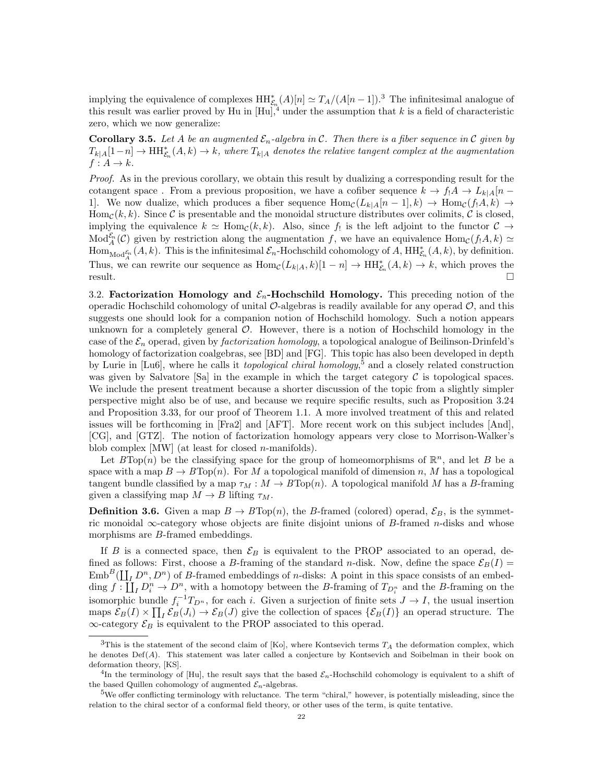implying the equivalence of complexes  $HH_{\mathcal{E}_n}^*(A)[n] \simeq T_A/(A[n-1])$ .<sup>3</sup> The infinitesimal analogue of this result was earlier proved by Hu in  $[Hu]$ ,<sup>4</sup> under the assumption that k is a field of characteristic zero, which we now generalize:

**Corollary 3.5.** Let A be an augmented  $\mathcal{E}_n$ -algebra in C. Then there is a fiber sequence in C given by  $T_{k|A}[1-n] \to \text{HH}_{\mathcal{E}_n}^*(A,k) \to k$ , where  $T_{k|A}$  denotes the relative tangent complex at the augmentation  $f: A \rightarrow k$ .

Proof. As in the previous corollary, we obtain this result by dualizing a corresponding result for the cotangent space . From a previous proposition, we have a cofiber sequence  $k \to f_1 A \to L_{k|A}[n -$ 1]. We now dualize, which produces a fiber sequence  $\text{Hom}_{\mathcal{C}}(L_{k|A}[n-1], k) \to \text{Hom}_{\mathcal{C}}(f_1A, k) \to$  $\text{Hom}_{\mathcal{C}}(k, k)$ . Since C is presentable and the monoidal structure distributes over colimits, C is closed, implying the equivalence  $k \simeq \text{Hom}_{\mathcal{C}}(k, k)$ . Also, since  $f_!$  is the left adjoint to the functor  $\mathcal{C} \to$  $\text{Mod}_{A}^{\mathcal{E}_n}(\mathcal{C})$  given by restriction along the augmentation f, we have an equivalence  $\text{Hom}_{\mathcal{C}}(f_!A, k) \simeq$  $\operatorname{Hom}_{\operatorname{Mod}^{\mathcal{E}_n}_{\mathcal{A}}}(A,k)$ . This is the infinitesimal  $\mathcal{E}_n$ -Hochschild cohomology of A,  $\operatorname{HH}_{\mathcal{E}_n}^*(A,k)$ , by definition. Thus, we can rewrite our sequence as  $\text{Hom}_{\mathcal{C}}(L_{k|A}, k)[1 - n] \to \text{HH}_{\mathcal{E}_n}^*(A, k) \to k$ , which proves the result.

3.2. Factorization Homology and  $\mathcal{E}_n$ -Hochschild Homology. This preceding notion of the operadic Hochschild cohomology of unital  $\mathcal{O}$ -algebras is readily available for any operad  $\mathcal{O}$ , and this suggests one should look for a companion notion of Hochschild homology. Such a notion appears unknown for a completely general  $\mathcal{O}$ . However, there is a notion of Hochschild homology in the case of the  $\mathcal{E}_n$  operad, given by *factorization homology*, a topological analogue of Beilinson-Drinfeld's homology of factorization coalgebras, see [BD] and [FG]. This topic has also been developed in depth by Lurie in [Lu6], where he calls it *topological chiral homology*,<sup>5</sup> and a closely related construction was given by Salvatore [Sa] in the example in which the target category  $\mathcal C$  is topological spaces. We include the present treatment because a shorter discussion of the topic from a slightly simpler perspective might also be of use, and because we require specific results, such as Proposition 3.24 and Proposition 3.33, for our proof of Theorem 1.1. A more involved treatment of this and related issues will be forthcoming in [Fra2] and [AFT]. More recent work on this subject includes [And], [CG], and [GTZ]. The notion of factorization homology appears very close to Morrison-Walker's blob complex  $[MW]$  (at least for closed *n*-manifolds).

Let  $B\text{Top}(n)$  be the classifying space for the group of homeomorphisms of  $\mathbb{R}^n$ , and let B be a space with a map  $B \to B \text{Top}(n)$ . For M a topological manifold of dimension n, M has a topological tangent bundle classified by a map  $\tau_M : M \to B \text{Top}(n)$ . A topological manifold M has a B-framing given a classifying map  $M \to B$  lifting  $\tau_M$ .

**Definition 3.6.** Given a map  $B \to B \text{Top}(n)$ , the B-framed (colored) operad,  $\mathcal{E}_B$ , is the symmetric monoidal  $\infty$ -category whose objects are finite disjoint unions of B-framed *n*-disks and whose morphisms are B-framed embeddings.

If B is a connected space, then  $\mathcal{E}_B$  is equivalent to the PROP associated to an operad, defined as follows: First, choose a B-framing of the standard n-disk. Now, define the space  $\mathcal{E}_B(I)$  =  $\text{Emb}^B(\coprod_I D^n, D^n)$  of B-framed embeddings of *n*-disks: A point in this space consists of an embedding  $f: \prod_{I} D_i^n \to D^n$ , with a homotopy between the B-framing of  $T_{D_i^n}$  and the B-framing on the isomorphic bundle  $f_i^{-1}T_{D^n}$ , for each i. Given a surjection of finite sets  $J \to I$ , the usual insertion maps  $\mathcal{E}_B(I) \times \prod_I \mathcal{E}_B(J_i) \to \mathcal{E}_B(J)$  give the collection of spaces  $\{\mathcal{E}_B(I)\}$  an operad structure. The  $\infty\text{-category } \mathcal{E}_B$  is equivalent to the PROP associated to this operad.

 $3$ This is the statement of the second claim of [Ko], where Kontsevich terms  $T_A$  the deformation complex, which he denotes  $Def(A)$ . This statement was later called a conjecture by Kontsevich and Soibelman in their book on deformation theory, [KS].

<sup>&</sup>lt;sup>4</sup>In the terminology of [Hu], the result says that the based  $\mathcal{E}_n$ -Hochschild cohomology is equivalent to a shift of the based Quillen cohomology of augmented  $\mathcal{E}_n$ -algebras.

 $5$ We offer conflicting terminology with reluctance. The term "chiral," however, is potentially misleading, since the relation to the chiral sector of a conformal field theory, or other uses of the term, is quite tentative.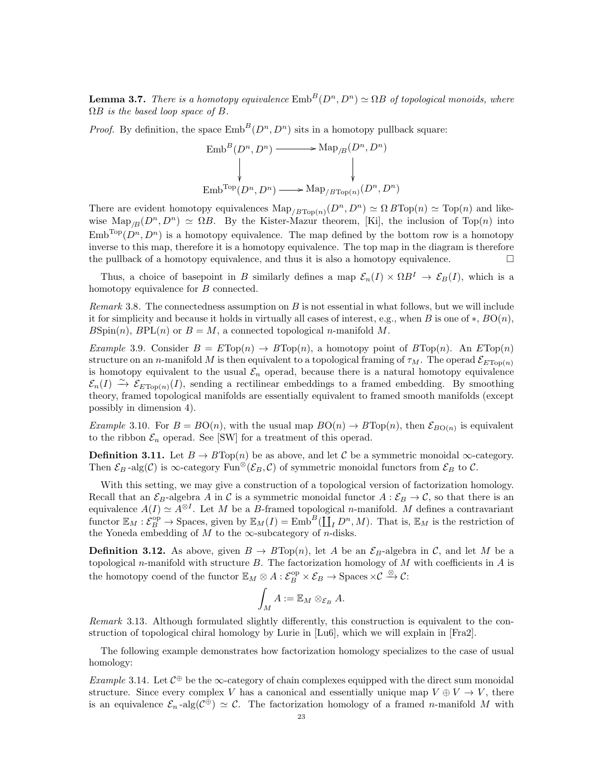**Lemma 3.7.** There is a homotopy equivalence  $\text{Emb}^B(D^n, D^n) \simeq \Omega B$  of topological monoids, where  $\Omega B$  is the based loop space of B.

*Proof.* By definition, the space  $\text{Emb}^B(D^n, D^n)$  sits in a homotopy pullback square:

$$
\text{Emb}^B(D^n, D^n) \longrightarrow \text{Map}_{/B}(D^n, D^n)
$$
  
\n
$$
\downarrow \qquad \qquad \downarrow
$$
  
\n
$$
\text{Emb}^{\text{Top}}(D^n, D^n) \longrightarrow \text{Map}_{/B\text{Top}(n)}(D^n, D^n)
$$

There are evident homotopy equivalences  $\text{Map}_{/B\text{Top}(n)}(D^n, D^n) \simeq \Omega B\text{Top}(n) \simeq \text{Top}(n)$  and likewise Map<sub>/B</sub> $(D^n, D^n) \simeq \Omega B$ . By the Kister-Mazur theorem, [Ki], the inclusion of Top(n) into  $\text{Emb}^{\text{Top}}(D^n, D^n)$  is a homotopy equivalence. The map defined by the bottom row is a homotopy inverse to this map, therefore it is a homotopy equivalence. The top map in the diagram is therefore the pullback of a homotopy equivalence, and thus it is also a homotopy equivalence.  $\Box$ 

Thus, a choice of basepoint in B similarly defines a map  $\mathcal{E}_n(I) \times \Omega B^I \to \mathcal{E}_B(I)$ , which is a homotopy equivalence for B connected.

*Remark* 3.8. The connectedness assumption on  $B$  is not essential in what follows, but we will include it for simplicity and because it holds in virtually all cases of interest, e.g., when B is one of  $\ast$ ,  $BO(n)$ ,  $B\text{Spin}(n)$ ,  $BPL(n)$  or  $B=M$ , a connected topological *n*-manifold M.

Example 3.9. Consider  $B = E \text{Top}(n) \rightarrow B \text{Top}(n)$ , a homotopy point of  $B \text{Top}(n)$ . An  $E \text{Top}(n)$ structure on an n-manifold M is then equivalent to a topological framing of  $\tau_M$ . The operad  $\mathcal{E}_{ETon(n)}$ is homotopy equivalent to the usual  $\mathcal{E}_n$  operad, because there is a natural homotopy equivalence  $\mathcal{E}_n(I) \stackrel{\sim}{\to} \mathcal{E}_{E\text{Top}(n)}(I)$ , sending a rectilinear embeddings to a framed embedding. By smoothing theory, framed topological manifolds are essentially equivalent to framed smooth manifolds (except possibly in dimension 4).

*Example* 3.10. For  $B = BO(n)$ , with the usual map  $BO(n) \to BTop(n)$ , then  $\mathcal{E}_{BO(n)}$  is equivalent to the ribbon  $\mathcal{E}_n$  operad. See [SW] for a treatment of this operad.

**Definition 3.11.** Let  $B \to B \text{Top}(n)$  be as above, and let C be a symmetric monoidal  $\infty$ -category. Then  $\mathcal{E}_B$ -alg(C) is  $\infty$ -category Fun<sup>⊗</sup>( $\mathcal{E}_B$ ,C) of symmetric monoidal functors from  $\mathcal{E}_B$  to C.

With this setting, we may give a construction of a topological version of factorization homology. Recall that an  $\mathcal{E}_B$ -algebra A in C is a symmetric monoidal functor  $A : \mathcal{E}_B \to \mathcal{C}$ , so that there is an equivalence  $A(I) \simeq A^{\otimes I}$ . Let M be a B-framed topological n-manifold. M defines a contravariant functor  $\mathbb{E}_M : \mathcal{E}_B^{\text{op}} \to \text{Spaces}$ , given by  $\mathbb{E}_M(I) = \text{Emb}^B(\coprod_I D^n, M)$ . That is,  $\mathbb{E}_M$  is the restriction of the Yoneda embedding of  $M$  to the  $\infty$ -subcategory of n-disks.

**Definition 3.12.** As above, given  $B \to B \text{Top}(n)$ , let A be an  $\mathcal{E}_B$ -algebra in C, and let M be a topological n-manifold with structure  $B$ . The factorization homology of  $M$  with coefficients in  $A$  is the homotopy coend of the functor  $\mathbb{E}_M \otimes A : \mathcal{E}_B^{\text{op}} \times \mathcal{E}_B \to \text{Spaces} \times \mathcal{C} \xrightarrow{\otimes} \mathcal{C}$ :

$$
\int_M A := \mathbb{E}_M \otimes_{\mathcal{E}_B} A.
$$

Remark 3.13. Although formulated slightly differently, this construction is equivalent to the construction of topological chiral homology by Lurie in [Lu6], which we will explain in [Fra2].

The following example demonstrates how factorization homology specializes to the case of usual homology:

Example 3.14. Let  $C^{\oplus}$  be the  $\infty$ -category of chain complexes equipped with the direct sum monoidal structure. Since every complex V has a canonical and essentially unique map  $V \oplus V \rightarrow V$ , there is an equivalence  $\mathcal{E}_n$ -alg $(\mathcal{C}^{\oplus}) \simeq \mathcal{C}$ . The factorization homology of a framed *n*-manifold M with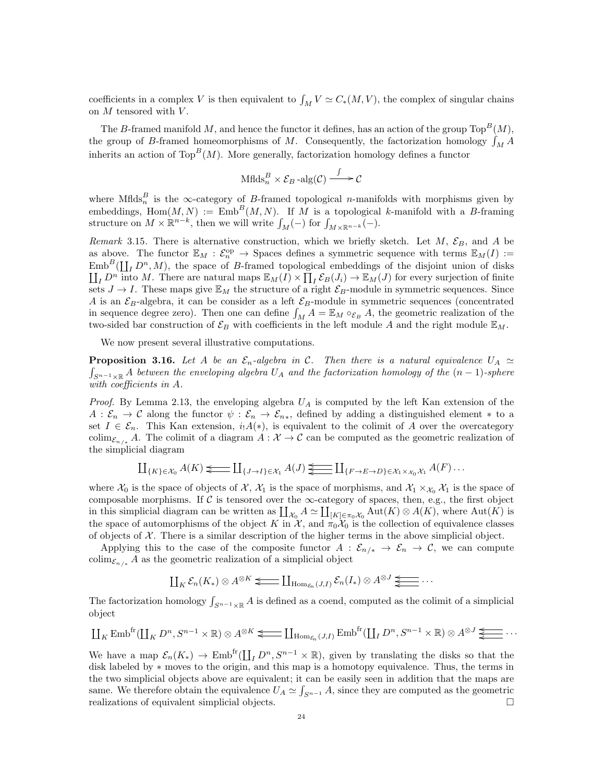coefficients in a complex V is then equivalent to  $\int_M V \simeq C_*(M, V)$ , the complex of singular chains on  $M$  tensored with  $V$ .

The B-framed manifold M, and hence the functor it defines, has an action of the group  $\text{Top}^B(M)$ , the group of B-framed homeomorphisms of M. Consequently, the factorization homology  $\int_M A$ inherits an action of Top<sup>B</sup>(M). More generally, factorization homology defines a functor

$$
\text{Mflds}_n^B \times \mathcal{E}_B \text{-alg}(\mathcal{C}) \xrightarrow{\int} \mathcal{C}
$$

where Mflds<sup>B</sup> is the  $\infty$ -category of B-framed topological n-manifolds with morphisms given by embeddings,  $\text{Hom}(M, N) := \text{Emb}^B(M, N)$ . If M is a topological k-manifold with a B-framing structure on  $M \times \mathbb{R}^{n-k}$ , then we will write  $\int_M (-)$  for  $\int_{M \times \mathbb{R}^{n-k}} (-)$ .

Remark 3.15. There is alternative construction, which we briefly sketch. Let M,  $\mathcal{E}_B$ , and A be as above. The functor  $\mathbb{E}_M : \mathcal{E}_n^{\text{op}} \to \text{Spaces}$  defines a symmetric sequence with terms  $\mathbb{E}_M(I) :=$  $\text{Emb}^B(\coprod_I D^n, M)$ , the space of B-framed topological embeddings of the disjoint union of disks  $\coprod_{I} D^{n}$  into M. There are natural maps  $\mathbb{E}_{M}(I) \times \coprod_{I} \mathcal{E}_{B}(J_{i}) \to \mathbb{E}_{M}(J)$  for every surjection of finite sets  $J \to I$ . These maps give  $\mathbb{E}_M$  the structure of a right  $\mathcal{E}_B$ -module in symmetric sequences. Since A is an  $\mathcal{E}_B$ -algebra, it can be consider as a left  $\mathcal{E}_B$ -module in symmetric sequences (concentrated in sequence degree zero). Then one can define  $\int_M A = \mathbb{E}_M \circ_{\mathcal{E}_B} A$ , the geometric realization of the two-sided bar construction of  $\mathcal{E}_B$  with coefficients in the left module A and the right module  $\mathbb{E}_M$ .

We now present several illustrative computations.

**Proposition 3.16.** Let A be an  $\mathcal{E}_n$ -algebra in C. Then there is a natural equivalence  $U_A \simeq$  $\int_{S^{n-1}\times\mathbb{R}} A$  between the enveloping algebra  $U_A$  and the factorization homology of the  $(n-1)$ -sphere with coefficients in A.

*Proof.* By Lemma 2.13, the enveloping algebra  $U_A$  is computed by the left Kan extension of the  $A: \mathcal{E}_n \to \mathcal{C}$  along the functor  $\psi: \mathcal{E}_n \to \mathcal{E}_{n*}$ , defined by adding a distinguished element \* to a set  $I \in \mathcal{E}_n$ . This Kan extension,  $i_1A(*)$ , is equivalent to the colimit of A over the overcategory colim<sub> $\mathcal{E}_{n/k}$ </sub> A. The colimit of a diagram  $A: \mathcal{X} \to \mathcal{C}$  can be computed as the geometric realization of the simplicial diagram

$$
\coprod_{\{K\}\in\mathcal{X}_0} A(K) \succeq \coprod_{\{J\to I\}\in\mathcal{X}_1} A(J) \succeq \coprod_{\{F\to E\to D\}\in\mathcal{X}_1\times_{\mathcal{X}_0}\mathcal{X}_1} A(F)\dots
$$

where  $\mathcal{X}_0$  is the space of objects of  $\mathcal{X}, \mathcal{X}_1$  is the space of morphisms, and  $\mathcal{X}_1 \times_{\mathcal{X}_0} \mathcal{X}_1$  is the space of composable morphisms. If  $C$  is tensored over the  $\infty$ -category of spaces, then, e.g., the first object in this simplicial diagram can be written as  $\coprod_{\mathcal{X}_0} A \simeq \coprod_{[K]\in\pi_0\mathcal{X}_0} Aut(K) \otimes A(K)$ , where  $Aut(K)$  is the space of automorphisms of the object K in  $\mathcal{X}$ , and  $\pi_0\mathcal{X}_0$  is the collection of equivalence classes of objects of  $\mathcal X$ . There is a similar description of the higher terms in the above simplicial object.

Applying this to the case of the composite functor  $A : \mathcal{E}_{n/k} \to \mathcal{E}_n \to \mathcal{C}$ , we can compute colim<sub> $\mathcal{E}_{n/k}$ </sub> A as the geometric realization of a simplicial object

$$
\coprod_K \mathcal{E}_n(K_*) \otimes A^{\otimes K} \Longleftarrow \coprod_{\text{Hom}_{\mathcal{E}_n}(J,I)} \mathcal{E}_n(I_*) \otimes A^{\otimes J} \underbrace{\Longleftarrow \cdots}
$$

The factorization homology  $\int_{S^{n-1}\times\mathbb{R}} A$  is defined as a coend, computed as the colimit of a simplicial object

$$
\coprod_{K} \text{Emb}^{fr}(\coprod_{K} D^{n}, S^{n-1} \times \mathbb{R}) \otimes A^{\otimes K} \Longleftarrow \coprod_{\text{Hom}_{\mathcal{E}_{n}}(J,I)} \text{Emb}^{fr}(\coprod_{I} D^{n}, S^{n-1} \times \mathbb{R}) \otimes A^{\otimes J} \Longleftarrow \cdots
$$

We have a map  $\mathcal{E}_n(K_*) \to \text{Emb}^{\text{fr}}(\coprod_I D^n, S^{n-1} \times \mathbb{R})$ , given by translating the disks so that the disk labeled by ∗ moves to the origin, and this map is a homotopy equivalence. Thus, the terms in the two simplicial objects above are equivalent; it can be easily seen in addition that the maps are same. We therefore obtain the equivalence  $U_A \simeq \int_{S^{n-1}} A$ , since they are computed as the geometric realizations of equivalent simplicial objects.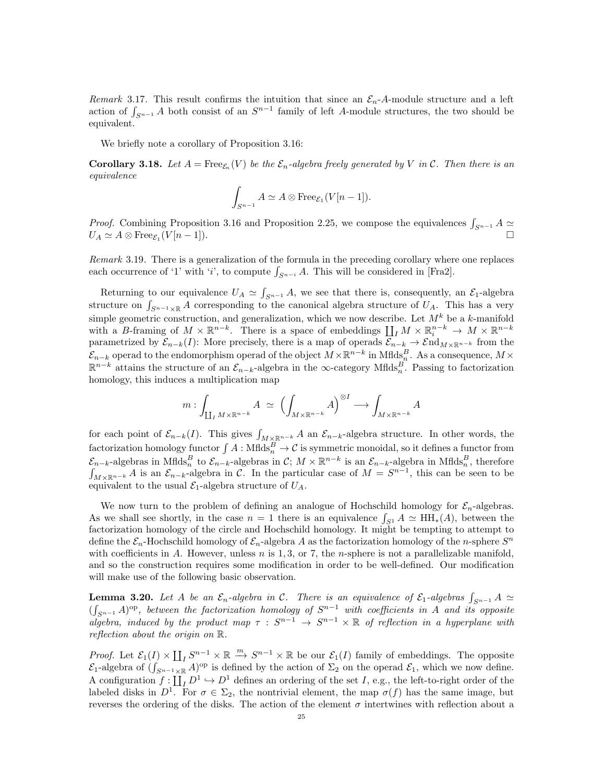Remark 3.17. This result confirms the intuition that since an  $\mathcal{E}_n$ -A-module structure and a left action of  $\int_{S^{n-1}} A$  both consist of an  $S^{n-1}$  family of left A-module structures, the two should be equivalent.

We briefly note a corollary of Proposition 3.16:

**Corollary 3.18.** Let  $A = \text{Free}_{\mathcal{E}_n}(V)$  be the  $\mathcal{E}_n$ -algebra freely generated by V in C. Then there is an equivalence

$$
\int_{S^{n-1}} A \simeq A \otimes \text{Free}_{\mathcal{E}_1}(V[n-1]).
$$

*Proof.* Combining Proposition 3.16 and Proposition 2.25, we compose the equivalences  $\int_{S^{n-1}} A \simeq$  $U_A \simeq A \otimes \text{Free}_{\mathcal{E}_1}(V[n-1]).$ 

Remark 3.19. There is a generalization of the formula in the preceding corollary where one replaces each occurrence of '1' with 'i', to compute  $\int_{S^{n-i}} A$ . This will be considered in [Fra2].

Returning to our equivalence  $U_A \simeq \int_{S^{n-1}} A$ , we see that there is, consequently, an  $\mathcal{E}_1$ -algebra structure on  $\int_{S^{n-1}\times\mathbb{R}} A$  corresponding to the canonical algebra structure of  $U_A$ . This has a very simple geometric construction, and generalization, which we now describe. Let  $M^k$  be a k-manifold with a B-framing of  $M \times \mathbb{R}^{n-k}$ . There is a space of embeddings  $\coprod_I M \times \mathbb{R}^{n-k} \to M \times \mathbb{R}^{n-k}$ parametrized by  $\mathcal{E}_{n-k}(I)$ : More precisely, there is a map of operads  $\mathcal{E}_{n-k} \to \mathcal{E}nd_{M\times\mathbb{R}^{n-k}}$  from the  $\mathcal{E}_{n-k}$  operad to the endomorphism operad of the object  $M\times\mathbb{R}^{n-k}$  in Mflds $^{B}_{n}$ . As a consequence,  $M\times$  $\mathbb{R}^{n-k}$  attains the structure of an  $\mathcal{E}_{n-k}$ -algebra in the  $\infty$ -category Mflds $_n^B$ . Passing to factorization homology, this induces a multiplication map

$$
m: \int_{\coprod_{I} M \times \mathbb{R}^{n-k}} A \simeq \left( \int_{M \times \mathbb{R}^{n-k}} A \right)^{\otimes I} \longrightarrow \int_{M \times \mathbb{R}^{n-k}} A
$$

for each point of  $\mathcal{E}_{n-k}(I)$ . This gives  $\int_{M\times\mathbb{R}^{n-k}} A$  an  $\mathcal{E}_{n-k}$ -algebra structure. In other words, the factorization homology functor  $\int A : \mathrm{Mflds}_n^B \to \mathcal{C}$  is symmetric monoidal, so it defines a functor from  $\mathcal{E}_{n-k}$ -algebras in Mflds<sup>B</sup> to  $\mathcal{E}_{n-k}$ -algebras in  $\mathcal{C}$ ;  $M \times \mathbb{R}^{n-k}$  is an  $\mathcal{E}_{n-k}$ -algebra in Mflds<sup>B</sup><sub>n</sub>, therefore  $\int_{M\times\mathbb{R}^{n-k}} A$  is an  $\mathcal{E}_{n-k}$ -algebra in C. In the particular case of  $M = S^{n-1}$ , this can be seen to be equivalent to the usual  $\mathcal{E}_1$ -algebra structure of  $U_A$ .

We now turn to the problem of defining an analogue of Hochschild homology for  $\mathcal{E}_n$ -algebras. As we shall see shortly, in the case  $n = 1$  there is an equivalence  $\int_{S^1} A \simeq \text{HH}_*(A)$ , between the factorization homology of the circle and Hochschild homology. It might be tempting to attempt to define the  $\mathcal{E}_n$ -Hochschild homology of  $\mathcal{E}_n$ -algebra A as the factorization homology of the n-sphere  $S^n$ with coefficients in A. However, unless  $n$  is 1, 3, or 7, the *n*-sphere is not a parallelizable manifold, and so the construction requires some modification in order to be well-defined. Our modification will make use of the following basic observation.

**Lemma 3.20.** Let A be an  $\mathcal{E}_n$ -algebra in C. There is an equivalence of  $\mathcal{E}_1$ -algebras  $\int_{S^{n-1}} A \simeq$  $(\int_{S^{n-1}} A)^{\rm op}$ , between the factorization homology of  $S^{n-1}$  with coefficients in A and its opposite algebra, induced by the product map  $\tau : S^{n-1} \to S^{n-1} \times \mathbb{R}$  of reflection in a hyperplane with reflection about the origin on R.

*Proof.* Let  $\mathcal{E}_1(I) \times \prod_I S^{n-1} \times \mathbb{R} \stackrel{m}{\longrightarrow} S^{n-1} \times \mathbb{R}$  be our  $\mathcal{E}_1(I)$  family of embeddings. The opposite  $\mathcal{E}_1$ -algebra of  $(\int_{S^{n-1}\times\mathbb{R}} A)^{\text{op}}$  is defined by the action of  $\Sigma_2$  on the operad  $\mathcal{E}_1$ , which we now define. A configuration  $f: \coprod_I D^1 \hookrightarrow D^1$  defines an ordering of the set I, e.g., the left-to-right order of the labeled disks in  $D^1$ . For  $\sigma \in \Sigma_2$ , the nontrivial element, the map  $\sigma(f)$  has the same image, but reverses the ordering of the disks. The action of the element  $\sigma$  intertwines with reflection about a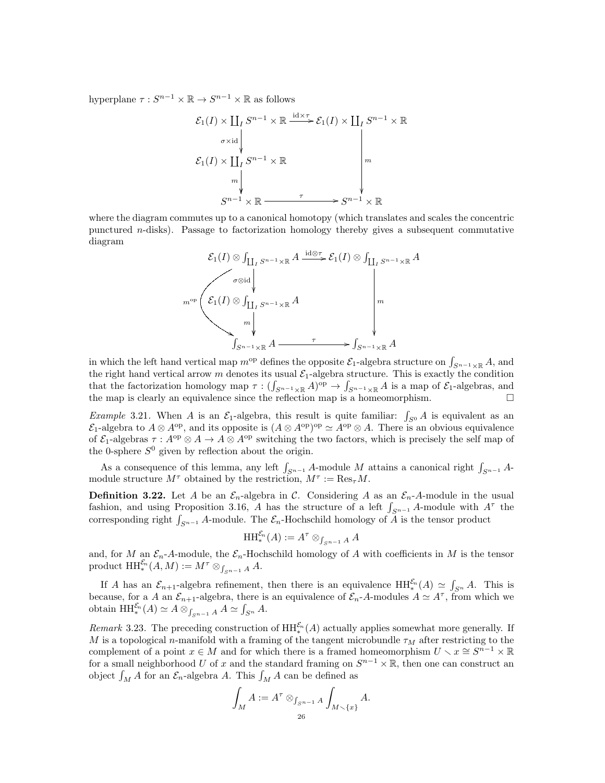hyperplane  $\tau: S^{n-1} \times \mathbb{R} \to S^{n-1} \times \mathbb{R}$  as follows

$$
\mathcal{E}_1(I) \times \coprod_I S^{n-1} \times \mathbb{R} \xrightarrow{\mathrm{id} \times \tau} \mathcal{E}_1(I) \times \coprod_I S^{n-1} \times \mathbb{R}
$$
\n
$$
\mathcal{E}_1(I) \times \coprod_I S^{n-1} \times \mathbb{R} \longrightarrow \begin{bmatrix} \downarrow & & & & \downarrow \\ & & & & \downarrow & & & \downarrow \\ & & & & & \downarrow & & & \downarrow \\ & & & & & \downarrow & & & \downarrow \\ & & & & & & \downarrow & & & \downarrow \\ & & & & & & \downarrow & & & \downarrow \\ & & & & & & \downarrow & & & \downarrow \\ & & & & & & \downarrow & & & \downarrow \\ & & & & & & \downarrow & & & \downarrow \\ & & & & & & \downarrow & & & \downarrow \\ & & & & & & \downarrow & & & \downarrow \\ & & & & & & \downarrow & & & \downarrow \\ & & & & & & \downarrow & & & \downarrow \\ & & & & & & \downarrow & & & \downarrow \\ & & & & & & \downarrow & & & \downarrow \\ & & & & & & \downarrow & & & \downarrow \\ & & & & & & \downarrow & & & \downarrow \\ & & & & & & \downarrow & & & \downarrow \\ & & & & & & \downarrow & & & \downarrow \\ & & & & & & \downarrow & & & \downarrow \\ & & & & & & \downarrow & & & \downarrow \\ & & & & & & \downarrow & & & \downarrow \\ & & & & & & \downarrow & & & \downarrow \\ & & & & & & \downarrow & & & \downarrow \\ & & & & & & \downarrow & & & \downarrow \\ & & & & & & \downarrow & & & \downarrow \\ & & & & & & \downarrow & & & \downarrow \\ & & & & & & \downarrow & & & \downarrow \\ & & & & & & \downarrow & & & \downarrow \\ & & & & & & \downarrow & & & \downarrow \\ & & & & & & \downarrow & & & \downarrow \\ & & & & & & \downarrow & & & \downarrow \\ & & & & & & \downarrow & & & \downarrow \\ & & & & & & \downarrow & & & \downarrow \\ & & & & & & \downarrow & & & \downarrow \\ & & & & & & \downarrow & & & \downarrow \\ & & & & & & \downarrow & & & \downarrow \\ & & & & & & \downarrow & & & \downarrow \\ & & & & & & \downarrow & & & \downarrow \\ & & & & & & \downarrow & & & \downarrow \\ & & & & & & \downarrow & & & \down
$$

where the diagram commutes up to a canonical homotopy (which translates and scales the concentric punctured n-disks). Passage to factorization homology thereby gives a subsequent commutative diagram

$$
\mathcal{E}_1(I) \otimes \int_{\coprod_I S^{n-1} \times \mathbb{R}} A \xrightarrow{\operatorname{id} \otimes \tau} \mathcal{E}_1(I) \otimes \int_{\coprod_I S^{n-1} \times \mathbb{R}} A
$$
\n
$$
m^{\operatorname{op}} \left( \begin{array}{c} \sigma \otimes \operatorname{id} \\ \downarrow \\ m \end{array} \right) \xrightarrow{m^{\operatorname{op}}} \begin{array}{c} \uparrow \\ \downarrow \\ \downarrow \\ \downarrow \\ \downarrow \\ \downarrow \\ \downarrow \end{array}
$$
\n
$$
\downarrow m^{\operatorname{op}} \left( \begin{array}{c} \downarrow \\ \downarrow \\ \downarrow \\ \downarrow \\ \downarrow \\ \downarrow \end{array} \right)
$$
\n
$$
\downarrow m^{\operatorname{op}} \left( \begin{array}{c} \downarrow \\ \downarrow \\ \downarrow \\ \downarrow \\ \downarrow \\ \downarrow \end{array} \right)
$$
\n
$$
\downarrow m^{\operatorname{op}} \left( \begin{array}{c} \downarrow \\ \downarrow \\ \downarrow \\ \downarrow \\ \downarrow \\ \downarrow \end{array} \right)
$$

in which the left hand vertical map  $m^{\text{op}}$  defines the opposite  $\mathcal{E}_1$ -algebra structure on  $\int_{S^{n-1}\times\mathbb{R}} A$ , and the right hand vertical arrow m denotes its usual  $\mathcal{E}_1$ -algebra structure. This is exactly the condition that the factorization homology map  $\tau: (\int_{S^{n-1}\times \mathbb{R}} A)^{\text{op}} \to \int_{S^{n-1}\times \mathbb{R}} A$  is a map of  $\mathcal{E}_1$ -algebras, and the map is clearly an equivalence since the reflection map is a homeomorphism.

*Example* 3.21. When A is an  $\mathcal{E}_1$ -algebra, this result is quite familiar:  $\int_{S^0} A$  is equivalent as an  $\mathcal{E}_1$ -algebra to  $A \otimes A^{op}$ , and its opposite is  $(A \otimes A^{op})^{op} \simeq A^{op} \otimes A$ . There is an obvious equivalence of  $\mathcal{E}_1$ -algebras  $\tau : A^{op} \otimes A \to A \otimes A^{op}$  switching the two factors, which is precisely the self map of the 0-sphere  $S^0$  given by reflection about the origin.

As a consequence of this lemma, any left  $\int_{S^{n-1}} A$ -module M attains a canonical right  $\int_{S^{n-1}} A$ module structure  $M^{\tau}$  obtained by the restriction,  $M^{\tau} := \text{Res}_{\tau} M$ .

**Definition 3.22.** Let A be an  $\mathcal{E}_n$ -algebra in C. Considering A as an  $\mathcal{E}_n$ -A-module in the usual fashion, and using Proposition 3.16, A has the structure of a left  $\int_{S^{n-1}} A$ -module with  $A^{\tau}$  the corresponding right  $\int_{S^{n-1}} A$ -module. The  $\mathcal{E}_n$ -Hochschild homology of  $\overline{A}$  is the tensor product

$$
\mathop{\mathrm{HH}}\nolimits^{\mathcal{E}_n}_*(A) := A^\tau \otimes_{\int_{S^{n-1}} A} A
$$

and, for M an  $\mathcal{E}_n$ -A-module, the  $\mathcal{E}_n$ -Hochschild homology of A with coefficients in M is the tensor product  $\mathop{\mathrm{HH}}\nolimits_*^{\mathcal{E}_n}(A,M) := M^\tau \otimes_{\int_{S^{n-1}} A} A.$ 

If A has an  $\mathcal{E}_{n+1}$ -algebra refinement, then there is an equivalence  $HH_*^{\mathcal{E}_n}(A) \simeq \int_{S^n} A$ . This is because, for a A an  $\mathcal{E}_{n+1}$ -algebra, there is an equivalence of  $\mathcal{E}_n$ -A-modules  $A \simeq A^{\tau}$ , from which we obtain  $HH_{*}^{\mathcal{E}_{n}}(A) \simeq A \otimes_{\int_{S^{n-1}} A} A \simeq \int_{S^{n}} A.$ 

*Remark* 3.23. The preceding construction of  $HH_*^{\mathcal{E}_n}(A)$  actually applies somewhat more generally. If M is a topological n-manifold with a framing of the tangent microbundle  $\tau_M$  after restricting to the complement of a point  $x \in M$  and for which there is a framed homeomorphism  $U \setminus x \cong S^{n-1} \times \mathbb{R}$ for a small neighborhood U of x and the standard framing on  $S^{n-1}\times\mathbb{R}$ , then one can construct an object  $\int_M A$  for an  $\mathcal{E}_n$ -algebra A. This  $\int_M A$  can be defined as

$$
\int_M A := A^\tau \otimes_{\int_{S^{n-1}} A} \int_{M \smallsetminus \{x\}} A.
$$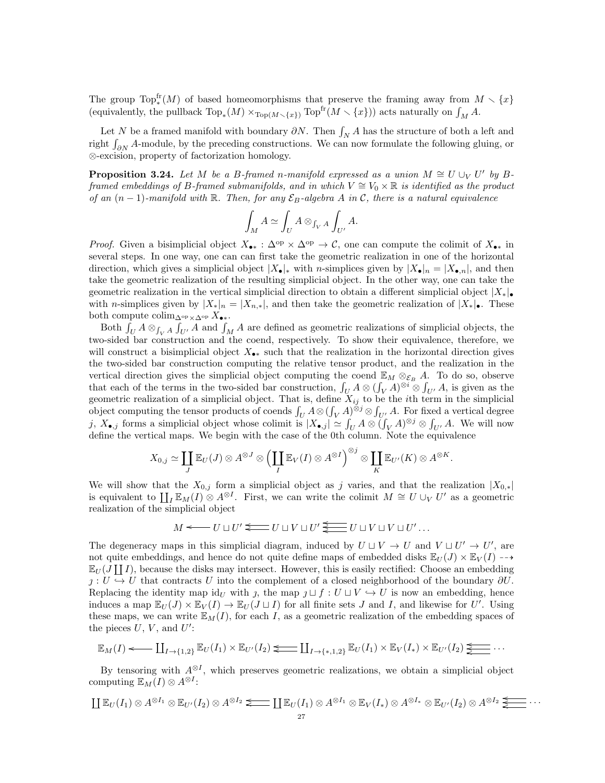The group  $\text{Top}^{\text{fr}}_{*}(M)$  of based homeomorphisms that preserve the framing away from  $M \setminus \{x\}$ (equivalently, the pullback  $Top_*(M) \times_{Top(M \smallsetminus \{x\})} Top^{\text{fr}}(M \smallsetminus \{x\}))$  acts naturally on  $\int_M A$ .

Let N be a framed manifold with boundary  $\partial N$ . Then  $\int_N A$  has the structure of both a left and right  $\int_{\partial N} A$ -module, by the preceding constructions. We can now formulate the following gluing, or ⊗-excision, property of factorization homology.

**Proposition 3.24.** Let M be a B-framed n-manifold expressed as a union  $M \cong U \cup_V U'$  by Bframed embeddings of B-framed submanifolds, and in which  $V \cong V_0 \times \mathbb{R}$  is identified as the product of an  $(n-1)$ -manifold with R. Then, for any  $\mathcal{E}_B$ -algebra A in C, there is a natural equivalence

$$
\int_M A \simeq \int_U A \otimes_{\int_V A} \int_{U'} A.
$$

*Proof.* Given a bisimplicial object  $X_{\bullet *} : \Delta^{\rm op} \times \Delta^{\rm op} \to \mathcal{C}$ , one can compute the colimit of  $X_{\bullet *}$  in several steps. In one way, one can can first take the geometric realization in one of the horizontal direction, which gives a simplicial object  $|X_{\bullet}|_{*}$  with *n*-simplices given by  $|X_{\bullet}|_{n} = |X_{\bullet,n}|$ , and then take the geometric realization of the resulting simplicial object. In the other way, one can take the geometric realization in the vertical simplicial direction to obtain a different simplicial object  $|X_*|_{\bullet}$ with n-simplices given by  $|X_*|_n = |X_{n,*}|$ , and then take the geometric realization of  $|X_*|_n$ . These both compute colim<sub>∆</sub><sub>op  $X_{\bullet *}$ </sub>.

Both  $\int_U A \otimes_{\int_V A} \int_{U'} A$  and  $\int_M A$  are defined as geometric realizations of simplicial objects, the two-sided bar construction and the coend, respectively. To show their equivalence, therefore, we will construct a bisimplicial object  $X_{\bullet*}$  such that the realization in the horizontal direction gives the two-sided bar construction computing the relative tensor product, and the realization in the vertical direction gives the simplicial object computing the coend  $\mathbb{E}_M \otimes_{\mathcal{E}_B} A$ . To do so, observe that each of the terms in the two-sided bar construction,  $\int_U A \otimes (\int_V A)^{\otimes i} \otimes \int_{U'} A$ , is given as the geometric realization of a simplicial object. That is, define  $X_{ij}$  to be the *i*th term in the simplicial object computing the tensor products of coends  $\int_U A \otimes (\int_V A)^{\otimes j} \otimes \int_{U'} A$ . For fixed a vertical degree j,  $X_{\bullet,j}$  forms a simplicial object whose colimit is  $|X_{\bullet,j}| \simeq \int_U A \otimes (\int_V A)^{\otimes j} \otimes \int_{U'} A$ . We will now define the vertical maps. We begin with the case of the 0th column. Note the equivalence

$$
X_{0,j} \simeq \coprod_{J} \mathbb{E}_U(J) \otimes A^{\otimes J} \otimes \left( \coprod_{I} \mathbb{E}_V(I) \otimes A^{\otimes I} \right)^{\otimes j} \otimes \coprod_{K} \mathbb{E}_{U'}(K) \otimes A^{\otimes K}.
$$

We will show that the  $X_{0,j}$  form a simplicial object as j varies, and that the realization  $|X_{0,*}|$ is equivalent to  $\coprod_I \mathbb{E}_M(I) \otimes A^{\otimes I}$ . First, we can write the colimit  $M \cong U \cup_V U'$  as a geometric realization of the simplicial object

$$
M \longleftarrow U \sqcup U' \longleftarrow U \sqcup V \sqcup U' \underleftarrow{\underleftarrow{\longleftarrow}} U \sqcup V \sqcup V \sqcup U' \dots
$$

The degeneracy maps in this simplicial diagram, induced by  $U \sqcup V \rightarrow U$  and  $V \sqcup U' \rightarrow U'$ , are not quite embeddings, and hence do not quite define maps of embedded disks  $\mathbb{E}_U(J) \times \mathbb{E}_V(I) \longrightarrow$  $\mathbb{E}_U(J \coprod I)$ , because the disks may intersect. However, this is easily rectified: Choose an embedding  $j: U \hookrightarrow U$  that contracts U into the complement of a closed neighborhood of the boundary  $\partial U$ . Replacing the identity map  $id_U$  with j, the map  $j \sqcup f : U \sqcup V \hookrightarrow U$  is now an embedding, hence induces a map  $\mathbb{E}_U(J) \times \mathbb{E}_V(I) \to \mathbb{E}_U(J \sqcup I)$  for all finite sets J and I, and likewise for U'. Using these maps, we can write  $\mathbb{E}_M(I)$ , for each I, as a geometric realization of the embedding spaces of the pieces  $U, V$ , and  $U'$ :

$$
\mathbb{E}_M(I) \longleftarrow \coprod_{I \to \{1,2\}} \mathbb{E}_U(I_1) \times \mathbb{E}_{U'}(I_2) \longleftarrow \coprod_{I \to \{*,1,2\}} \mathbb{E}_U(I_1) \times \mathbb{E}_V(I_*) \times \mathbb{E}_{U'}(I_2) \underleftarrow{\underleftarrow{\cdots}}
$$

By tensoring with  $A^{\otimes I}$ , which preserves geometric realizations, we obtain a simplicial object computing  $\mathbb{E}_M(I) \otimes A^{\otimes I}$ :

$$
\coprod \mathbb{E}_U(I_1) \otimes A^{\otimes I_1} \otimes \mathbb{E}_{U'}(I_2) \otimes A^{\otimes I_2} \Longleftarrow \coprod \mathbb{E}_U(I_1) \otimes A^{\otimes I_1} \otimes \mathbb{E}_V(I_*) \otimes A^{\otimes I_*} \otimes \mathbb{E}_{U'}(I_2) \otimes A^{\otimes I_2} \Longleftarrow \cdots
$$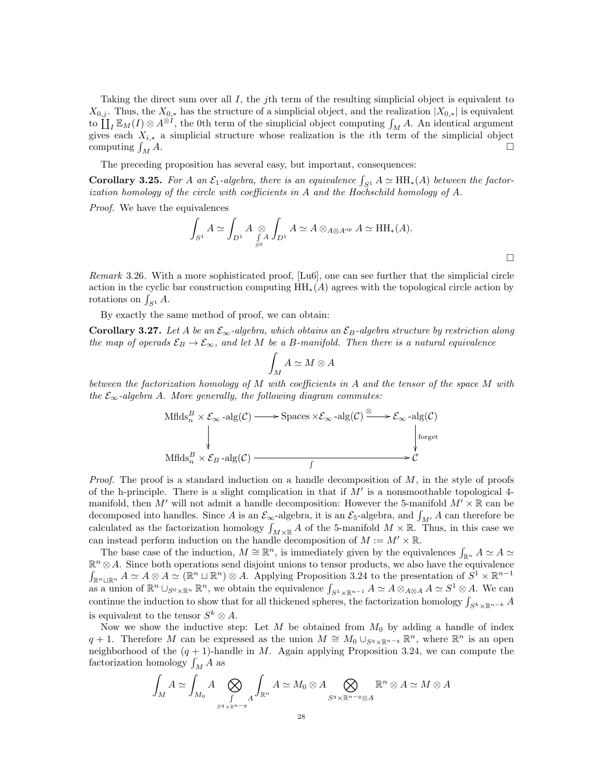Taking the direct sum over all  $I$ , the jth term of the resulting simplicial object is equivalent to  $X_{0,j}$ . Thus, the  $X_{0,*}$  has the structure of a simplicial object, and the realization  $|X_{0,*}|$  is equivalent to  $\coprod_I \mathbb{E}_M(I) \otimes A^{\otimes I}$ , the 0th term of the simplicial object computing  $\int_M A$ . An identical argument gives each  $X_{i,*}$  a simplicial structure whose realization is the *i*th term of the simplicial object computing  $\int_M A$ .  $\bigcup_{M} A$ .

The preceding proposition has several easy, but important, consequences:

**Corollary 3.25.** For A an  $\mathcal{E}_1$ -algebra, there is an equivalence  $\int_{S^1} A \simeq HH_*(A)$  between the factorization homology of the circle with coefficients in A and the Hochschild homology of A.

Proof. We have the equivalences

$$
\int_{S^1} A \simeq \int_{D^1} A \underset{S^0}{\otimes} \int_{D^1} A \simeq A \otimes_{A \otimes A^{op}} A \simeq \text{HH}_*(A).
$$

Remark 3.26. With a more sophisticated proof, [Lu6], one can see further that the simplicial circle action in the cyclic bar construction computing  $HH_*(A)$  agrees with the topological circle action by rotations on  $\int_{S^1} A$ .

By exactly the same method of proof, we can obtain:

**Corollary 3.27.** Let A be an  $\mathcal{E}_{\infty}$ -algebra, which obtains an  $\mathcal{E}_{B}$ -algebra structure by restriction along the map of operads  $\mathcal{E}_B \to \mathcal{E}_{\infty}$ , and let M be a B-manifold. Then there is a natural equivalence

$$
\int_M A \simeq M \otimes A
$$

between the factorization homology of M with coefficients in A and the tensor of the space M with the  $\mathcal{E}_{\infty}$ -algebra A. More generally, the following diagram commutes:

$$
\text{Mflds}_n^B \times \mathcal{E}_{\infty} - \text{alg}(\mathcal{C}) \longrightarrow \text{Spaces} \times \mathcal{E}_{\infty} - \text{alg}(\mathcal{C}) \xrightarrow{\otimes} \mathcal{E}_{\infty} - \text{alg}(\mathcal{C})
$$
\n
$$
\downarrow \qquad \qquad \downarrow \text{forget}
$$
\n
$$
\text{Mflds}_n^B \times \mathcal{E}_B - \text{alg}(\mathcal{C}) \xrightarrow{\qquad \qquad \downarrow} \mathcal{C}
$$

*Proof.* The proof is a standard induction on a handle decomposition of  $M$ , in the style of proofs of the h-principle. There is a slight complication in that if  $M'$  is a nonsmoothable topological 4manifold, then M' will not admit a handle decomposition: However the 5-manifold  $M' \times \mathbb{R}$  can be decomposed into handles. Since A is an  $\mathcal{E}_{\infty}$ -algebra, it is an  $\mathcal{E}_{5}$ -algebra, and  $\int_{M'} A$  can therefore be calculated as the factorization homology  $\int_{M\times\mathbb{R}} A$  of the 5-manifold  $M\times\mathbb{R}$ . Thus, in this case we can instead perform induction on the handle decomposition of  $M := M' \times \mathbb{R}$ .

The base case of the induction,  $M \cong \mathbb{R}^n$ , is immediately given by the equivalences  $\int_{\mathbb{R}^n} A \simeq A$  $\mathbb{R}^n \otimes A$ . Since both operations send disjoint unions to tensor products, we also have the equivalence  $\int_{\mathbb{R}^n \cup \mathbb{R}^n} A \simeq A \otimes A \simeq (\mathbb{R}^n \cup \mathbb{R}^n) \otimes A$ . Applying Proposition 3.24 to the presentation of  $S^1 \times \mathbb{R}^{n-1}$ as a union of  $\mathbb{R}^n \cup_{S^0 \times \mathbb{R}^n} \mathbb{R}^n$ , we obtain the equivalence  $\int_{S^1 \times \mathbb{R}^{n-1}} A \simeq A \otimes_{A \otimes A} A \simeq S^1 \otimes A$ . We can continue the induction to show that for all thickened spheres, the factorization homology  $\int_{S^k \times \mathbb{R}^{n-k}} A$ is equivalent to the tensor  $S^k \otimes A$ .

Now we show the inductive step: Let M be obtained from  $M_0$  by adding a handle of index q + 1. Therefore M can be expressed as the union  $M \cong M_0 \cup_{S^q \times \mathbb{R}^{n-q}} \mathbb{R}^n$ , where  $\mathbb{R}^n$  is an open neighborhood of the  $(q + 1)$ -handle in M. Again applying Proposition 3.24, we can compute the factorization homology  $\int_M A$  as

$$
\int_M A \simeq \int_{M_0} A \bigotimes_{\substack{\int \mathbb{R}^n A \\ \text{supp} \ y \text{supp} \ y}} \int_{\mathbb{R}^n} A \simeq M_0 \otimes A \bigotimes_{\substack{S^q \times \mathbb{R}^{n-q} \otimes A}} \mathbb{R}^n \otimes A \simeq M \otimes A
$$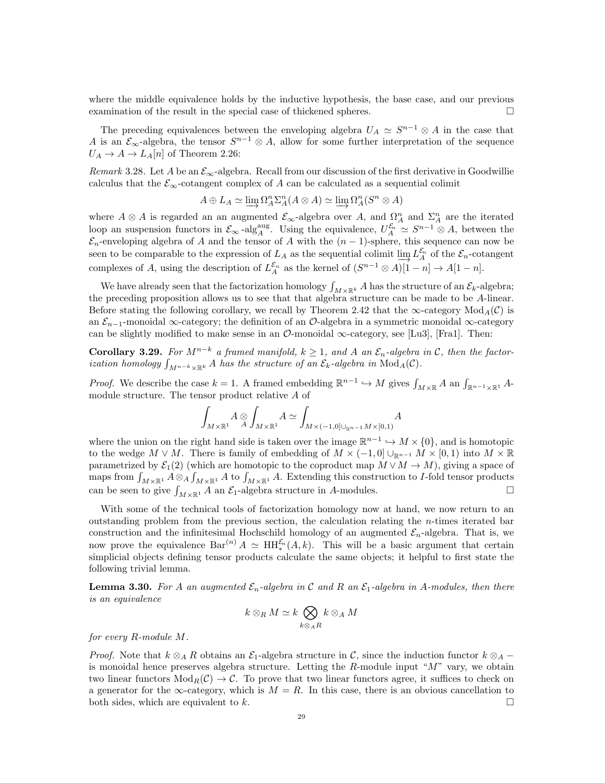where the middle equivalence holds by the inductive hypothesis, the base case, and our previous examination of the result in the special case of thickened spheres.

The preceding equivalences between the enveloping algebra  $U_A \simeq S^{n-1} \otimes A$  in the case that A is an  $\mathcal{E}_{\infty}$ -algebra, the tensor  $S^{n-1} \otimes A$ , allow for some further interpretation of the sequence  $U_A \rightarrow A \rightarrow L_A[n]$  of Theorem 2.26:

Remark 3.28. Let A be an  $\mathcal{E}_{\infty}$ -algebra. Recall from our discussion of the first derivative in Goodwillie calculus that the  $\mathcal{E}_{\infty}$ -cotangent complex of A can be calculated as a sequential colimit

$$
A \oplus L_A \simeq \varinjlim \Omega_A^n \Sigma_A^n(A \otimes A) \simeq \varinjlim \Omega_A^n(S^n \otimes A)
$$

where  $A \otimes A$  is regarded an an augmented  $\mathcal{E}_{\infty}$ -algebra over A, and  $\Omega_A^n$  and  $\Sigma_A^n$  are the iterated loop an suspension functors in  $\mathcal{E}_{\infty}$ -alg<sub>A</sub><sup>aug</sup>. Using the equivalence,  $U_A^{\mathcal{E}_n} \simeq S^{n-1} \otimes A$ , between the  $\mathcal{E}_n$ -enveloping algebra of A and the tensor of A with the  $(n-1)$ -sphere, this sequence can now be seen to be comparable to the expression of  $L_A$  as the sequential colimit  $\varinjlim L_A^{\mathcal{E}_n}$  of the  $\mathcal{E}_n$ -cotangent complexes of A, using the description of  $L_A^{\mathcal{E}_n}$  as the kernel of  $(S^{n-1} \otimes A)[1-n] \to A[1-n]$ .

We have already seen that the factorization homology  $\int_{M\times\mathbb{R}^k} A$  has the structure of an  $\mathcal{E}_k$ -algebra; the preceding proposition allows us to see that that algebra structure can be made to be A-linear. Before stating the following corollary, we recall by Theorem 2.42 that the  $\infty$ -category Mod<sub>A</sub>(C) is an  $\mathcal{E}_{n-1}$ -monoidal ∞-category; the definition of an  $\mathcal{O}$ -algebra in a symmetric monoidal  $\infty$ -category can be slightly modified to make sense in an  $\mathcal{O}\text{-monoidal}\infty\text{-category},$  see [Lu3], [Fra1]. Then:

Corollary 3.29. For  $M^{n-k}$  a framed manifold,  $k \geq 1$ , and A an  $\mathcal{E}_n$ -algebra in C, then the factorization homology  $\int_{M^{n-k}\times\mathbb{R}^k} A$  has the structure of an  $\mathcal{E}_k$ -algebra in  $\text{Mod}_A(\mathcal{C})$ .

*Proof.* We describe the case  $k = 1$ . A framed embedding  $\mathbb{R}^{n-1} \hookrightarrow M$  gives  $\int_{M \times \mathbb{R}} A$  an  $\int_{\mathbb{R}^{n-1} \times \mathbb{R}^1} A$ module structure. The tensor product relative A of

$$
\int_{M\times\mathbb{R}^1} A\otimes \int_{M\times\mathbb{R}^1} A \simeq \int_{M\times (-1,0]\cup_{\mathbb{R}^{n-1}} M\times [0,1)} A
$$

where the union on the right hand side is taken over the image  $\mathbb{R}^{n-1} \hookrightarrow M \times \{0\}$ , and is homotopic to the wedge  $M \vee M$ . There is family of embedding of  $M \times (-1,0] \cup_{\mathbb{R}^{n-1}} M \times [0,1]$  into  $M \times \mathbb{R}$ parametrized by  $\mathcal{E}_1(2)$  (which are homotopic to the coproduct map  $M \vee M \to M$ ), giving a space of maps from  $\int_{M\times\mathbb{R}^1} A\otimes_A \int_{M\times\mathbb{R}^1} A$  to  $\int_{M\times\mathbb{R}^1} A$ . Extending this construction to *I*-fold tensor products can be seen to give  $\int_{M\times\mathbb{R}^1} A$  an  $\mathcal{E}_1$ -algebra structure in A-modules.

With some of the technical tools of factorization homology now at hand, we now return to an outstanding problem from the previous section, the calculation relating the  $n$ -times iterated bar construction and the infinitesimal Hochschild homology of an augmented  $\mathcal{E}_n$ -algebra. That is, we now prove the equivalence  $Bar^{(n)} A \simeq HH_{*}^{\mathcal{E}_n}(A,k)$ . This will be a basic argument that certain simplicial objects defining tensor products calculate the same objects; it helpful to first state the following trivial lemma.

**Lemma 3.30.** For A an augmented  $\mathcal{E}_n$ -algebra in C and R an  $\mathcal{E}_1$ -algebra in A-modules, then there is an equivalence

$$
k \otimes_R M \simeq k \bigotimes_{k \otimes_A R} k \otimes_A M
$$

for every R-module M.

*Proof.* Note that  $k \otimes_A R$  obtains an  $\mathcal{E}_1$ -algebra structure in C, since the induction functor  $k \otimes_A$ is monoidal hence preserves algebra structure. Letting the  $R$ -module input " $M$ " vary, we obtain two linear functors  $Mod_R(\mathcal{C}) \to \mathcal{C}$ . To prove that two linear functors agree, it suffices to check on a generator for the  $\infty$ -category, which is  $M = R$ . In this case, there is an obvious cancellation to both sides, which are equivalent to k.  $\square$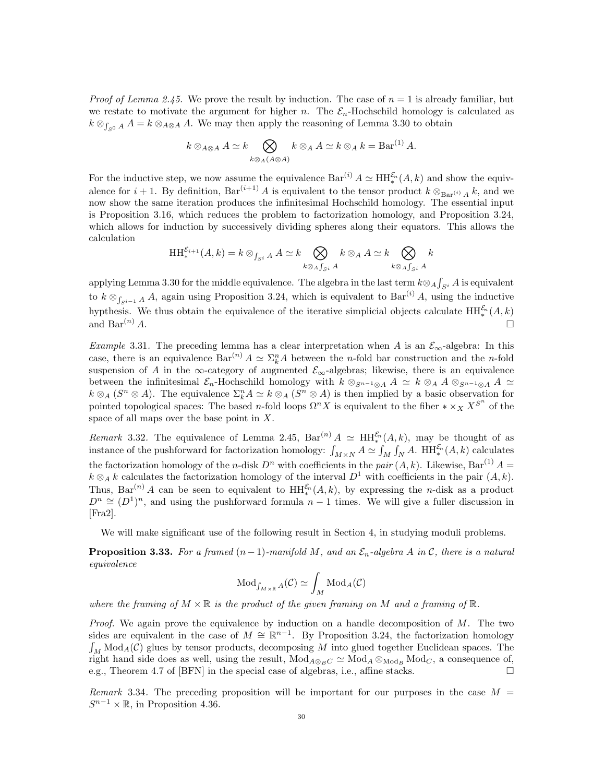*Proof of Lemma 2.45.* We prove the result by induction. The case of  $n = 1$  is already familiar, but we restate to motivate the argument for higher n. The  $\mathcal{E}_n$ -Hochschild homology is calculated as  $k \otimes_{\int_{S^0} A} A = k \otimes_{A \otimes A} A$ . We may then apply the reasoning of Lemma 3.30 to obtain

$$
k \otimes_{A \otimes A} A \simeq k \bigotimes_{k \otimes_A (A \otimes A)} k \otimes_A A \simeq k \otimes_A k = \text{Bar}^{(1)} A.
$$

For the inductive step, we now assume the equivalence  $Bar^{(i)} A \simeq HH_*^{\mathcal{E}_n}(A, k)$  and show the equivalence for  $i + 1$ . By definition,  $Bar^{(i+1)} A$  is equivalent to the tensor product  $k \otimes_{Bar^{(i)} A} k$ , and we now show the same iteration produces the infinitesimal Hochschild homology. The essential input is Proposition 3.16, which reduces the problem to factorization homology, and Proposition 3.24, which allows for induction by successively dividing spheres along their equators. This allows the calculation

$$
\mathcal{HH}_{*}^{\mathcal{E}_{i+1}}(A,k) = k \otimes_{\int_{S^i} A} A \simeq k \bigotimes_{k \otimes_A \int_{S^i} A} k \otimes_A A \simeq k \bigotimes_{k \otimes_A \int_{S^i} A} k
$$

applying Lemma 3.30 for the middle equivalence. The algebra in the last term  $k \otimes_A \int_{S^i} A$  is equivalent to  $k \otimes_{\int_{S^{i-1}} A} A$ , again using Proposition 3.24, which is equivalent to  $Bar^{(i)} A$ , using the inductive hypthesis. We thus obtain the equivalence of the iterative simplicial objects calculate  $HH_*^{\mathcal{E}_n}(A, k)$ and  $Bar^{(n)} A$ .

Example 3.31. The preceding lemma has a clear interpretation when A is an  $\mathcal{E}_{\infty}$ -algebra: In this case, there is an equivalence  $Bar^{(n)} A \simeq \Sigma_k^n A$  between the *n*-fold bar construction and the *n*-fold suspension of A in the ∞-category of augmented  $\mathcal{E}_{\infty}$ -algebras; likewise, there is an equivalence between the infinitesimal  $\mathcal{E}_n$ -Hochschild homology with  $k \otimes_{S^{n-1} \otimes A} A \simeq k \otimes_A A \otimes_{S^{n-1} \otimes A} A \simeq$  $k \otimes_A (S^n \otimes A)$ . The equivalence  $\Sigma_k^n A \simeq k \otimes_A (S^n \otimes A)$  is then implied by a basic observation for pointed topological spaces: The based n-fold loops  $\Omega^n X$  is equivalent to the fiber  $*\times_X X^{S^n}$  of the space of all maps over the base point in  $X$ .

Remark 3.32. The equivalence of Lemma 2.45,  $Bar^{(n)} A \simeq HH^{E_n}(A, k)$ , may be thought of as instance of the pushforward for factorization homology:  $\int_{M\times N} A \simeq \int_M \int_N A$ . HH $_{*}^{\mathcal{E}_n}(A, k)$  calculates the factorization homology of the *n*-disk  $D^n$  with coefficients in the pair  $(A, k)$ . Likewise, Bar<sup>(1)</sup>  $A =$  $k \otimes_A k$  calculates the factorization homology of the interval  $D^1$  with coefficients in the pair  $(A, k)$ . Thus, Bar<sup>(n)</sup> A can be seen to equivalent to  $HH_*^{\mathcal{E}_n}(A,k)$ , by expressing the *n*-disk as a product  $D^n \cong (D^1)^n$ , and using the pushforward formula  $n-1$  times. We will give a fuller discussion in [Fra2].

We will make significant use of the following result in Section 4, in studying moduli problems.

**Proposition 3.33.** For a framed  $(n-1)$ -manifold M, and an  $\mathcal{E}_n$ -algebra A in C, there is a natural equivalence

$$
\text{Mod}_{f_{M \times \mathbb{R}}A}(\mathcal{C}) \simeq \int_M \text{Mod}_A(\mathcal{C})
$$

where the framing of  $M \times \mathbb{R}$  is the product of the given framing on M and a framing of  $\mathbb{R}$ .

*Proof.* We again prove the equivalence by induction on a handle decomposition of  $M$ . The two sides are equivalent in the case of  $M \cong \mathbb{R}^{n-1}$ . By Proposition 3.24, the factorization homology  $\int_M \text{Mod}_A(\mathcal{C})$  glues by tensor products, decomposing M into glued together Euclidean spaces. The right hand side does as well, using the result,  $Mod_{A \otimes_B C} \simeq Mod_A \otimes_{Mod_B} Mod_C$ , a consequence of, e.g., Theorem 4.7 of [BFN] in the special case of algebras, i.e., affine stacks.

Remark 3.34. The preceding proposition will be important for our purposes in the case  $M =$  $S^{n-1} \times \mathbb{R}$ , in Proposition 4.36.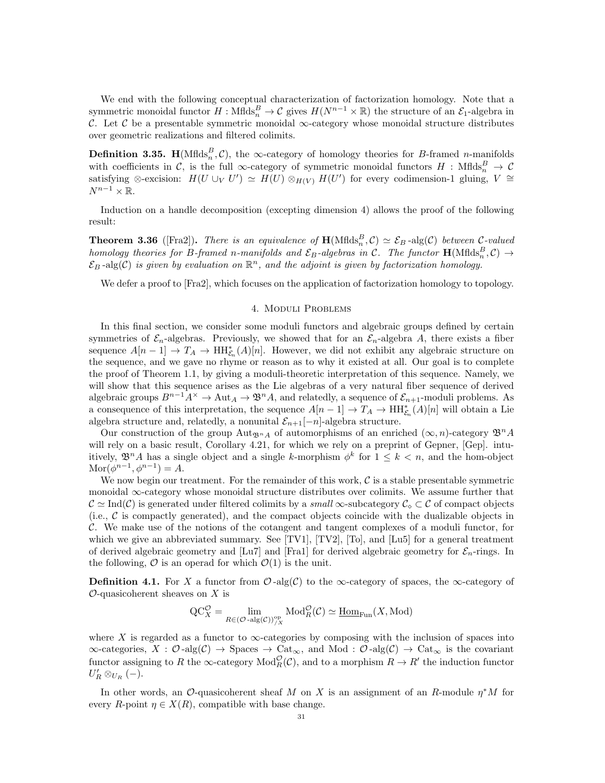We end with the following conceptual characterization of factorization homology. Note that a symmetric monoidal functor  $H:$  Mflds $_A^B \to \mathcal{C}$  gives  $H(N^{n-1} \times \mathbb{R})$  the structure of an  $\mathcal{E}_1$ -algebra in C. Let C be a presentable symmetric monoidal  $\infty$ -category whose monoidal structure distributes over geometric realizations and filtered colimits.

**Definition 3.35.** H(Mflds<sup>B</sup><sub>n</sub>, C), the  $\infty$ -category of homology theories for B-framed n-manifolds with coefficients in C, is the full  $\infty$ -category of symmetric monoidal functors  $H : Mflds_n^B \to C$ satisfying ⊗-excision:  $H(U \cup_V U') \simeq H(U) \otimes_{H(V)} H(U')$  for every codimension-1 gluing,  $V \cong$  $N^{n-1}\times\mathbb{R}$ .

Induction on a handle decomposition (excepting dimension 4) allows the proof of the following result:

**Theorem 3.36** ([Fra2]). There is an equivalence of  $\mathbf{H}(\text{Mflds}_n^B, \mathcal{C}) \simeq \mathcal{E}_B$ -alg(C) between C-valued homology theories for B-framed n-manifolds and  $\mathcal{E}_B$ -algebras in C. The functor  $\textbf{H}(\text{Mflds}_n^B, \mathcal{C}) \rightarrow$  $\mathcal{E}_B$ -alg(C) is given by evaluation on  $\mathbb{R}^n$ , and the adjoint is given by factorization homology.

We defer a proof to [Fra2], which focuses on the application of factorization homology to topology.

## 4. Moduli Problems

In this final section, we consider some moduli functors and algebraic groups defined by certain symmetries of  $\mathcal{E}_n$ -algebras. Previously, we showed that for an  $\mathcal{E}_n$ -algebra A, there exists a fiber sequence  $A[n-1] \to T_A \to \text{HH}_{\mathcal{E}_n}^*(A)[n]$ . However, we did not exhibit any algebraic structure on the sequence, and we gave no rhyme or reason as to why it existed at all. Our goal is to complete the proof of Theorem 1.1, by giving a moduli-theoretic interpretation of this sequence. Namely, we will show that this sequence arises as the Lie algebras of a very natural fiber sequence of derived algebraic groups  $B^{n-1}A^{\times} \to \text{Aut}_A \to \mathfrak{B}^nA$ , and relatedly, a sequence of  $\mathcal{E}_{n+1}$ -moduli problems. As a consequence of this interpretation, the sequence  $A[n-1] \to T_A \to \text{HH}_{\mathcal{E}_n}^*(A)[n]$  will obtain a Lie algebra structure and, relatedly, a nonunital  $\mathcal{E}_{n+1}[-n]$ -algebra structure.

Our construction of the group  $\text{Aut}_{\mathfrak{B}^n A}$  of automorphisms of an enriched  $(\infty, n)$ -category  $\mathfrak{B}^n A$ will rely on a basic result, Corollary 4.21, for which we rely on a preprint of Gepner, [Gep]. intuitively,  $\mathfrak{B}^n A$  has a single object and a single k-morphism  $\phi^k$  for  $1 \leq k < n$ , and the hom-object  $\text{Mor}(\phi^{n-1}, \phi^{n-1}) = A.$ 

We now begin our treatment. For the remainder of this work,  $\mathcal C$  is a stable presentable symmetric monoidal ∞-category whose monoidal structure distributes over colimits. We assume further that  $\mathcal{C} \simeq \text{Ind}(\mathcal{C})$  is generated under filtered colimits by a small  $\infty$ -subcategory  $\mathcal{C}_\diamond \subset \mathcal{C}$  of compact objects  $(i.e.,  $C$  is compactly generated), and the compact objects coincide with the dualizable objects in$ C. We make use of the notions of the cotangent and tangent complexes of a moduli functor, for which we give an abbreviated summary. See  $[TV1]$ ,  $[TV2]$ ,  $[T_0]$ , and  $[Lu5]$  for a general treatment of derived algebraic geometry and  $[Lu7]$  and  $[Fra1]$  for derived algebraic geometry for  $\mathcal{E}_n$ -rings. In the following,  $\mathcal O$  is an operad for which  $\mathcal O(1)$  is the unit.

**Definition 4.1.** For X a functor from  $\mathcal{O}$ -alg(C) to the  $\infty$ -category of spaces, the  $\infty$ -category of  $\mathcal{O}$ -quasicoherent sheaves on X is

$$
\mathrm{QC}^{\mathcal{O}}_X = \lim_{R \in (\mathcal{O} - \mathrm{alg}(\mathcal{C}))_{/X}^{\mathrm{op}}} \mathrm{Mod}^{\mathcal{O}}_R(\mathcal{C}) \simeq \underline{\mathrm{Hom}}_{\mathrm{Fun}}(X, \mathrm{Mod})
$$

where X is regarded as a functor to  $\infty$ -categories by composing with the inclusion of spaces into  $\infty$ -categories,  $X : \mathcal{O}$ -alg $(\mathcal{C}) \to$  Spaces  $\to$  Cat<sub> $\infty$ </sub>, and Mod :  $\mathcal{O}$ -alg $(\mathcal{C}) \to$  Cat<sub> $\infty$ </sub> is the covariant functor assigning to R the  $\infty$ -category  $Mod_R^{\mathcal{O}}(\mathcal{C})$ , and to a morphism  $R \to R'$  the induction functor  $U'_R \otimes_{U_R} (-).$ 

In other words, an  $\mathcal{O}\text{-quasicoherent sheaf }M$  on X is an assignment of an R-module  $\eta^*M$  for every R-point  $\eta \in X(R)$ , compatible with base change.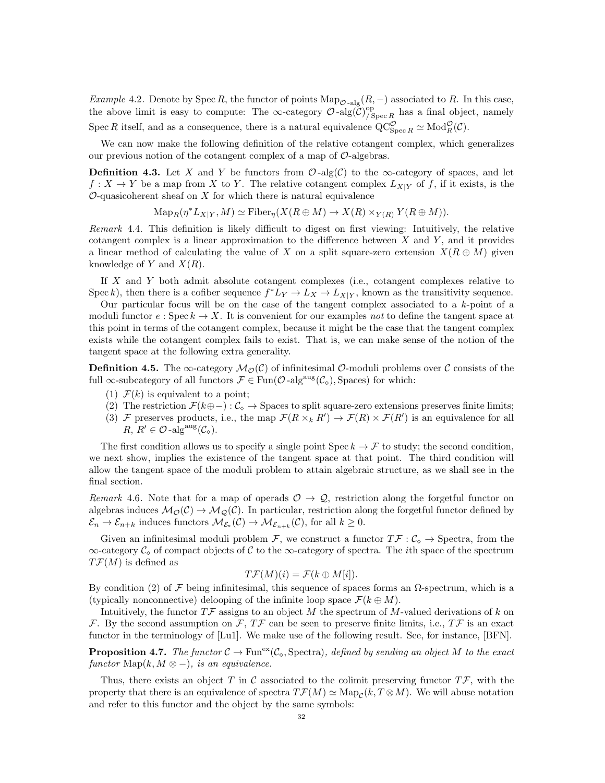Example 4.2. Denote by Spec R, the functor of points  $\text{Map}_{\mathcal{O} - \text{alg}}(R, -)$  associated to R. In this case, the above limit is easy to compute: The  $\infty$ -category  $\mathcal{O}$ -alg $(\mathcal{C})^{\text{op}}_{\mathcal{C}}$  $^{op}_{/Spec R}$  has a final object, namely Spec R itself, and as a consequence, there is a natural equivalence  $\operatorname{QC}_{\operatorname{Spec} R}^{\mathcal{O}} \simeq \operatorname{Mod}_R^{\mathcal{O}}(\mathcal{C})$ .

We can now make the following definition of the relative cotangent complex, which generalizes our previous notion of the cotangent complex of a map of  $\mathcal{O}$ -algebras.

**Definition 4.3.** Let X and Y be functors from  $\mathcal{O}$ -alg(C) to the  $\infty$ -category of spaces, and let  $f: X \to Y$  be a map from X to Y. The relative cotangent complex  $L_{X|Y}$  of f, if it exists, is the  $O$ -quasicoherent sheaf on  $X$  for which there is natural equivalence

 $\mathrm{Map}_R(\eta^* L_{X|Y}, M) \simeq \mathrm{Fiber}_\eta(X(R \oplus M) \to X(R) \times_{Y(R)} Y(R \oplus M)).$ 

Remark 4.4. This definition is likely difficult to digest on first viewing: Intuitively, the relative cotangent complex is a linear approximation to the difference between  $X$  and  $Y$ , and it provides a linear method of calculating the value of X on a split square-zero extension  $X(R \oplus M)$  given knowledge of Y and  $X(R)$ .

If X and Y both admit absolute cotangent complexes (i.e., cotangent complexes relative to Spec k), then there is a cofiber sequence  $f^*L_Y \to L_X \to L_{X|Y}$ , known as the transitivity sequence.

Our particular focus will be on the case of the tangent complex associated to a k-point of a moduli functor  $e : \text{Spec } k \to X$ . It is convenient for our examples not to define the tangent space at this point in terms of the cotangent complex, because it might be the case that the tangent complex exists while the cotangent complex fails to exist. That is, we can make sense of the notion of the tangent space at the following extra generality.

**Definition 4.5.** The  $\infty$ -category  $M_{\mathcal{O}}(\mathcal{C})$  of infinitesimal  $\mathcal{O}$ -moduli problems over  $\mathcal{C}$  consists of the full ∞-subcategory of all functors  $\mathcal{F} \in \text{Fun}(\mathcal{O}\text{-}\mathrm{alg}^{\text{aug}}(\mathcal{C}_{\diamond}), \text{Spaces})$  for which:

- (1)  $\mathcal{F}(k)$  is equivalent to a point;
- (2) The restriction  $\mathcal{F}(k\oplus -): \mathcal{C}_{\diamond} \to \text{Spaces}$  to split square-zero extensions preserves finite limits;
- (3) F preserves products, i.e., the map  $\mathcal{F}(R \times_k R') \to \mathcal{F}(R) \times \mathcal{F}(R')$  is an equivalence for all  $R, R' \in \mathcal{O}$ -alg<sup>aug</sup> $(\mathcal{C}_{\diamond}).$

The first condition allows us to specify a single point Spec  $k \to \mathcal{F}$  to study; the second condition, we next show, implies the existence of the tangent space at that point. The third condition will allow the tangent space of the moduli problem to attain algebraic structure, as we shall see in the final section.

Remark 4.6. Note that for a map of operads  $\mathcal{O} \to \mathcal{Q}$ , restriction along the forgetful functor on algebras induces  $M_{\mathcal{O}}(\mathcal{C}) \to M_{\mathcal{Q}}(\mathcal{C})$ . In particular, restriction along the forgetful functor defined by  $\mathcal{E}_n \to \mathcal{E}_{n+k}$  induces functors  $\mathcal{M}_{\mathcal{E}_n}(\mathcal{C}) \to \mathcal{M}_{\mathcal{E}_{n+k}}(\mathcal{C})$ , for all  $k \geq 0$ .

Given an infinitesimal moduli problem F, we construct a functor  $T\mathcal{F}:\mathcal{C}_{\diamond}\to\mathcal{S}$  pectra, from the  $\infty$ -category  $\mathcal{C}_{\infty}$  of compact objects of C to the  $\infty$ -category of spectra. The *i*th space of the spectrum  $T\mathcal{F}(M)$  is defined as

$$
T\mathcal{F}(M)(i) = \mathcal{F}(k \oplus M[i]).
$$

By condition (2) of F being infinitesimal, this sequence of spaces forms an Ω-spectrum, which is a (typically nonconnective) delooping of the infinite loop space  $\mathcal{F}(k \oplus M)$ .

Intuitively, the functor  $T\mathcal{F}$  assigns to an object M the spectrum of M-valued derivations of k on F. By the second assumption on F,  $T\mathcal{F}$  can be seen to preserve finite limits, i.e.,  $T\mathcal{F}$  is an exact functor in the terminology of [Lu1]. We make use of the following result. See, for instance, [BFN].

**Proposition 4.7.** The functor  $C \to \text{Fun}^{\text{ex}}(\mathcal{C}_{\infty}, \text{Spectra})$ , defined by sending an object M to the exact functor Map $(k, M \otimes -)$ , is an equivalence.

Thus, there exists an object T in C associated to the colimit preserving functor  $T\mathcal{F}$ , with the property that there is an equivalence of spectra  $T\mathcal{F}(M) \simeq \text{Map}_{\mathcal{C}}(k, T \otimes M)$ . We will abuse notation and refer to this functor and the object by the same symbols: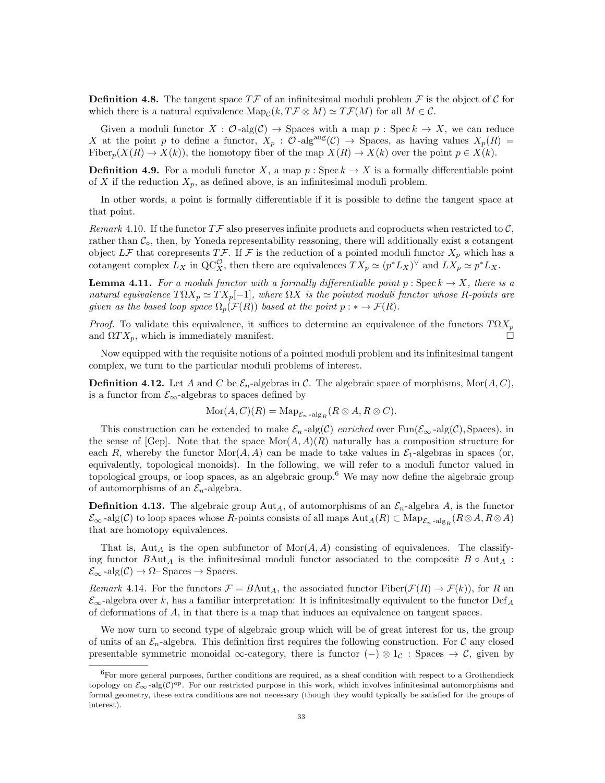**Definition 4.8.** The tangent space  $T\mathcal{F}$  of an infinitesimal moduli problem  $\mathcal{F}$  is the object of  $\mathcal{C}$  for which there is a natural equivalence  $\text{Map}_{\mathcal{C}}(k, T\mathcal{F} \otimes M) \simeq T\mathcal{F}(M)$  for all  $M \in \mathcal{C}$ .

Given a moduli functor  $X : \mathcal{O}$ -alg $(\mathcal{C}) \to$  Spaces with a map  $p :$  Spec  $k \to X$ , we can reduce X at the point p to define a functor,  $X_p$ :  $\mathcal{O}$ -alg<sup>aug</sup>( $\mathcal{C}$ )  $\rightarrow$  Spaces, as having values  $X_p(R)$  = Fiber<sub>p</sub>( $X(R) \to X(k)$ ), the homotopy fiber of the map  $X(R) \to X(k)$  over the point  $p \in X(k)$ .

**Definition 4.9.** For a moduli functor X, a map  $p : \text{Spec } k \to X$  is a formally differentiable point of X if the reduction  $X_p$ , as defined above, is an infinitesimal moduli problem.

In other words, a point is formally differentiable if it is possible to define the tangent space at that point.

Remark 4.10. If the functor  $T\mathcal{F}$  also preserves infinite products and coproducts when restricted to  $\mathcal{C}$ , rather than  $\mathcal{C}_{\infty}$ , then, by Yoneda representability reasoning, there will additionally exist a cotangent object LF that corepresents TF. If F is the reduction of a pointed moduli functor  $X_p$  which has a cotangent complex  $L_X$  in  $\mathbf{QC}_X^{\mathcal{O}}$ , then there are equivalences  $TX_p \simeq (p^*L_X)^{\vee}$  and  $LX_p \simeq p^*L_X$ .

**Lemma 4.11.** For a moduli functor with a formally differentiable point  $p : \text{Spec } k \to X$ , there is a natural equivalence  $T\Omega X_p \simeq TX_p[-1]$ , where  $\Omega X$  is the pointed moduli functor whose R-points are given as the based loop space  $\Omega_p(\mathcal{F}(R))$  based at the point  $p : * \to \mathcal{F}(R)$ .

*Proof.* To validate this equivalence, it suffices to determine an equivalence of the functors  $T\Omega X_p$ and  $\Omega TX_p$ , which is immediately manifest.

Now equipped with the requisite notions of a pointed moduli problem and its infinitesimal tangent complex, we turn to the particular moduli problems of interest.

**Definition 4.12.** Let A and C be  $\mathcal{E}_n$ -algebras in C. The algebraic space of morphisms, Mor $(A, C)$ , is a functor from  $\mathcal{E}_{\infty}\text{-algebras}$  to spaces defined by

$$
Mor(A, C)(R) = Map_{\mathcal{E}_n \text{-alg}_R} (R \otimes A, R \otimes C).
$$

This construction can be extended to make  $\mathcal{E}_n$ -alg(C) enriched over Fun( $\mathcal{E}_{\infty}$ -alg(C), Spaces), in the sense of [Gep]. Note that the space  $\text{Mor}(A, A)(R)$  naturally has a composition structure for each R, whereby the functor  $\text{Mor}(A, A)$  can be made to take values in  $\mathcal{E}_1$ -algebras in spaces (or, equivalently, topological monoids). In the following, we will refer to a moduli functor valued in topological groups, or loop spaces, as an algebraic group.<sup>6</sup> We may now define the algebraic group of automorphisms of an  $\mathcal{E}_n$ -algebra.

**Definition 4.13.** The algebraic group  $Aut_A$ , of automorphisms of an  $\mathcal{E}_n$ -algebra A, is the functor  $\mathcal{E}_{\infty}$ -alg $(\mathcal{C})$  to loop spaces whose R-points consists of all maps  $\mathrm{Aut}_A(R) \subset \mathrm{Map}_{\mathcal{E}_n}$ -alg<sub>R</sub> $(R \otimes A, R \otimes A)$ that are homotopy equivalences.

That is,  $\text{Aut}_A$  is the open subfunctor of  $\text{Mor}(A, A)$  consisting of equivalences. The classifying functor  $B \text{Aut}_A$  is the infinitesimal moduli functor associated to the composite  $B \circ \text{Aut}_A$ :  $\mathcal{E}_{\infty}$ -alg $(\mathcal{C}) \to \Omega$ -Spaces  $\to$  Spaces.

Remark 4.14. For the functors  $\mathcal{F} = B \text{Aut}_A$ , the associated functor  $\text{Fiber}(\mathcal{F}(R) \to \mathcal{F}(k))$ , for R an  $\mathcal{E}_{\infty}$ -algebra over k, has a familiar interpretation: It is infinitesimally equivalent to the functor Def A of deformations of A, in that there is a map that induces an equivalence on tangent spaces.

We now turn to second type of algebraic group which will be of great interest for us, the group of units of an  $\mathcal{E}_n$ -algebra. This definition first requires the following construction. For C any closed presentable symmetric monoidal  $\infty$ -category, there is functor (–)  $\otimes 1_{\mathcal{C}}$ : Spaces  $\rightarrow \mathcal{C}$ , given by

 ${}^{6}$ For more general purposes, further conditions are required, as a sheaf condition with respect to a Grothendieck topology on  $\mathcal{E}_{\infty}$ -alg(C)<sup>op</sup>. For our restricted purpose in this work, which involves infinitesimal automorphisms and formal geometry, these extra conditions are not necessary (though they would typically be satisfied for the groups of interest).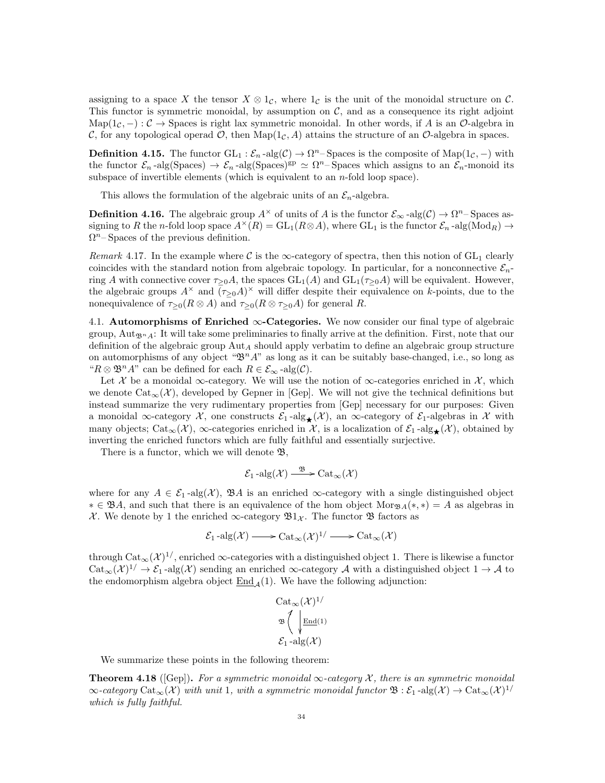assigning to a space X the tensor  $X \otimes 1_{\mathcal{C}}$ , where  $1_{\mathcal{C}}$  is the unit of the monoidal structure on  $\mathcal{C}$ . This functor is symmetric monoidal, by assumption on  $\mathcal{C}$ , and as a consequence its right adjoint Map( $1_c$ , −) :  $\mathcal{C}$  → Spaces is right lax symmetric monoidal. In other words, if A is an  $\mathcal{O}$ -algebra in C, for any topological operad  $\mathcal{O}$ , then  $\text{Map}(1_C, A)$  attains the structure of an  $\mathcal{O}$ -algebra in spaces.

**Definition 4.15.** The functor  $GL_1: \mathcal{E}_n$ -alg $(\mathcal{C}) \to \Omega^n$ -Spaces is the composite of  $Map(1_{\mathcal{C}},-)$  with the functor  $\mathcal{E}_n$ -alg(Spaces)  $\to \mathcal{E}_n$ -alg(Spaces)<sup>gp</sup>  $\simeq \Omega^n$ -Spaces which assigns to an  $\mathcal{E}_n$ -monoid its subspace of invertible elements (which is equivalent to an  $n$ -fold loop space).

This allows the formulation of the algebraic units of an  $\mathcal{E}_n$ -algebra.

**Definition 4.16.** The algebraic group  $A^{\times}$  of units of A is the functor  $\mathcal{E}_{\infty}$ -alg $(\mathcal{C}) \to \Omega^{n}$ -Spaces assigning to R the n-fold loop space  $A^{\times}(R) = GL_1(R \otimes A)$ , where  $GL_1$  is the functor  $\mathcal{E}_n$ -alg(Mod<sub>R</sub>)  $\rightarrow$  $\Omega^n$ – Spaces of the previous definition.

Remark 4.17. In the example where C is the  $\infty$ -category of spectra, then this notion of GL<sub>1</sub> clearly coincides with the standard notion from algebraic topology. In particular, for a nonconnective  $\mathcal{E}_n$ ring A with connective cover  $\tau_{\geq 0}A$ , the spaces  $GL_1(A)$  and  $GL_1(\tau_{\geq 0}A)$  will be equivalent. However, the algebraic groups  $A^{\times}$  and  $\overline{(\tau_{\geq 0}A)^{\times}}$  will differ despite their equivalence on k-points, due to the nonequivalence of  $\tau_{\geq 0}(R \otimes A)$  and  $\tau_{\geq 0}(R \otimes \tau_{\geq 0}A)$  for general R.

4.1. Automorphisms of Enriched  $\infty$ -Categories. We now consider our final type of algebraic group, Aut<sub>Bn</sub> A: It will take some preliminaries to finally arrive at the definition. First, note that our definition of the algebraic group  $\text{Aut}_A$  should apply verbatim to define an algebraic group structure on automorphisms of any object " $\mathfrak{B}^n A$ " as long as it can be suitably base-changed, i.e., so long as " $R \otimes \mathfrak{B}^n A$ " can be defined for each  $R \in \mathcal{E}_{\infty}$ -alg $(\mathcal{C})$ .

Let X be a monoidal ∞-category. We will use the notion of  $\infty$ -categories enriched in X, which we denote  $\text{Cat}_{\infty}(\mathcal{X})$ , developed by Gepner in [Gep]. We will not give the technical definitions but instead summarize the very rudimentary properties from [Gep] necessary for our purposes: Given a monoidal ∞-category  $\mathcal X$ , one constructs  $\mathcal E_1$ -alg $\star(\mathcal X)$ , an ∞-category of  $\mathcal E_1$ -algebras in X with many objects; Cat<sub>∞</sub>( $\mathcal{X}$ ), ∞-categories enriched in  $\mathcal{X}$ , is a localization of  $\mathcal{E}_1$ -alg<sub>★</sub>( $\mathcal{X}$ ), obtained by inverting the enriched functors which are fully faithful and essentially surjective.

There is a functor, which we will denote  $\mathfrak{B},$ 

$$
\mathcal{E}_1\operatorname{-alg}(\mathcal{X}) \xrightarrow{\mathfrak{B}} \operatorname{Cat}_{\infty}(\mathcal{X})
$$

where for any  $A \in \mathcal{E}_1$ -alg(X),  $\mathfrak{B}A$  is an enriched  $\infty$ -category with a single distinguished object  $* \in \mathfrak{B}A$ , and such that there is an equivalence of the hom object Mor<sub> $\mathfrak{B}A(*, *) = A$  as algebras in</sub> X. We denote by 1 the enriched  $\infty$ -category  $\mathfrak{B}1_{\mathcal{X}}$ . The functor  $\mathfrak{B}$  factors as

$$
\mathcal{E}_1\text{-alg}(\mathcal{X}) \longrightarrow \text{Cat}_{\infty}(\mathcal{X})^{1/} \longrightarrow \text{Cat}_{\infty}(\mathcal{X})
$$

through  $\mathrm{Cat}_{\infty}(\mathcal{X})^{1/}$ , enriched  $\infty$ -categories with a distinguished object 1. There is likewise a functor  $\mathrm{Cat}_{\infty}(\mathcal{X})^{1/} \to \mathcal{E}_1$ -alg $(\mathcal{X})$  sending an enriched  $\infty$ -category A with a distinguished object  $1 \to \mathcal{A}$  to the endomorphism algebra object  $\text{End}_{\Lambda}(1)$ . We have the following adjunction:

$$
\mathrm{Cat}_{\infty}(\mathcal{X})^{1/}
$$

$$
\mathfrak{B}\left(\sqrt{\frac{\mathrm{End}(1)}{\mathrm{End}(1)}}\right)
$$

$$
\mathcal{E}_1\text{-alg}(\mathcal{X})
$$

We summarize these points in the following theorem:

**Theorem 4.18** ([Gep]). For a symmetric monoidal  $\infty$ -category X, there is an symmetric monoidal  $\infty$ -category  $\mathrm{Cat}_{\infty}(\mathcal{X})$  with unit 1, with a symmetric monoidal functor  $\mathfrak{B}:\mathcal{E}_1\operatorname{-alg}(\mathcal{X})\to \mathrm{Cat}_{\infty}(\mathcal{X})^{1/2}$ which is fully faithful.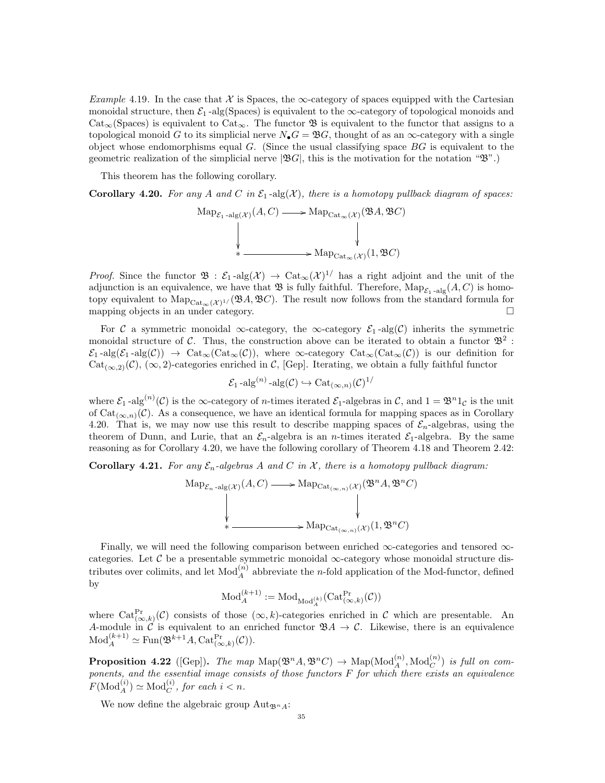Example 4.19. In the case that  $\mathcal X$  is Spaces, the  $\infty$ -category of spaces equipped with the Cartesian monoidal structure, then  $\mathcal{E}_1$ -alg(Spaces) is equivalent to the  $\infty$ -category of topological monoids and  $Cat_{\infty}$ (Spaces) is equivalent to Cat<sub>∞</sub>. The functor **B** is equivalent to the functor that assigns to a topological monoid G to its simplicial nerve  $N_{\bullet}G = \mathfrak{B}G$ , thought of as an  $\infty$ -category with a single object whose endomorphisms equal  $G$ . (Since the usual classifying space  $BG$  is equivalent to the geometric realization of the simplicial nerve  $|\mathfrak{B}G|$ , this is the motivation for the notation " $\mathfrak{B}$ ".)

This theorem has the following corollary.

**Corollary 4.20.** For any A and C in  $\mathcal{E}_1$ -alg(X), there is a homotopy pullback diagram of spaces:

$$
Map_{\mathcal{E}_1 \text{-alg}(\mathcal{X})}(A, C) \longrightarrow Map_{Cat_{\infty}(\mathcal{X})}(\mathfrak{B}A, \mathfrak{B}C)
$$
  
\n
$$
\downarrow \qquad \qquad \downarrow
$$
  
\n
$$
\downarrow \qquad \qquad \downarrow
$$
  
\n
$$
Map_{Cat_{\infty}(\mathcal{X})}(1, \mathfrak{B}C)
$$

*Proof.* Since the functor  $\mathfrak{B}: \mathcal{E}_1$ -alg $(\mathcal{X}) \to \text{Cat}_{\infty}(\mathcal{X})^{1/}$  has a right adjoint and the unit of the adjunction is an equivalence, we have that  $\mathfrak B$  is fully faithful. Therefore,  $\text{Map}_{\mathcal E_1\text{-alg}}(A, C)$  is homotopy equivalent to  $\text{Map}_{\text{Cat}_{\infty}(\mathcal{X})^{1/}}(\mathfrak{B}A, \mathfrak{B}C)$ . The result now follows from the standard formula for mapping objects in an under category.  $\square$ 

For C a symmetric monoidal  $\infty$ -category, the  $\infty$ -category  $\mathcal{E}_1$ -alg(C) inherits the symmetric monoidal structure of C. Thus, the construction above can be iterated to obtain a functor  $\mathfrak{B}^2$ :  $\mathcal{E}_1$ -alg $(\mathcal{E}_1$ -alg $(\mathcal{C})) \rightarrow \text{Cat}_{\infty}(\text{Cat}_{\infty}(\mathcal{C}))$ , where  $\infty$ -category  $\text{Cat}_{\infty}(\text{Cat}_{\infty}(\mathcal{C}))$  is our definition for  $Cat_{(\infty,2)}(\mathcal{C}), (\infty,2)$ -categories enriched in  $\mathcal{C},$  [Gep]. Iterating, we obtain a fully faithful functor

$$
\mathcal{E}_1
$$
-alg<sup>(n)</sup>-alg $(\mathcal{C}) \hookrightarrow \mathrm{Cat}_{(\infty,n)}(\mathcal{C})^{1/2}$ 

where  $\mathcal{E}_1$ -alg<sup>(n)</sup>(C) is the  $\infty$ -category of *n*-times iterated  $\mathcal{E}_1$ -algebras in C, and  $1 = \mathfrak{B}^n 1_{\mathcal{C}}$  is the unit of Cat<sub>(∞,n)</sub>( $\mathcal{C}$ ). As a consequence, we have an identical formula for mapping spaces as in Corollary 4.20. That is, we may now use this result to describe mapping spaces of  $\mathcal{E}_n$ -algebras, using the theorem of Dunn, and Lurie, that an  $\mathcal{E}_n$ -algebra is an *n*-times iterated  $\mathcal{E}_1$ -algebra. By the same reasoning as for Corollary 4.20, we have the following corollary of Theorem 4.18 and Theorem 2.42:

**Corollary 4.21.** For any  $\mathcal{E}_n$ -algebras A and C in X, there is a homotopy pullback diagram:

$$
\text{Map}_{\mathcal{E}_n \text{-alg}(\mathcal{X})}(A, C) \longrightarrow \text{Map}_{\text{Cat}_{(\infty, n)}(\mathcal{X})}(\mathfrak{B}^n A, \mathfrak{B}^n C)
$$
\n
$$
\downarrow \qquad \qquad \downarrow
$$
\n
$$
\downarrow \qquad \qquad \downarrow
$$
\n
$$
\downarrow \qquad \qquad \downarrow
$$
\n
$$
\downarrow
$$
\n
$$
\text{Map}_{\text{Cat}_{(\infty, n)}(\mathcal{X})}(1, \mathfrak{B}^n C)
$$

Finally, we will need the following comparison between enriched  $\infty$ -categories and tensored  $\infty$ categories. Let C be a presentable symmetric monoidal  $\infty$ -category whose monoidal structure distributes over colimits, and let  $\text{Mod}_A^{(n)}$  abbreviate the *n*-fold application of the Mod-functor, defined by

$$
\mathrm{Mod}_A^{(k+1)}:=\mathrm{Mod}_{\mathrm{Mod}_A^{(k)}}(\mathrm{Cat}_{(\infty,k)}^{\mathrm{Pr}}(\mathcal{C}))
$$

where  $\text{Cat}_{(\infty,k)}^{\text{Pr}}(\mathcal{C})$  consists of those  $(\infty,k)$ -categories enriched in  $\mathcal{C}$  which are presentable. An A-module in  $\mathcal{C}$  is equivalent to an enriched functor  $\mathfrak{B} A \to \mathcal{C}$ . Likewise, there is an equivalence  $\mathrm{Mod}_A^{(k+1)} \simeq \mathrm{Fun}(\mathfrak{B}^{k+1}A, \mathrm{Cat}_{(\infty, k)}^{\mathrm{Pr}}(\mathcal{C})).$ 

**Proposition 4.22** ([Gep]). The map  $\text{Map}(\mathfrak{B}^n A, \mathfrak{B}^n C) \to \text{Map}(\text{Mod}_A^{(n)}, \text{Mod}_C^{(n)})$  is full on components, and the essential image consists of those functors F for which there exists an equivalence  $F(\text{Mod}_A^{(i)}) \simeq \text{Mod}_C^{(i)},$  for each  $i < n$ .

We now define the algebraic group  $\text{Aut}_{\mathfrak{B}^n A}$ :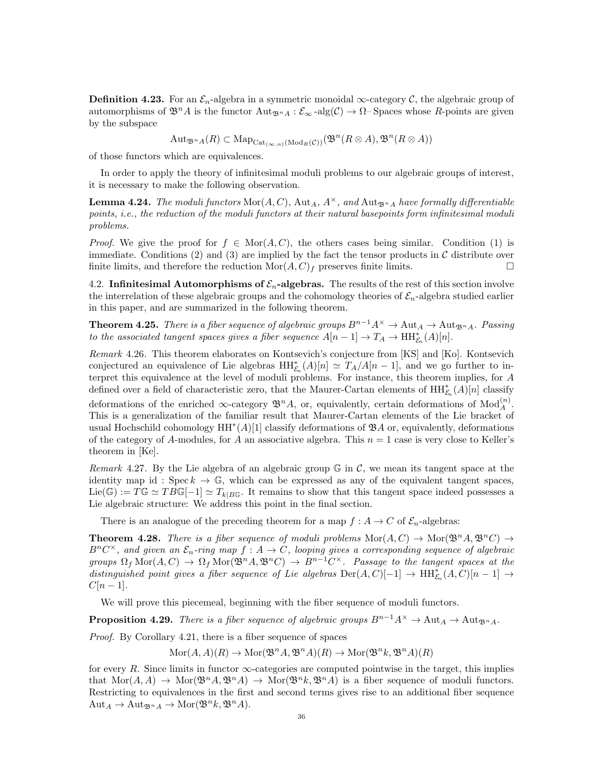**Definition 4.23.** For an  $\mathcal{E}_n$ -algebra in a symmetric monoidal  $\infty$ -category C, the algebraic group of automorphisms of  $\mathfrak{B}^n A$  is the functor  $\text{Aut}_{\mathfrak{B}^n A} : \mathcal{E}_{\infty}$ -alg $(\mathcal{C}) \to \Omega$ -Spaces whose R-points are given by the subspace

 $\mathrm{Aut}_{\mathfrak{B}^n A}(R) \subset \mathrm{Map}_{\mathrm{Cat}_{(\infty,n)}(\mathrm{Mod}_R(\mathcal{C}))}(\mathfrak{B}^n(R \otimes A), \mathfrak{B}^n(R \otimes A))$ 

of those functors which are equivalences.

In order to apply the theory of infinitesimal moduli problems to our algebraic groups of interest, it is necessary to make the following observation.

**Lemma 4.24.** The moduli functors  $\text{Mor}(A, C)$ ,  $\text{Aut}_A$ ,  $A^\times$ , and  $\text{Aut}_{\mathfrak{B}^nA}$  have formally differentiable points, i.e., the reduction of the moduli functors at their natural basepoints form infinitesimal moduli problems.

*Proof.* We give the proof for  $f \in \text{Mor}(A, C)$ , the others cases being similar. Condition (1) is immediate. Conditions (2) and (3) are implied by the fact the tensor products in  $\mathcal C$  distribute over finite limits, and therefore the reduction  $\text{Mor}(A, C)_f$  preserves finite limits.

4.2. Infinitesimal Automorphisms of  $\mathcal{E}_n$ -algebras. The results of the rest of this section involve the interrelation of these algebraic groups and the cohomology theories of  $\mathcal{E}_n$ -algebra studied earlier in this paper, and are summarized in the following theorem.

**Theorem 4.25.** There is a fiber sequence of algebraic groups  $B^{n-1}A^{\times} \to \text{Aut}_A \to \text{Aut}_{\mathfrak{B}^n A}$ . Passing to the associated tangent spaces gives a fiber sequence  $A[n-1] \to T_A \to \text{HH}_{\mathcal{E}_n}^*(A)[n].$ 

Remark 4.26. This theorem elaborates on Kontsevich's conjecture from [KS] and [Ko]. Kontsevich conjectured an equivalence of Lie algebras  $HH_{\mathcal{E}_n}^*(A)[n] \simeq T_A/A[n-1]$ , and we go further to interpret this equivalence at the level of moduli problems. For instance, this theorem implies, for A defined over a field of characteristic zero, that the Maurer-Cartan elements of  $\mathrm{HH}_{\mathcal{E}_n}^*(A)[n]$  classify

deformations of the enriched  $\infty$ -category  $\mathfrak{B}^n A$ , or, equivalently, certain deformations of  $Mod_A^{(n)}$ . This is a generalization of the familiar result that Maurer-Cartan elements of the Lie bracket of usual Hochschild cohomology  $HH^*(A)[1]$  classify deformations of  $\mathfrak{B}A$  or, equivalently, deformations of the category of A-modules, for A an associative algebra. This  $n = 1$  case is very close to Keller's theorem in [Ke].

Remark 4.27. By the Lie algebra of an algebraic group  $\mathbb{G}$  in C, we mean its tangent space at the identity map id : Spec  $k \to \mathbb{G}$ , which can be expressed as any of the equivalent tangent spaces,  $\text{Lie}(\mathbb{G}) := T\mathbb{G} \simeq TB\mathbb{G}[-1] \simeq T_{k|BG}$ . It remains to show that this tangent space indeed possesses a Lie algebraic structure: We address this point in the final section.

There is an analogue of the preceding theorem for a map  $f : A \to C$  of  $\mathcal{E}_n$ -algebras:

**Theorem 4.28.** There is a fiber sequence of moduli problems  $\text{Mor}(A, C) \to \text{Mor}(\mathfrak{B}^n A, \mathfrak{B}^n C) \to$  $B^nC^{\times}$ , and given an  $\mathcal{E}_n$ -ring map  $f: A \to C$ , looping gives a corresponding sequence of algebraic groups  $\Omega_f \text{Mor}(A, C) \to \Omega_f \text{Mor}(\mathfrak{B}^n A, \mathfrak{B}^n C) \to B^{n-1}C^{\times}$ . Passage to the tangent spaces at the distinguished point gives a fiber sequence of Lie algebras  $\text{Der}(A, C)[-1] \to \text{HH}_{\mathcal{E}_n}^*(A, C)[n-1] \to$  $C[n-1]$ .

We will prove this piecemeal, beginning with the fiber sequence of moduli functors.

**Proposition 4.29.** There is a fiber sequence of algebraic groups  $B^{n-1}A^{\times} \to \text{Aut}_A \to \text{Aut}_{\mathfrak{B}^n A}$ .

Proof. By Corollary 4.21, there is a fiber sequence of spaces

 $\text{Mor}(A, A)(R) \to \text{Mor}(\mathfrak{B}^n A, \mathfrak{B}^n A)(R) \to \text{Mor}(\mathfrak{B}^n k, \mathfrak{B}^n A)(R)$ 

for every R. Since limits in functor  $\infty$ -categories are computed pointwise in the target, this implies that  $\text{Mor}(A, A) \to \text{Mor}(\mathfrak{B}^n A, \mathfrak{B}^n A) \to \text{Mor}(\mathfrak{B}^n k, \mathfrak{B}^n A)$  is a fiber sequence of moduli functors. Restricting to equivalences in the first and second terms gives rise to an additional fiber sequence  $\mathrm{Aut}_A \to \mathrm{Aut}_{\mathfrak{B}^n A} \to \mathrm{Mor}(\mathfrak{B}^n k, \mathfrak{B}^n A).$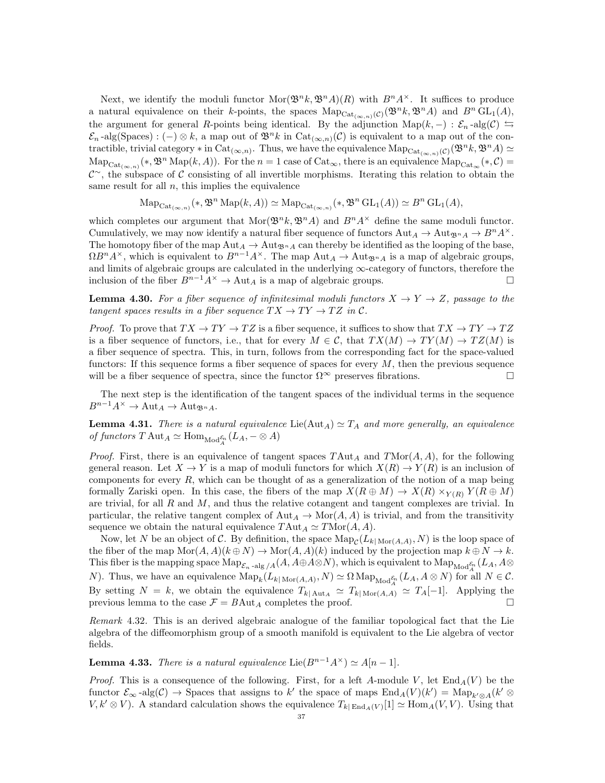Next, we identify the moduli functor  $\text{Mor}(\mathfrak{B}^n k, \mathfrak{B}^n A)(R)$  with  $B^n A^{\times}$ . It suffices to produce a natural equivalence on their k-points, the spaces  $\mathrm{Map}_{\mathrm{Cat}_{(\infty,n)}(\mathcal{C})}(\mathfrak{B}^n k, \mathfrak{B}^n A)$  and  $B^n \mathrm{GL}_1(A)$ , the argument for general R-points being identical. By the adjunction  $\text{Map}(k,-): \mathcal{E}_n$ -alg $(\mathcal{C}) \subseteq$  $\mathcal{E}_n$ -alg(Spaces) : (-) ⊗ k, a map out of  $\mathfrak{B}^nk$  in  $Cat_{(\infty,n)}(\mathcal{C})$  is equivalent to a map out of the contractible, trivial category  $*$  in Cat<sub>(∞,n)</sub>. Thus, we have the equivalence  $\text{Map}_{\text{Cat}_{(\infty,n)}(\mathcal{C})}(\mathfrak{B}^n k, \mathfrak{B}^n A) \simeq$  $\text{Map}_{\text{Cat}_{(\infty,n)}}(*, \mathfrak{B}^n \text{Map}(k, A)).$  For the  $n = 1$  case of  $\text{Cat}_{\infty}$ , there is an equivalence  $\text{Map}_{\text{Cat}_{\infty}}(*, C) =$  $\mathcal{C}^{\sim}$ , the subspace of C consisting of all invertible morphisms. Iterating this relation to obtain the same result for all  $n$ , this implies the equivalence

 $\mathrm{Map}_{\mathrm{Cat}_{(\infty,n)}}(*, \mathfrak{B}^n \mathrm{Map}(k, A)) \simeq \mathrm{Map}_{\mathrm{Cat}_{(\infty,n)}}(*, \mathfrak{B}^n \mathrm{GL}_1(A)) \simeq B^n \mathrm{GL}_1(A),$ 

which completes our argument that  $\text{Mor}(\mathfrak{B}^n k, \mathfrak{B}^n A)$  and  $B^n A^{\times}$  define the same moduli functor. Cumulatively, we may now identify a natural fiber sequence of functors  $\text{Aut}_A \to \text{Aut}_{\mathfrak{B}^n A} \to B^n A^\times$ . The homotopy fiber of the map  $\text{Aut}_A \to \text{Aut}_{\mathfrak{B}^n A}$  can thereby be identified as the looping of the base,  $\Omega B^n A^{\times}$ , which is equivalent to  $B^{n-1}A^{\times}$ . The map Aut<sub>A</sub>  $\rightarrow$  Aut<sub>Bn</sub><sub>A</sub> is a map of algebraic groups, and limits of algebraic groups are calculated in the underlying  $\infty$ -category of functors, therefore the inclusion of the fiber  $B^{n-1}A^{\times} \to \text{Aut}_A$  is a map of algebraic groups.

**Lemma 4.30.** For a fiber sequence of infinitesimal moduli functors  $X \to Y \to Z$ , passage to the tangent spaces results in a fiber sequence  $TX \to TY \to TZ$  in C.

*Proof.* To prove that  $TX \to TY \to TZ$  is a fiber sequence, it suffices to show that  $TX \to TY \to TZ$ is a fiber sequence of functors, i.e., that for every  $M \in \mathcal{C}$ , that  $TX(M) \to TY(M) \to TZ(M)$  is a fiber sequence of spectra. This, in turn, follows from the corresponding fact for the space-valued functors: If this sequence forms a fiber sequence of spaces for every  $M$ , then the previous sequence will be a fiber sequence of spectra, since the functor  $\Omega^{\infty}$  preserves fibrations.

The next step is the identification of the tangent spaces of the individual terms in the sequence  $B^{n-1}A^{\times} \to \text{Aut}_A \to \text{Aut}_{\mathfrak{B}^n A}.$ 

**Lemma 4.31.** There is a natural equivalence  $Lie(Aut_A) \simeq T_A$  and more generally, an equivalence of functors  $T \text{Aut}_A \simeq \text{Hom}_{\text{Mod}_A^{\mathcal{E}_n}}(L_A, -\otimes A)$ 

*Proof.* First, there is an equivalence of tangent spaces  $T\text{Aut}_A$  and  $T\text{Mor}(A, A)$ , for the following general reason. Let  $X \to Y$  is a map of moduli functors for which  $X(R) \to Y(R)$  is an inclusion of components for every  $R$ , which can be thought of as a generalization of the notion of a map being formally Zariski open. In this case, the fibers of the map  $X(R \oplus M) \to X(R) \times_{Y(R)} Y(R \oplus M)$ are trivial, for all  $R$  and  $M$ , and thus the relative cotangent and tangent complexes are trivial. In particular, the relative tangent complex of  $\text{Aut}_A \to \text{Mor}(A, A)$  is trivial, and from the transitivity sequence we obtain the natural equivalence  $T\text{Aut}_A \simeq T\text{Mor}(A, A)$ .

Now, let N be an object of C. By definition, the space  $\text{Map}_{\mathcal{C}}(L_{k|\text{Mor}(A,A)}, N)$  is the loop space of the fiber of the map  $\text{Mor}(A, A)(k \oplus N) \to \text{Mor}(A, A)(k)$  induced by the projection map  $k \oplus N \to k$ . This fiber is the mapping space  ${\rm Map}_{{\mathcal E}_n$  -alg /A(A, A⊕A⊗N), which is equivalent to  ${\rm Map}_{{\rm Mod}^{{\mathcal E}_n}_A}(L_A,A\otimes$ N). Thus, we have an equivalence  $\text{Map}_k(L_{k|\text{Mor}(A,A)}, N) \simeq \Omega \text{Map}_{\text{Mod}_A^{\mathcal{E}_n}}(L_A, A \otimes N)$  for all  $N \in \mathcal{C}$ . By setting  $N = k$ , we obtain the equivalence  $T_{k| \text{Aut}_A} \simeq T_{k| \text{Mor}(A,A)} \simeq T_A[-1]$ . Applying the previous lemma to the case  $\mathcal{F} = BAut_A$  completes the proof. previous lemma to the case  $\mathcal{F} = B \text{Aut}_A$  completes the proof.

Remark 4.32. This is an derived algebraic analogue of the familiar topological fact that the Lie algebra of the diffeomorphism group of a smooth manifold is equivalent to the Lie algebra of vector fields.

**Lemma 4.33.** There is a natural equivalence Lie $(B^{n-1}A^{\times}) \simeq A[n-1].$ 

*Proof.* This is a consequence of the following. First, for a left A-module V, let  $\text{End}_{A}(V)$  be the functor  $\mathcal{E}_{\infty}$ -alg $(\mathcal{C}) \to$  Spaces that assigns to k' the space of maps  $\text{End}_A(V)(k') = \text{Map}_{k' \otimes A}(k' \otimes$  $V, k' \otimes V$ ). A standard calculation shows the equivalence  $T_{k|\text{End}_A(V)}[1] \simeq \text{Hom}_A(V, V)$ . Using that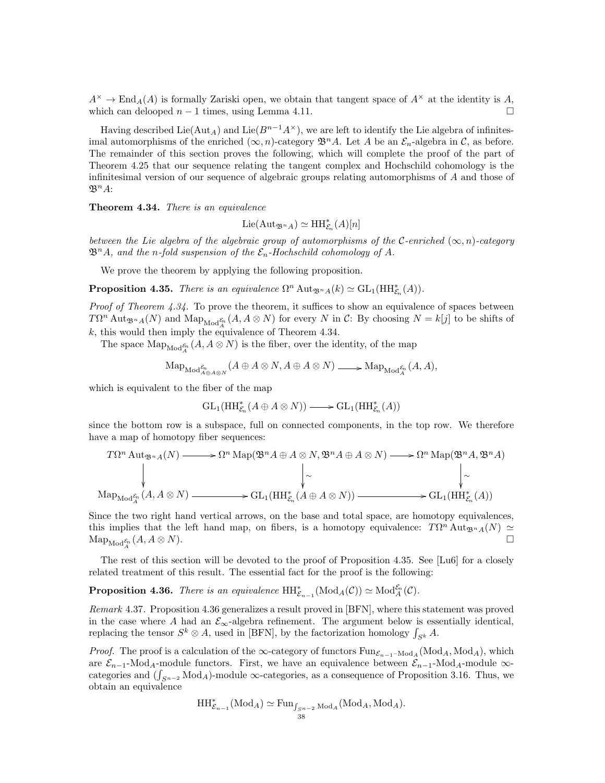$A^{\times} \to \text{End}_{A}(A)$  is formally Zariski open, we obtain that tangent space of  $A^{\times}$  at the identity is A, which can delooped  $n - 1$  times, using Lemma 4.11.

Having described Lie( $\text{Aut}_A$ ) and Lie( $B^{n-1}A^{\times}$ ), we are left to identify the Lie algebra of infinitesimal automorphisms of the enriched  $(\infty, n)$ -category  $\mathfrak{B}^n A$ . Let A be an  $\mathcal{E}_n$ -algebra in C, as before. The remainder of this section proves the following, which will complete the proof of the part of Theorem 4.25 that our sequence relating the tangent complex and Hochschild cohomology is the infinitesimal version of our sequence of algebraic groups relating automorphisms of A and those of  $\mathfrak{B}^n A$ :

Theorem 4.34. There is an equivalence

$$
\mathrm{Lie}(\mathrm{Aut}_{\mathfrak{B}^nA})\simeq \mathrm{HH}_{\mathcal{E}_n}^*(A)[n]
$$

between the Lie algebra of the algebraic group of automorphisms of the C-enriched  $(\infty, n)$ -category  $\mathfrak{B}^n A$ , and the n-fold suspension of the  $\mathcal{E}_n$ -Hochschild cohomology of A.

We prove the theorem by applying the following proposition.

**Proposition 4.35.** There is an equivalence  $\Omega^n \text{Aut}_{\mathfrak{B}^n A}(k) \simeq \text{GL}_1(\text{HH}_{\mathcal{E}_n}^*(A)).$ 

*Proof of Theorem 4.34.* To prove the theorem, it suffices to show an equivalence of spaces between  $T\Omega^n$  Aut<sub> $\mathfrak{B}^n A(N)$  and  $\text{Map}_{\text{Mod}_{A}^{\mathcal{E}_n}}(A, A \otimes N)$  for every N in C: By choosing  $N = k[j]$  to be shifts of</sub>  $k$ , this would then imply the equivalence of Theorem 4.34.

The space  $\operatorname{Map}_{\operatorname{Mod}_A^{\mathcal{E}_n}}(A, A \otimes N)$  is the fiber, over the identity, of the map

$$
\mathrm{Map}_{\mathrm{Mod}^{\mathcal{E}_n}_{A \oplus A \otimes N}}(A \oplus A \otimes N, A \oplus A \otimes N) \longrightarrow \mathrm{Map}_{\mathrm{Mod}^{\mathcal{E}_n}_{A}}(A, A),
$$

which is equivalent to the fiber of the map

$$
\operatorname{GL}_1(\operatorname{HH}_{\mathcal{E}_n}^*(A \oplus A \otimes N)) \longrightarrow \operatorname{GL}_1(\operatorname{HH}_{\mathcal{E}_n}^*(A))
$$

since the bottom row is a subspace, full on connected components, in the top row. We therefore have a map of homotopy fiber sequences:

$$
T\Omega^n \text{Aut}_{\mathfrak{B}^n A}(N) \longrightarrow \Omega^n \text{Map}(\mathfrak{B}^n A \oplus A \otimes N, \mathfrak{B}^n A \oplus A \otimes N) \longrightarrow \Omega^n \text{Map}(\mathfrak{B}^n A, \mathfrak{B}^n A)
$$
\n
$$
\downarrow \sim \qquad \qquad \downarrow \sim \qquad \qquad \downarrow \sim
$$
\n
$$
\text{Map}_{\text{Mod}_{A}^{\mathcal{E}_n}}(A, A \otimes N) \longrightarrow \text{GL}_1(\text{HH}_{\mathcal{E}_n}^*(A \oplus A \otimes N)) \longrightarrow \text{GL}_1(\text{HH}_{\mathcal{E}_n}^*(A))
$$

Since the two right hand vertical arrows, on the base and total space, are homotopy equivalences, this implies that the left hand map, on fibers, is a homotopy equivalence:  $T\Omega^n \text{Aut}_{\mathfrak{B}^n A}(N) \simeq$  $\operatorname{Map}_{\operatorname{Mod}^{\mathcal{E}_n}_{A}}(A, A \otimes N).$ 

The rest of this section will be devoted to the proof of Proposition 4.35. See [Lu6] for a closely related treatment of this result. The essential fact for the proof is the following:

**Proposition 4.36.** There is an equivalence  $HH^*_{\mathcal{E}_{n-1}}(\text{Mod}_A(\mathcal{C})) \simeq \text{Mod}_A^{\mathcal{E}_n}(\mathcal{C}).$ 

Remark 4.37. Proposition 4.36 generalizes a result proved in [BFN], where this statement was proved in the case where A had an  $\mathcal{E}_{\infty}$ -algebra refinement. The argument below is essentially identical, replacing the tensor  $S^k \otimes A$ , used in [BFN], by the factorization homology  $\int_{S^k} A$ .

*Proof.* The proof is a calculation of the ∞-category of functors  $\text{Fun}_{\mathcal{E}_{n-1}-\text{Mod}_A}(\text{Mod}_A, \text{Mod}_A)$ , which are  $\mathcal{E}_{n-1}$ -Mod<sub>A</sub>-module functors. First, we have an equivalence between  $\mathcal{E}_{n-1}$ -Mod<sub>A</sub>-module ∞categories and  $(\int_{S^{n-2}} Mod_A)$ -module  $\infty$ -categories, as a consequence of Proposition 3.16. Thus, we obtain an equivalence

$$
\mathop{\mathrm{HH}}\nolimits_{\mathcal{E}_{n-1}}^*(\mathrm{Mod}_A) \simeq \mathop{\mathrm{Fun}}\nolimits_{\int_{S^{n-2}} \mathrm{Mod}_A}^{\bullet}(\mathrm{Mod}_A, \mathrm{Mod}_A).
$$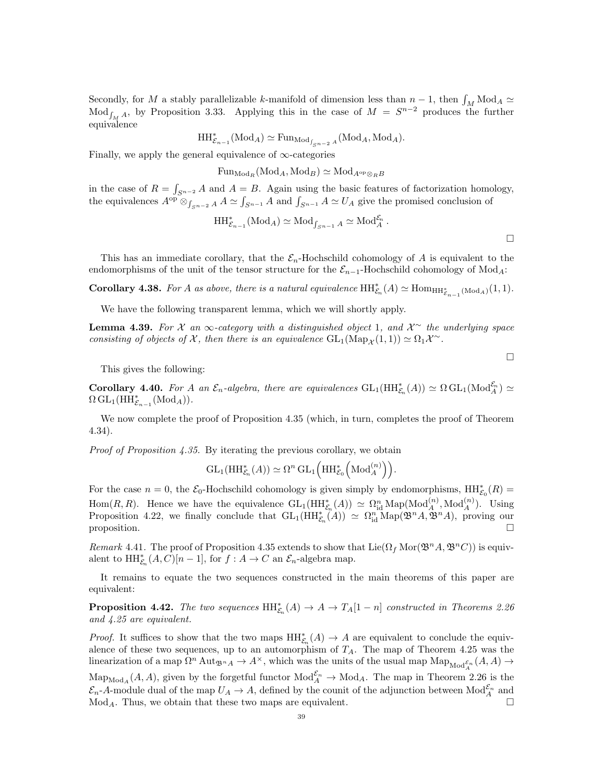Secondly, for M a stably parallelizable k-manifold of dimension less than  $n-1$ , then  $\int_M \text{Mod}_A \simeq$  $\text{Mod}_{\int_M A}$ , by Proposition 3.33. Applying this in the case of  $M = S^{n-2}$  produces the further equivalence

$$
\mathop{\mathrm{HH}}\nolimits^*_{\mathcal{E}_{n-1}}(\mathop{\mathrm{Mod}}\nolimits_A) \simeq \mathop{\mathrm{Fun}}\nolimits_{\mathop{\mathrm{Mod}}\nolimits_{f_{S^{n-2}}A}}(\mathop{\mathrm{Mod}}\nolimits_A, \mathop{\mathrm{Mod}}\nolimits_A).
$$

Finally, we apply the general equivalence of  $\infty$ -categories

 $\text{Fun}_{\text{Mod}_B}(\text{Mod}_A, \text{Mod}_B) \simeq \text{Mod}_{A^{\text{op}} \otimes_B B}$ 

in the case of  $R = \int_{S^{n-2}} A$  and  $A = B$ . Again using the basic features of factorization homology, the equivalences  $A^{op}$   $\otimes_{\int_{S^{n-2}} A} A \simeq \int_{S^{n-1}} A$  and  $\int_{S^{n-1}} A \simeq U_A$  give the promised conclusion of

$$
\mathop{\mathrm{HH}}\nolimits^*_{\mathcal{E}_{n-1}}(\mathop{\mathrm{Mod}}\nolimits_A) \simeq \mathop{\mathrm{Mod}}\nolimits_{f_{S^{n-1}}} A \simeq \mathop{\mathrm{Mod}}\nolimits_A^{\mathcal{E}_n}.
$$

This has an immediate corollary, that the  $\mathcal{E}_n$ -Hochschild cohomology of A is equivalent to the endomorphisms of the unit of the tensor structure for the  $\mathcal{E}_{n-1}$ -Hochschild cohomology of Mod<sub>A</sub>:

**Corollary 4.38.** For A as above, there is a natural equivalence  $HH_{\mathcal{E}_n}^*(A) \simeq \text{Hom}_{HH_{\mathcal{E}_{n-1}}^*(\text{Mod}_A)}(1,1)$ .

We have the following transparent lemma, which we will shortly apply.

**Lemma 4.39.** For  $\mathcal X$  an  $\infty$ -category with a distinguished object 1, and  $\mathcal X^{\sim}$  the underlying space consisting of objects of  $\mathcal X$ , then there is an equivalence  $GL_1(\mathrm{Map}_{\mathcal X}(1,1)) \simeq \Omega_1 \mathcal X^{\sim}$ .

This gives the following:

**Corollary 4.40.** For A an  $\mathcal{E}_n$ -algebra, there are equivalences  $GL_1(HH_{\mathcal{E}_n}^*(A)) \simeq \Omega GL_1(\text{Mod}_A^{\mathcal{E}_n}) \simeq$  $\Omega \operatorname{GL}_1(\mathrm{HH}_{\mathcal{E}_{n-1}}^*(\mathrm{Mod}_A)).$ 

We now complete the proof of Proposition 4.35 (which, in turn, completes the proof of Theorem 4.34).

Proof of Proposition 4.35. By iterating the previous corollary, we obtain

$$
\operatorname{GL}_1(\operatorname{HH}_{\mathcal{E}_n}^*(A)) \simeq \Omega^n \operatorname{GL}_1\left(\operatorname{HH}_{\mathcal{E}_0}^*\left(\operatorname{Mod}_A^{(n)}\right)\right).
$$

For the case  $n = 0$ , the  $\mathcal{E}_0$ -Hochschild cohomology is given simply by endomorphisms,  $HH_{\mathcal{E}_0}^*(R) =$ Hom $(R, R)$ . Hence we have the equivalence  $GL_1(HH_{\mathcal{E}_n}^*(A)) \simeq \Omega_{\text{id}}^n \text{Map}(\text{Mod}_A^{(n)}, \text{Mod}_A^{(n)})$ . Using Proposition 4.22, we finally conclude that  $GL_1(HH_{\mathcal{E}_n}^*(A)) \simeq \Omega_{\rm id}^n \text{Map}(\mathfrak{B}^n A, \mathfrak{B}^n A)$ , proving our proposition.  $\square$ 

Remark 4.41. The proof of Proposition 4.35 extends to show that  $\text{Lie}(\Omega_f \text{Mor}(\mathfrak{B}^n A, \mathfrak{B}^n C))$  is equivalent to  $\mathrm{HH}_{\mathcal{E}_n}^*(A,C)[n-1]$ , for  $f:A\to C$  an  $\mathcal{E}_n$ -algebra map.

It remains to equate the two sequences constructed in the main theorems of this paper are equivalent:

**Proposition 4.42.** The two sequences  $HH_{\mathcal{E}_n}^*(A) \to A \to T_A[1-n]$  constructed in Theorems 2.26 and 4.25 are equivalent.

*Proof.* It suffices to show that the two maps  $HH_{\mathcal{E}_n}^*(A) \to A$  are equivalent to conclude the equivalence of these two sequences, up to an automorphism of  $T_A$ . The map of Theorem 4.25 was the linearization of a map  $\Omega^n$  Aut $_{\mathfrak{B}^n}$   $\to$  A<sup>x</sup>, which was the units of the usual map  $\text{Map}_{\text{Mod}_{A}^{\mathcal{E}_n}}(A, A)$   $\to$  $\text{Map}_{\text{Mod}_A}(A, A)$ , given by the forgetful functor  $\text{Mod}_A^{\mathcal{E}_n} \to \text{Mod}_A$ . The map in Theorem 2.26 is the  $\mathcal{E}_n$ -A-module dual of the map  $U_A \to A$ , defined by the counit of the adjunction between  $\text{Mod}_A^{\mathcal{E}_n}$  and  $\text{Mod}_A$ . Thus, we obtain that these two maps are equivalent.

 $\Box$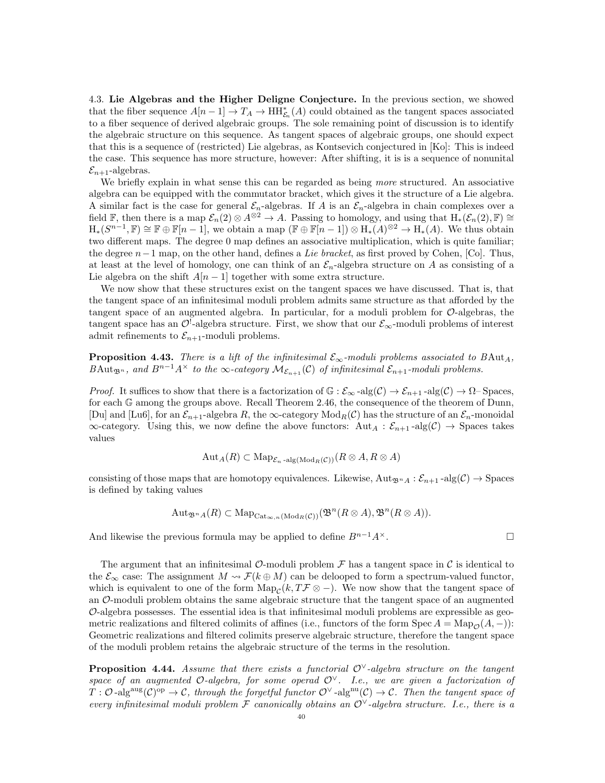4.3. Lie Algebras and the Higher Deligne Conjecture. In the previous section, we showed that the fiber sequence  $A[n-1] \to T_A \to \text{HH}_{\mathcal{E}_n}^*(A)$  could obtained as the tangent spaces associated to a fiber sequence of derived algebraic groups. The sole remaining point of discussion is to identify the algebraic structure on this sequence. As tangent spaces of algebraic groups, one should expect that this is a sequence of (restricted) Lie algebras, as Kontsevich conjectured in [Ko]: This is indeed the case. This sequence has more structure, however: After shifting, it is is a sequence of nonunital  $\mathcal{E}_{n+1}$ -algebras.

We briefly explain in what sense this can be regarded as being more structured. An associative algebra can be equipped with the commutator bracket, which gives it the structure of a Lie algebra. A similar fact is the case for general  $\mathcal{E}_n$ -algebras. If A is an  $\mathcal{E}_n$ -algebra in chain complexes over a field F, then there is a map  $\mathcal{E}_n(2) \otimes A^{\otimes 2} \to A$ . Passing to homology, and using that  $H_*(\mathcal{E}_n(2), \mathbb{F}) \cong$  $H_*(S^{n-1}, \mathbb{F}) \cong \mathbb{F} \oplus \mathbb{F}[n-1]$ , we obtain a map  $(\mathbb{F} \oplus \mathbb{F}[n-1]) \otimes H_*(A)^{\otimes 2} \to H_*(A)$ . We thus obtain two different maps. The degree 0 map defines an associative multiplication, which is quite familiar; the degree  $n-1$  map, on the other hand, defines a Lie bracket, as first proved by Cohen, [Co]. Thus, at least at the level of homology, one can think of an  $\mathcal{E}_n$ -algebra structure on A as consisting of a Lie algebra on the shift  $A[n-1]$  together with some extra structure.

We now show that these structures exist on the tangent spaces we have discussed. That is, that the tangent space of an infinitesimal moduli problem admits same structure as that afforded by the tangent space of an augmented algebra. In particular, for a moduli problem for  $\mathcal{O}-$ -algebras, the tangent space has an  $\mathcal{O}^!$ -algebra structure. First, we show that our  $\mathcal{E}_{\infty}$ -moduli problems of interest admit refinements to  $\mathcal{E}_{n+1}$ -moduli problems.

**Proposition 4.43.** There is a lift of the infinitesimal  $\mathcal{E}_{\infty}$ -moduli problems associated to BAut<sub>A</sub>, BAut<sub>Bn</sub>, and B<sup>n-1</sup>A<sup>×</sup> to the ∞-category  $\mathcal{M}_{\mathcal{E}_{n+1}}(\mathcal{C})$  of infinitesimal  $\mathcal{E}_{n+1}$ -moduli problems.

*Proof.* It suffices to show that there is a factorization of  $\mathbb{G} : \mathcal{E}_{\infty}$ -alg $(\mathcal{C}) \to \mathcal{E}_{n+1}$ -alg $(\mathcal{C}) \to \Omega$ -Spaces, for each G among the groups above. Recall Theorem 2.46, the consequence of the theorem of Dunn, [Du] and [Lu6], for an  $\mathcal{E}_{n+1}$ -algebra R, the  $\infty$ -category Mod<sub>R</sub>(C) has the structure of an  $\mathcal{E}_n$ -monoidal  $\infty$ -category. Using this, we now define the above functors:  $\text{Aut}_A : \mathcal{E}_{n+1}$ -alg $(\mathcal{C}) \to \text{Spaces}$  takes values

$$
\mathrm{Aut}_{A}(R) \subset \mathrm{Map}_{\mathcal{E}_n \text{-alg}(\mathrm{Mod}_R(\mathcal{C}))}(R \otimes A, R \otimes A)
$$

consisting of those maps that are homotopy equivalences. Likewise,  $Aut_{\mathfrak{B}^nA} : \mathcal{E}_{n+1}$ -alg $(\mathcal{C}) \to$  Spaces is defined by taking values

$$
\mathrm{Aut}_{\mathfrak{B}^n A}(R) \subset \mathrm{Map}_{\mathrm{Cat}_{\infty,n}(\mathrm{Mod}_R(\mathcal{C}))}(\mathfrak{B}^n(R \otimes A), \mathfrak{B}^n(R \otimes A)).
$$

And likewise the previous formula may be applied to define  $B^{n-1}A^{\times}$ .

The argument that an infinitesimal  $\mathcal{O}\text{-moduli}$  problem  $\mathcal F$  has a tangent space in  $\mathcal C$  is identical to the  $\mathcal{E}_{\infty}$  case: The assignment  $M \rightsquigarrow \mathcal{F}(k \oplus M)$  can be delooped to form a spectrum-valued functor, which is equivalent to one of the form  $\text{Map}_{\mathcal{C}}(k, T\mathcal{F} \otimes -)$ . We now show that the tangent space of an  $\mathcal{O}\text{-}$  moduli problem obtains the same algebraic structure that the tangent space of an augmented  $\mathcal{O}$ -algebra possesses. The essential idea is that infinitesimal moduli problems are expressible as geometric realizations and filtered colimits of affines (i.e., functors of the form Spec  $A = \text{Map}_{\mathcal{O}}(A, -)$ ): Geometric realizations and filtered colimits preserve algebraic structure, therefore the tangent space of the moduli problem retains the algebraic structure of the terms in the resolution.

**Proposition 4.44.** Assume that there exists a functorial  $O^{\vee}$ -algebra structure on the tangent space of an augmented O-algebra, for some operad  $\mathcal{O}^{\vee}$ . I.e., we are given a factorization of  $T: \mathcal{O}$ -alg<sup>aug</sup> $(\mathcal{C})^{\text{op}} \to \mathcal{C}$ , through the forgetful functor  $\mathcal{O}^{\vee}$ -alg<sup>nu</sup> $(\mathcal{C}) \to \mathcal{C}$ . Then the tangent space of every infinitesimal moduli problem F canonically obtains an  $\mathcal{O}^{\vee}$ -algebra structure. I.e., there is a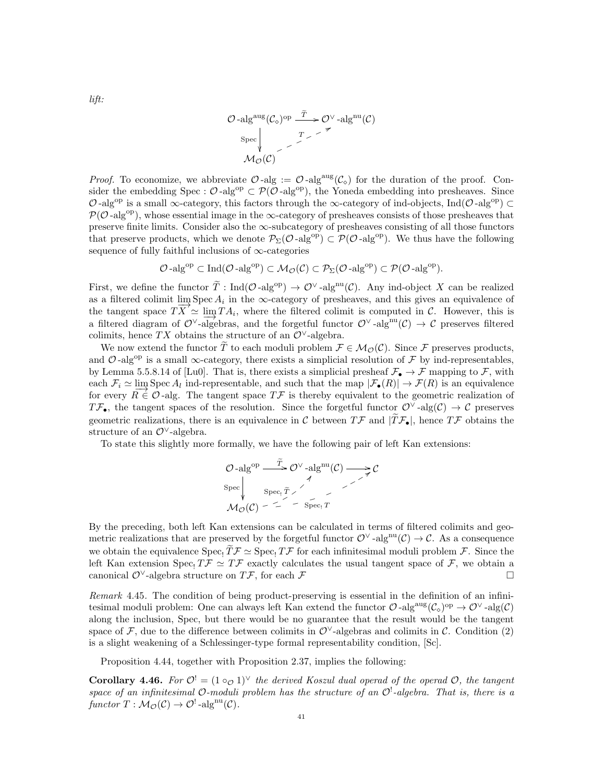$$
\mathcal{O}\text{-}\mathrm{alg}^{\mathrm{aug}}(\mathcal{C}_{\diamond})^{\mathrm{op}} \xrightarrow{\widetilde{T}} \mathcal{O}^{\vee} \text{-}\mathrm{alg}^{\mathrm{nu}}(\mathcal{C})
$$
  
Spec  

$$
\downarrow \qquad \qquad \mathcal{F} \qquad \qquad \mathcal{F} \qquad \qquad \mathcal{A} \qquad \mathcal{A} \otimes (\mathcal{C})
$$

*Proof.* To economize, we abbreviate  $\mathcal{O}$ -alg :=  $\mathcal{O}$ -alg<sup>aug</sup>( $\mathcal{C}_{\diamond}$ ) for the duration of the proof. Consider the embedding Spec :  $\mathcal{O}$ -alg<sup>op</sup>  $\subset \mathcal{P}(\mathcal{O}$ -alg<sup>op</sup>), the Yoneda embedding into presheaves. Since O-alg<sup>op</sup> is a small ∞-category, this factors through the ∞-category of ind-objects, Ind(O-alg<sup>op</sup>) ⊂  $\mathcal{P}(\mathcal{O}-\mathrm{alg}^{\mathrm{op}})$ , whose essential image in the  $\infty$ -category of presheaves consists of those presheaves that preserve finite limits. Consider also the ∞-subcategory of presheaves consisting of all those functors that preserve products, which we denote  $\mathcal{P}_{\Sigma}(\mathcal{O} - \mathrm{alg}^{\mathrm{op}}) \subset \mathcal{P}(\mathcal{O} - \mathrm{alg}^{\mathrm{op}})$ . We thus have the following sequence of fully faithful inclusions of ∞-categories

$$
\mathcal{O}\text{-alg}^{\mathrm{op}} \subset \mathrm{Ind}(\mathcal{O}\text{-alg}^{\mathrm{op}}) \subset \mathcal{M}_{\mathcal{O}}(\mathcal{C}) \subset \mathcal{P}_{\Sigma}(\mathcal{O}\text{-alg}^{\mathrm{op}}) \subset \mathcal{P}(\mathcal{O}\text{-alg}^{\mathrm{op}}).
$$

First, we define the functor  $\tilde{T}: \text{Ind}(\mathcal{O}-\text{alg}^{\text{op}}) \to \mathcal{O}^{\vee}$ -alg<sup>nu</sup> $(\mathcal{C})$ . Any ind-object X can be realized as a filtered colimit  $\lim_{n \to \infty}$  Spec  $A_i$  in the ∞-category of presheaves, and this gives an equivalence of the tangent space  $TX' \simeq \lim_{i \to \infty} TA_i$ , where the filtered colimit is computed in C. However, this is a filtered diagram of  $\mathcal{O}^{\vee}$ -algebras, and the forgetful functor  $\mathcal{O}^{\vee}$ -alg<sup>nu</sup> $(\mathcal{C}) \to \mathcal{C}$  preserves filtered diagram of  $\mathcal{O}^{\vee}$ -algebras, and the forgetful functor  $\mathcal{O}^{\vee}$ -alg<sup>nu</sup> $(\mathcal{C}) \to \$ colimits, hence TX obtains the structure of an  $\mathcal{O}^{\vee}$ -algebra.

We now extend the functor  $\widetilde{T}$  to each moduli problem  $\mathcal{F} \in \mathcal{M}_{\mathcal{O}}(\mathcal{C})$ . Since F preserves products, and  $\mathcal{O}$ -alg<sup>op</sup> is a small  $\infty$ -category, there exists a simplicial resolution of  $\mathcal F$  by ind-representables, by Lemma 5.5.8.14 of [Lu0]. That is, there exists a simplicial presheaf  $\mathcal{F}_{\bullet} \to \mathcal{F}$  mapping to  $\mathcal{F}$ , with each  $\mathcal{F}_i \simeq \lim_{n \to \infty} \text{Spec } A_i$  ind-representable, and such that the map  $|\mathcal{F}_{\bullet}(R)| \to \mathcal{F}(R)$  is an equivalence for every  $R \in \mathcal{O}$ -alg. The tangent space  $T\mathcal{F}$  is thereby equivalent to the geometric realization of  $T\mathcal{F}_{\bullet}$ , the tangent spaces of the resolution. Since the forgetful functor  $\mathcal{O}^{\vee}$ -alg $(\mathcal{C}) \to \mathcal{C}$  preserves geometric realizations, there is an equivalence in C between  $T\mathcal{F}$  and  $|\widetilde{T}\mathcal{F}_\bullet|$ , hence  $T\mathcal{F}$  obtains the structure of an  $\mathcal{O}^{\vee}$ -algebra.

To state this slightly more formally, we have the following pair of left Kan extensions:

$$
\mathcal{O}\text{-alg}^{\text{op}} \xrightarrow{\bar{T}} \mathcal{O}^{\vee} \text{-alg}^{\text{nu}}(\mathcal{C}) \longrightarrow \mathcal{C}
$$
  
\n
$$
\text{Spec}_{\mathcal{V}} \qquad \qquad \mathcal{O}^{\vee} \longrightarrow \mathcal{O}
$$
  
\n
$$
\mathcal{M}_{\mathcal{O}}(\mathcal{C}) - \overline{1} \qquad \qquad \text{Spec}_{\mathcal{V}} \qquad \qquad \overline{1}
$$

By the preceding, both left Kan extensions can be calculated in terms of filtered colimits and geometric realizations that are preserved by the forgetful functor  $\mathcal{O}^{\vee}$ -alg<sup>nu</sup>( $\mathcal{C}$ )  $\to \mathcal{C}$ . As a consequence we obtain the equivalence  $Spec_1 \widetilde{T} \mathcal{F} \simeq Spec_1 T\mathcal{F}$  for each infinitesimal moduli problem  $\mathcal{F}$ . Since the left Kan extension Spec,  $T\mathcal{F} \simeq T\mathcal{F}$  exactly calculates the usual tangent space of  $\mathcal{F}$ , we obtain a canonical  $\mathcal{O}^{\vee}$ -algebra structure on  $T\mathcal{F}$ , for each  $\mathcal{F}$ 

Remark 4.45. The condition of being product-preserving is essential in the definition of an infinitesimal moduli problem: One can always left Kan extend the functor  $\mathcal{O}$ -alg $(\mathcal{C}_\diamond)^{op} \to \mathcal{O}^{\vee}$ -alg $(\mathcal{C})$ along the inclusion, Spec, but there would be no guarantee that the result would be the tangent space of F, due to the difference between colimits in  $\mathcal{O}^{\vee}$ -algebras and colimits in C. Condition (2) is a slight weakening of a Schlessinger-type formal representability condition, [Sc].

Proposition 4.44, together with Proposition 2.37, implies the following:

**Corollary 4.46.** For  $\mathcal{O}^! = (1 \circ_{\mathcal{O}} 1)^{\vee}$  the derived Koszul dual operad of the operad  $\mathcal{O}$ , the tangent space of an infinitesimal O-moduli problem has the structure of an  $\mathcal{O}^!$ -algebra. That is, there is a functor  $T: \mathcal{M}_{\mathcal{O}}(\mathcal{C}) \to \mathcal{O}^!$ -alg<sup>nu</sup> $(\mathcal{C})$ .

lift: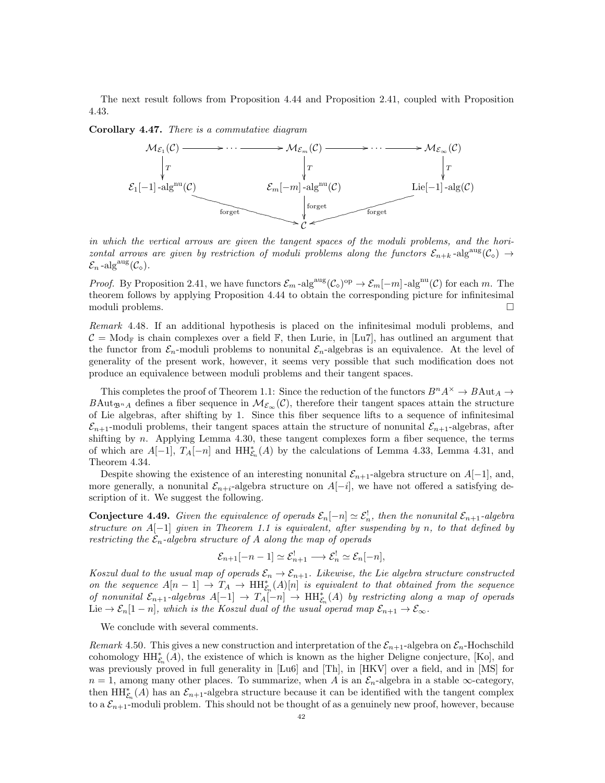The next result follows from Proposition 4.44 and Proposition 2.41, coupled with Proposition 4.43.

Corollary 4.47. There is a commutative diagram



in which the vertical arrows are given the tangent spaces of the moduli problems, and the horizontal arrows are given by restriction of moduli problems along the functors  $\mathcal{E}_{n+k}$ -alg $\mathcal{E}(\mathcal{C}_{\diamond}) \to$  $\mathcal{E}_n$ -alg<sup>aug</sup> $(\mathcal{C}_\diamond).$ 

*Proof.* By Proposition 2.41, we have functors  $\mathcal{E}_m$ -alg<sup>aug</sup> $(\mathcal{C}_\circ)^{\text{op}} \to \mathcal{E}_m[-m]$ -alg<sup>nu</sup> $(\mathcal{C})$  for each m. The theorem follows by applying Proposition 4.44 to obtain the corresponding picture for infinitesimal moduli problems.

Remark 4.48. If an additional hypothesis is placed on the infinitesimal moduli problems, and  $C = Mod_{\mathbb{F}}$  is chain complexes over a field  $\mathbb{F}$ , then Lurie, in [Lu7], has outlined an argument that the functor from  $\mathcal{E}_n$ -moduli problems to nonunital  $\mathcal{E}_n$ -algebras is an equivalence. At the level of generality of the present work, however, it seems very possible that such modification does not produce an equivalence between moduli problems and their tangent spaces.

This completes the proof of Theorem 1.1: Since the reduction of the functors  $B^n A^{\times} \to B \text{Aut}_A \to$ BAut<sub>Dn</sub><sub>A</sub> defines a fiber sequence in  $\mathcal{M}_{\mathcal{E}_{\infty}}(\mathcal{C})$ , therefore their tangent spaces attain the structure of Lie algebras, after shifting by 1. Since this fiber sequence lifts to a sequence of infinitesimal  $\mathcal{E}_{n+1}$ -moduli problems, their tangent spaces attain the structure of nonunital  $\mathcal{E}_{n+1}$ -algebras, after shifting by  $n$ . Applying Lemma 4.30, these tangent complexes form a fiber sequence, the terms of which are  $A[-1], T_A[-n]$  and  $HH^*_{\mathcal{E}_n}(A)$  by the calculations of Lemma 4.33, Lemma 4.31, and Theorem 4.34.

Despite showing the existence of an interesting nonunital  $\mathcal{E}_{n+1}$ -algebra structure on  $A[-1]$ , and, more generally, a nonunital  $\mathcal{E}_{n+i}$ -algebra structure on  $A[-i]$ , we have not offered a satisfying description of it. We suggest the following.

**Conjecture 4.49.** Given the equivalence of operads  $\mathcal{E}_n[-n] \simeq \mathcal{E}_n^!$ , then the nonunital  $\mathcal{E}_{n+1}$ -algebra structure on  $A[-1]$  given in Theorem 1.1 is equivalent, after suspending by n, to that defined by restricting the  $\mathcal{E}_n$ -algebra structure of A along the map of operads

$$
\mathcal{E}_{n+1}[-n-1] \simeq \mathcal{E}_{n+1}^! \longrightarrow \mathcal{E}_n^! \simeq \mathcal{E}_n[-n],
$$

Koszul dual to the usual map of operads  $\mathcal{E}_n \to \mathcal{E}_{n+1}$ . Likewise, the Lie algebra structure constructed on the sequence  $A[n-1] \to T_A \to \text{HH}_{\mathcal{E}_n}^*(A)[n]$  is equivalent to that obtained from the sequence of nonunital  $\mathcal{E}_{n+1}$ -algebras  $A[-1] \to T_A[-n] \to HH_{\mathcal{E}_n}^*(A)$  by restricting along a map of operads Lie  $\rightarrow \mathcal{E}_n[1-n]$ , which is the Koszul dual of the usual operad map  $\mathcal{E}_{n+1} \rightarrow \mathcal{E}_{\infty}$ .

We conclude with several comments.

Remark 4.50. This gives a new construction and interpretation of the  $\mathcal{E}_{n+1}$ -algebra on  $\mathcal{E}_n$ -Hochschild cohomology  $\mathrm{HH}_{\mathcal{E}_n}^*(A)$ , the existence of which is known as the higher Deligne conjecture, [Ko], and was previously proved in full generality in [Lu6] and [Th], in [HKV] over a field, and in [MS] for  $n = 1$ , among many other places. To summarize, when A is an  $\mathcal{E}_n$ -algebra in a stable  $\infty$ -category, then  $\mathrm{HH}_{\mathcal{E}_n}^*(A)$  has an  $\mathcal{E}_{n+1}$ -algebra structure because it can be identified with the tangent complex to a  $\mathcal{E}_{n+1}$ -moduli problem. This should not be thought of as a genuinely new proof, however, because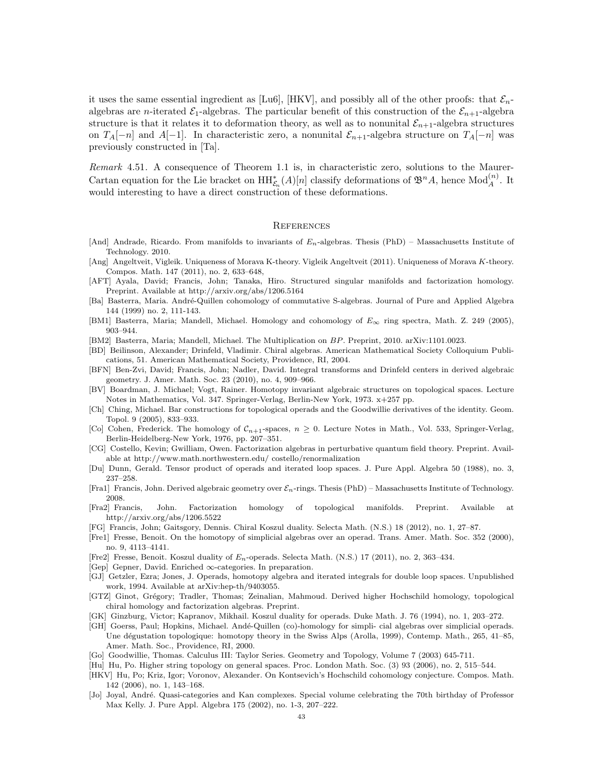it uses the same essential ingredient as [Lu6], [HKV], and possibly all of the other proofs: that  $\mathcal{E}_n$ algebras are *n*-iterated  $\mathcal{E}_1$ -algebras. The particular benefit of this construction of the  $\mathcal{E}_{n+1}$ -algebra structure is that it relates it to deformation theory, as well as to nonunital  $\mathcal{E}_{n+1}$ -algebra structures on  $T_A[-n]$  and  $A[-1]$ . In characteristic zero, a nonunital  $\mathcal{E}_{n+1}$ -algebra structure on  $T_A[-n]$  was previously constructed in [Ta].

Remark 4.51. A consequence of Theorem 1.1 is, in characteristic zero, solutions to the Maurer-Cartan equation for the Lie bracket on  $HH^*_{\mathcal{E}_n}(A)[n]$  classify deformations of  $\mathfrak{B}^n A$ , hence  $Mod_A^{(n)}$ . It would interesting to have a direct construction of these deformations.

#### **REFERENCES**

- [And] Andrade, Ricardo. From manifolds to invariants of  $E_n$ -algebras. Thesis (PhD) Massachusetts Institute of Technology. 2010.
- [Ang] Angeltveit, Vigleik. Uniqueness of Morava K-theory. Vigleik Angeltveit (2011). Uniqueness of Morava K-theory. Compos. Math. 147 (2011), no. 2, 633–648,
- [AFT] Ayala, David; Francis, John; Tanaka, Hiro. Structured singular manifolds and factorization homology. Preprint. Available at http://arxiv.org/abs/1206.5164
- [Ba] Basterra, Maria. André-Quillen cohomology of commutative S-algebras. Journal of Pure and Applied Algebra 144 (1999) no. 2, 111-143.
- [BM1] Basterra, Maria; Mandell, Michael. Homology and cohomology of E∞ ring spectra, Math. Z. 249 (2005), 903–944.
- [BM2] Basterra, Maria; Mandell, Michael. The Multiplication on BP. Preprint, 2010. arXiv:1101.0023.
- [BD] Beilinson, Alexander; Drinfeld, Vladimir. Chiral algebras. American Mathematical Society Colloquium Publications, 51. American Mathematical Society, Providence, RI, 2004.
- [BFN] Ben-Zvi, David; Francis, John; Nadler, David. Integral transforms and Drinfeld centers in derived algebraic geometry. J. Amer. Math. Soc. 23 (2010), no. 4, 909–966.
- [BV] Boardman, J. Michael; Vogt, Rainer. Homotopy invariant algebraic structures on topological spaces. Lecture Notes in Mathematics, Vol. 347. Springer-Verlag, Berlin-New York, 1973. x+257 pp.
- [Ch] Ching, Michael. Bar constructions for topological operads and the Goodwillie derivatives of the identity. Geom. Topol. 9 (2005), 833–933.
- [Co] Cohen, Frederick. The homology of  $C_{n+1}$ -spaces,  $n \geq 0$ . Lecture Notes in Math., Vol. 533, Springer-Verlag, Berlin-Heidelberg-New York, 1976, pp. 207–351.
- [CG] Costello, Kevin; Gwilliam, Owen. Factorization algebras in perturbative quantum field theory. Preprint. Available at http://www.math.northwestern.edu/ costello/renormalization
- [Du] Dunn, Gerald. Tensor product of operads and iterated loop spaces. J. Pure Appl. Algebra 50 (1988), no. 3, 237–258.
- [Fra1] Francis, John. Derived algebraic geometry over  $\mathcal{E}_n$ -rings. Thesis (PhD) Massachusetts Institute of Technology. 2008.
- [Fra2] Francis, John. Factorization homology of topological manifolds. Preprint. Available at http://arxiv.org/abs/1206.5522
- [FG] Francis, John; Gaitsgory, Dennis. Chiral Koszul duality. Selecta Math. (N.S.) 18 (2012), no. 1, 27–87.
- [Fre1] Fresse, Benoit. On the homotopy of simplicial algebras over an operad. Trans. Amer. Math. Soc. 352 (2000), no. 9, 4113–4141.
- [Fre2] Fresse, Benoit. Koszul duality of En-operads. Selecta Math. (N.S.) 17 (2011), no. 2, 363–434.
- [Gep] Gepner, David. Enriched ∞-categories. In preparation.
- [GJ] Getzler, Ezra; Jones, J. Operads, homotopy algebra and iterated integrals for double loop spaces. Unpublished work, 1994. Available at arXiv:hep-th/9403055.
- [GTZ] Ginot, Grégory; Tradler, Thomas; Zeinalian, Mahmoud. Derived higher Hochschild homology, topological chiral homology and factorization algebras. Preprint.
- [GK] Ginzburg, Victor; Kapranov, Mikhail. Koszul duality for operads. Duke Math. J. 76 (1994), no. 1, 203–272.
- [GH] Goerss, Paul; Hopkins, Michael. Andé-Quillen (co)-homology for simpli- cial algebras over simplicial operads. Une dégustation topologique: homotopy theory in the Swiss Alps (Arolla, 1999), Contemp. Math., 265, 41–85, Amer. Math. Soc., Providence, RI, 2000.
- [Go] Goodwillie, Thomas. Calculus III: Taylor Series. Geometry and Topology, Volume 7 (2003) 645-711.
- [Hu] Hu, Po. Higher string topology on general spaces. Proc. London Math. Soc. (3) 93 (2006), no. 2, 515–544. [HKV] Hu, Po; Kriz, Igor; Voronov, Alexander. On Kontsevich's Hochschild cohomology conjecture. Compos. Math.
- 142 (2006), no. 1, 143–168.
- [Jo] Joyal, André. Quasi-categories and Kan complexes. Special volume celebrating the 70th birthday of Professor Max Kelly. J. Pure Appl. Algebra 175 (2002), no. 1-3, 207–222.